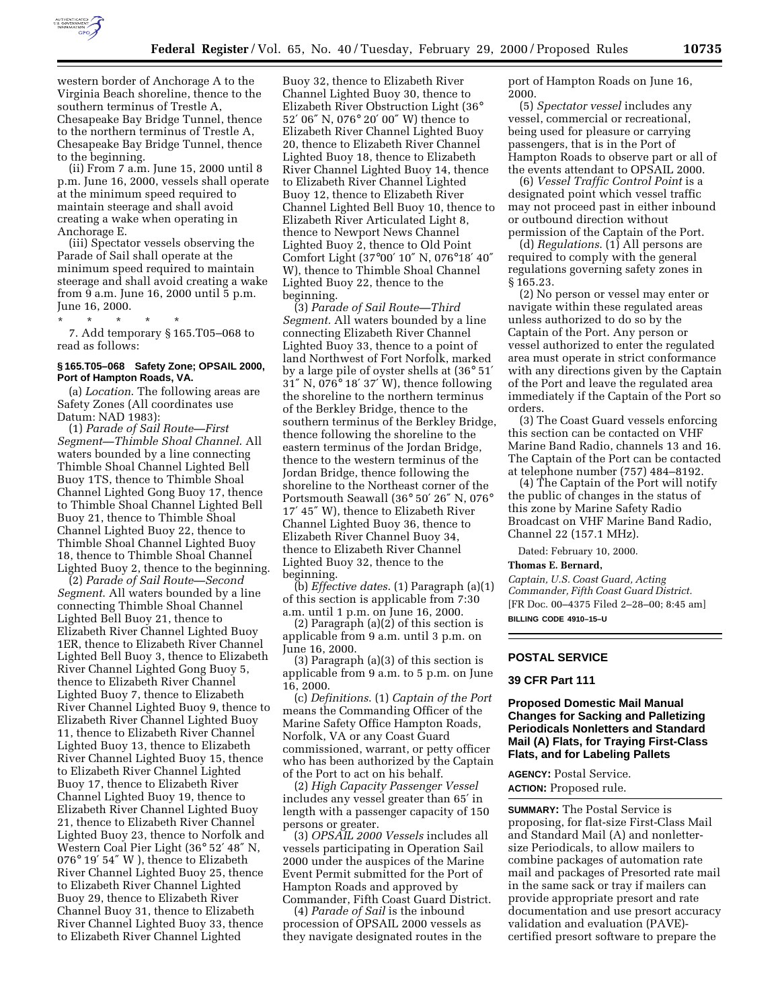

western border of Anchorage A to the Virginia Beach shoreline, thence to the southern terminus of Trestle A, Chesapeake Bay Bridge Tunnel, thence to the northern terminus of Trestle A, Chesapeake Bay Bridge Tunnel, thence to the beginning.

(ii) From 7 a.m. June 15, 2000 until 8 p.m. June 16, 2000, vessels shall operate at the minimum speed required to maintain steerage and shall avoid creating a wake when operating in Anchorage E.

(iii) Spectator vessels observing the Parade of Sail shall operate at the minimum speed required to maintain steerage and shall avoid creating a wake from 9 a.m. June 16, 2000 until 5 p.m. June 16, 2000.

\* \* \* \* \* 7. Add temporary § 165.T05–068 to read as follows:

### **§ 165.T05–068 Safety Zone; OPSAIL 2000, Port of Hampton Roads, VA.**

(a) *Location*. The following areas are Safety Zones (All coordinates use Datum: NAD 1983):

(1) *Parade of Sail Route—First Segment—Thimble Shoal Channel*. All waters bounded by a line connecting Thimble Shoal Channel Lighted Bell Buoy 1TS, thence to Thimble Shoal Channel Lighted Gong Buoy 17, thence to Thimble Shoal Channel Lighted Bell Buoy 21, thence to Thimble Shoal Channel Lighted Buoy 22, thence to Thimble Shoal Channel Lighted Buoy 18, thence to Thimble Shoal Channel Lighted Buoy 2, thence to the beginning.

(2) *Parade of Sail Route—Second Segment*. All waters bounded by a line connecting Thimble Shoal Channel Lighted Bell Buoy 21, thence to Elizabeth River Channel Lighted Buoy 1ER, thence to Elizabeth River Channel Lighted Bell Buoy 3, thence to Elizabeth River Channel Lighted Gong Buoy 5, thence to Elizabeth River Channel Lighted Buoy 7, thence to Elizabeth River Channel Lighted Buoy 9, thence to Elizabeth River Channel Lighted Buoy 11, thence to Elizabeth River Channel Lighted Buoy 13, thence to Elizabeth River Channel Lighted Buoy 15, thence to Elizabeth River Channel Lighted Buoy 17, thence to Elizabeth River Channel Lighted Buoy 19, thence to Elizabeth River Channel Lighted Buoy 21, thence to Elizabeth River Channel Lighted Buoy 23, thence to Norfolk and Western Coal Pier Light (36° 52′ 48″ N, 076° 19′ 54″ W ), thence to Elizabeth River Channel Lighted Buoy 25, thence to Elizabeth River Channel Lighted Buoy 29, thence to Elizabeth River Channel Buoy 31, thence to Elizabeth River Channel Lighted Buoy 33, thence to Elizabeth River Channel Lighted

Buoy 32, thence to Elizabeth River Channel Lighted Buoy 30, thence to Elizabeth River Obstruction Light (36° 52′ 06″ N, 076° 20′ 00″ W) thence to Elizabeth River Channel Lighted Buoy 20, thence to Elizabeth River Channel Lighted Buoy 18, thence to Elizabeth River Channel Lighted Buoy 14, thence to Elizabeth River Channel Lighted Buoy 12, thence to Elizabeth River Channel Lighted Bell Buoy 10, thence to Elizabeth River Articulated Light 8, thence to Newport News Channel Lighted Buoy 2, thence to Old Point Comfort Light (37°00′ 10″ N, 076°18′ 40″ W), thence to Thimble Shoal Channel Lighted Buoy 22, thence to the beginning.

(3) *Parade of Sail Route—Third Segment.* All waters bounded by a line connecting Elizabeth River Channel Lighted Buoy 33, thence to a point of land Northwest of Fort Norfolk, marked by a large pile of oyster shells at (36° 51′ 31″ N, 076° 18′ 37′ W), thence following the shoreline to the northern terminus of the Berkley Bridge, thence to the southern terminus of the Berkley Bridge, thence following the shoreline to the eastern terminus of the Jordan Bridge, thence to the western terminus of the Jordan Bridge, thence following the shoreline to the Northeast corner of the Portsmouth Seawall (36° 50′ 26″ N, 076° 17′ 45″ W), thence to Elizabeth River Channel Lighted Buoy 36, thence to Elizabeth River Channel Buoy 34, thence to Elizabeth River Channel Lighted Buoy 32, thence to the beginning.

(b) *Effective dates*. (1) Paragraph (a)(1) of this section is applicable from 7:30 a.m. until 1 p.m. on June 16, 2000.

(2) Paragraph (a)(2) of this section is applicable from 9 a.m. until 3 p.m. on June 16, 2000.

(3) Paragraph (a)(3) of this section is applicable from 9 a.m. to 5 p.m. on June 16, 2000.

(c) *Definitions*. (1) *Captain of the Port* means the Commanding Officer of the Marine Safety Office Hampton Roads, Norfolk, VA or any Coast Guard commissioned, warrant, or petty officer who has been authorized by the Captain of the Port to act on his behalf.

(2) *High Capacity Passenger Vessel* includes any vessel greater than 65′ in length with a passenger capacity of 150 persons or greater.

(3) *OPSAIL 2000 Vessels* includes all vessels participating in Operation Sail 2000 under the auspices of the Marine Event Permit submitted for the Port of Hampton Roads and approved by Commander, Fifth Coast Guard District.

(4) *Parade of Sail* is the inbound procession of OPSAIL 2000 vessels as they navigate designated routes in the port of Hampton Roads on June 16, 2000.

(5) *Spectator vessel* includes any vessel, commercial or recreational, being used for pleasure or carrying passengers, that is in the Port of Hampton Roads to observe part or all of the events attendant to OPSAIL 2000.

(6) *Vessel Traffic Control Point* is a designated point which vessel traffic may not proceed past in either inbound or outbound direction without permission of the Captain of the Port.

(d) *Regulations*. (1) All persons are required to comply with the general regulations governing safety zones in § 165.23.

(2) No person or vessel may enter or navigate within these regulated areas unless authorized to do so by the Captain of the Port. Any person or vessel authorized to enter the regulated area must operate in strict conformance with any directions given by the Captain of the Port and leave the regulated area immediately if the Captain of the Port so orders.

(3) The Coast Guard vessels enforcing this section can be contacted on VHF Marine Band Radio, channels 13 and 16. The Captain of the Port can be contacted at telephone number (757) 484–8192.

(4) The Captain of the Port will notify the public of changes in the status of this zone by Marine Safety Radio Broadcast on VHF Marine Band Radio, Channel 22 (157.1 MHz).

Dated: February 10, 2000.

#### **Thomas E. Bernard,**

*Captain, U.S. Coast Guard, Acting Commander, Fifth Coast Guard District.* [FR Doc. 00–4375 Filed 2–28–00; 8:45 am] **BILLING CODE 4910–15–U**

### **POSTAL SERVICE**

### **39 CFR Part 111**

### **Proposed Domestic Mail Manual Changes for Sacking and Palletizing Periodicals Nonletters and Standard Mail (A) Flats, for Traying First-Class Flats, and for Labeling Pallets**

**AGENCY:** Postal Service. **ACTION:** Proposed rule.

**SUMMARY:** The Postal Service is proposing, for flat-size First-Class Mail and Standard Mail (A) and nonlettersize Periodicals, to allow mailers to combine packages of automation rate mail and packages of Presorted rate mail in the same sack or tray if mailers can provide appropriate presort and rate documentation and use presort accuracy validation and evaluation (PAVE) certified presort software to prepare the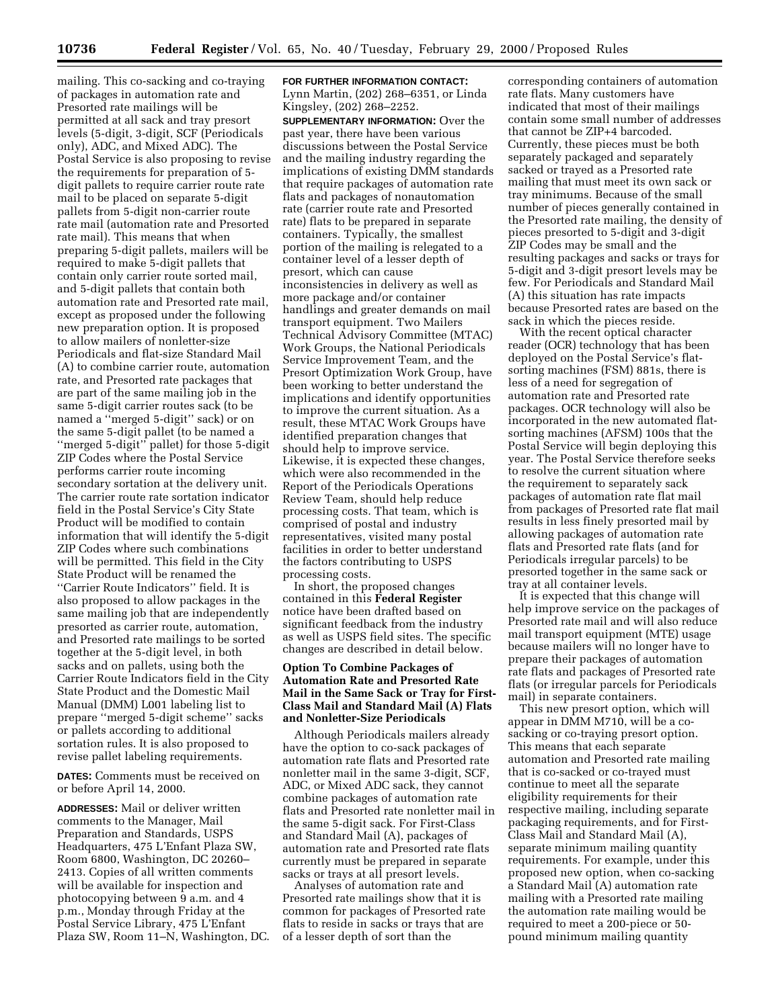mailing. This co-sacking and co-traying of packages in automation rate and Presorted rate mailings will be permitted at all sack and tray presort levels (5-digit, 3-digit, SCF (Periodicals only), ADC, and Mixed ADC). The Postal Service is also proposing to revise the requirements for preparation of 5 digit pallets to require carrier route rate mail to be placed on separate 5-digit pallets from 5-digit non-carrier route rate mail (automation rate and Presorted rate mail). This means that when preparing 5-digit pallets, mailers will be required to make 5-digit pallets that contain only carrier route sorted mail, and 5-digit pallets that contain both automation rate and Presorted rate mail, except as proposed under the following new preparation option. It is proposed to allow mailers of nonletter-size Periodicals and flat-size Standard Mail (A) to combine carrier route, automation rate, and Presorted rate packages that are part of the same mailing job in the same 5-digit carrier routes sack (to be named a ''merged 5-digit'' sack) or on the same 5-digit pallet (to be named a ''merged 5-digit'' pallet) for those 5-digit ZIP Codes where the Postal Service performs carrier route incoming secondary sortation at the delivery unit. The carrier route rate sortation indicator field in the Postal Service's City State Product will be modified to contain information that will identify the 5-digit ZIP Codes where such combinations will be permitted. This field in the City State Product will be renamed the ''Carrier Route Indicators'' field. It is also proposed to allow packages in the same mailing job that are independently presorted as carrier route, automation, and Presorted rate mailings to be sorted together at the 5-digit level, in both sacks and on pallets, using both the Carrier Route Indicators field in the City State Product and the Domestic Mail Manual (DMM) L001 labeling list to prepare ''merged 5-digit scheme'' sacks or pallets according to additional sortation rules. It is also proposed to revise pallet labeling requirements.

**DATES:** Comments must be received on or before April 14, 2000.

**ADDRESSES:** Mail or deliver written comments to the Manager, Mail Preparation and Standards, USPS Headquarters, 475 L'Enfant Plaza SW, Room 6800, Washington, DC 20260– 2413. Copies of all written comments will be available for inspection and photocopying between 9 a.m. and 4 p.m., Monday through Friday at the Postal Service Library, 475 L'Enfant Plaza SW, Room 11–N, Washington, DC. **FOR FURTHER INFORMATION CONTACT:** Lynn Martin, (202) 268–6351, or Linda Kingsley, (202) 268–2252.

**SUPPLEMENTARY INFORMATION:** Over the past year, there have been various discussions between the Postal Service and the mailing industry regarding the implications of existing DMM standards that require packages of automation rate flats and packages of nonautomation rate (carrier route rate and Presorted rate) flats to be prepared in separate containers. Typically, the smallest portion of the mailing is relegated to a container level of a lesser depth of presort, which can cause inconsistencies in delivery as well as more package and/or container handlings and greater demands on mail transport equipment. Two Mailers Technical Advisory Committee (MTAC) Work Groups, the National Periodicals Service Improvement Team, and the Presort Optimization Work Group, have been working to better understand the implications and identify opportunities to improve the current situation. As a result, these MTAC Work Groups have identified preparation changes that should help to improve service. Likewise, it is expected these changes, which were also recommended in the Report of the Periodicals Operations Review Team, should help reduce processing costs. That team, which is comprised of postal and industry representatives, visited many postal facilities in order to better understand the factors contributing to USPS processing costs.

In short, the proposed changes contained in this **Federal Register** notice have been drafted based on significant feedback from the industry as well as USPS field sites. The specific changes are described in detail below.

### **Option To Combine Packages of Automation Rate and Presorted Rate Mail in the Same Sack or Tray for First-Class Mail and Standard Mail (A) Flats and Nonletter-Size Periodicals**

Although Periodicals mailers already have the option to co-sack packages of automation rate flats and Presorted rate nonletter mail in the same 3-digit, SCF, ADC, or Mixed ADC sack, they cannot combine packages of automation rate flats and Presorted rate nonletter mail in the same 5-digit sack. For First-Class and Standard Mail (A), packages of automation rate and Presorted rate flats currently must be prepared in separate sacks or trays at all presort levels.

Analyses of automation rate and Presorted rate mailings show that it is common for packages of Presorted rate flats to reside in sacks or trays that are of a lesser depth of sort than the

corresponding containers of automation rate flats. Many customers have indicated that most of their mailings contain some small number of addresses that cannot be ZIP+4 barcoded. Currently, these pieces must be both separately packaged and separately sacked or trayed as a Presorted rate mailing that must meet its own sack or tray minimums. Because of the small number of pieces generally contained in the Presorted rate mailing, the density of pieces presorted to 5-digit and 3-digit ZIP Codes may be small and the resulting packages and sacks or trays for 5-digit and 3-digit presort levels may be few. For Periodicals and Standard Mail (A) this situation has rate impacts because Presorted rates are based on the sack in which the pieces reside.

With the recent optical character reader (OCR) technology that has been deployed on the Postal Service's flatsorting machines (FSM) 881s, there is less of a need for segregation of automation rate and Presorted rate packages. OCR technology will also be incorporated in the new automated flatsorting machines (AFSM) 100s that the Postal Service will begin deploying this year. The Postal Service therefore seeks to resolve the current situation where the requirement to separately sack packages of automation rate flat mail from packages of Presorted rate flat mail results in less finely presorted mail by allowing packages of automation rate flats and Presorted rate flats (and for Periodicals irregular parcels) to be presorted together in the same sack or tray at all container levels.

It is expected that this change will help improve service on the packages of Presorted rate mail and will also reduce mail transport equipment (MTE) usage because mailers will no longer have to prepare their packages of automation rate flats and packages of Presorted rate flats (or irregular parcels for Periodicals mail) in separate containers.

This new presort option, which will appear in DMM M710, will be a cosacking or co-traying presort option. This means that each separate automation and Presorted rate mailing that is co-sacked or co-trayed must continue to meet all the separate eligibility requirements for their respective mailing, including separate packaging requirements, and for First-Class Mail and Standard Mail (A), separate minimum mailing quantity requirements. For example, under this proposed new option, when co-sacking a Standard Mail (A) automation rate mailing with a Presorted rate mailing the automation rate mailing would be required to meet a 200-piece or 50 pound minimum mailing quantity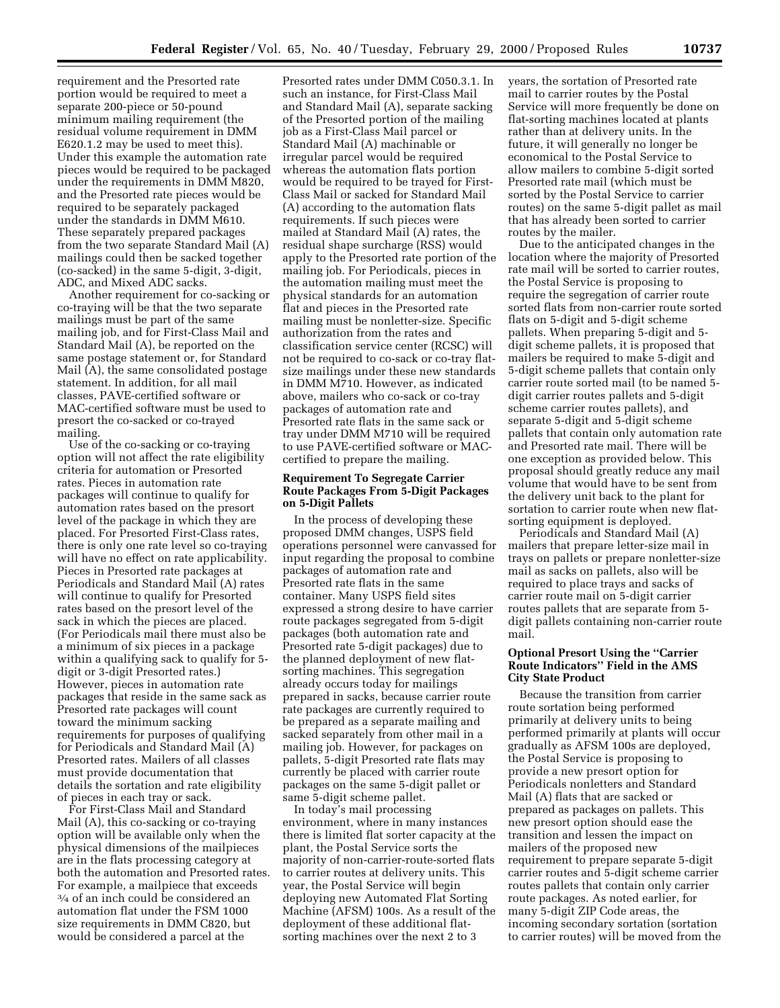requirement and the Presorted rate portion would be required to meet a separate 200-piece or 50-pound minimum mailing requirement (the residual volume requirement in DMM E620.1.2 may be used to meet this). Under this example the automation rate pieces would be required to be packaged under the requirements in DMM M820, and the Presorted rate pieces would be required to be separately packaged under the standards in DMM M610. These separately prepared packages from the two separate Standard Mail (A) mailings could then be sacked together (co-sacked) in the same 5-digit, 3-digit, ADC, and Mixed ADC sacks.

Another requirement for co-sacking or co-traying will be that the two separate mailings must be part of the same mailing job, and for First-Class Mail and Standard Mail (A), be reported on the same postage statement or, for Standard Mail (A), the same consolidated postage statement. In addition, for all mail classes, PAVE-certified software or MAC-certified software must be used to presort the co-sacked or co-trayed mailing.

Use of the co-sacking or co-traying option will not affect the rate eligibility criteria for automation or Presorted rates. Pieces in automation rate packages will continue to qualify for automation rates based on the presort level of the package in which they are placed. For Presorted First-Class rates, there is only one rate level so co-traying will have no effect on rate applicability. Pieces in Presorted rate packages at Periodicals and Standard Mail (A) rates will continue to qualify for Presorted rates based on the presort level of the sack in which the pieces are placed. (For Periodicals mail there must also be a minimum of six pieces in a package within a qualifying sack to qualify for 5 digit or 3-digit Presorted rates.) However, pieces in automation rate packages that reside in the same sack as Presorted rate packages will count toward the minimum sacking requirements for purposes of qualifying for Periodicals and Standard Mail (A) Presorted rates. Mailers of all classes must provide documentation that details the sortation and rate eligibility of pieces in each tray or sack.

For First-Class Mail and Standard Mail (A), this co-sacking or co-traying option will be available only when the physical dimensions of the mailpieces are in the flats processing category at both the automation and Presorted rates. For example, a mailpiece that exceeds 3⁄4 of an inch could be considered an automation flat under the FSM 1000 size requirements in DMM C820, but would be considered a parcel at the

Presorted rates under DMM C050.3.1. In such an instance, for First-Class Mail and Standard Mail (A), separate sacking of the Presorted portion of the mailing job as a First-Class Mail parcel or Standard Mail (A) machinable or irregular parcel would be required whereas the automation flats portion would be required to be trayed for First-Class Mail or sacked for Standard Mail (A) according to the automation flats requirements. If such pieces were mailed at Standard Mail (A) rates, the residual shape surcharge (RSS) would apply to the Presorted rate portion of the mailing job. For Periodicals, pieces in the automation mailing must meet the physical standards for an automation flat and pieces in the Presorted rate mailing must be nonletter-size. Specific authorization from the rates and classification service center (RCSC) will not be required to co-sack or co-tray flatsize mailings under these new standards in DMM M710. However, as indicated above, mailers who co-sack or co-tray packages of automation rate and Presorted rate flats in the same sack or tray under DMM M710 will be required to use PAVE-certified software or MACcertified to prepare the mailing.

### **Requirement To Segregate Carrier Route Packages From 5-Digit Packages on 5-Digit Pallets**

In the process of developing these proposed DMM changes, USPS field operations personnel were canvassed for input regarding the proposal to combine packages of automation rate and Presorted rate flats in the same container. Many USPS field sites expressed a strong desire to have carrier route packages segregated from 5-digit packages (both automation rate and Presorted rate 5-digit packages) due to the planned deployment of new flatsorting machines. This segregation already occurs today for mailings prepared in sacks, because carrier route rate packages are currently required to be prepared as a separate mailing and sacked separately from other mail in a mailing job. However, for packages on pallets, 5-digit Presorted rate flats may currently be placed with carrier route packages on the same 5-digit pallet or same 5-digit scheme pallet.

In today's mail processing environment, where in many instances there is limited flat sorter capacity at the plant, the Postal Service sorts the majority of non-carrier-route-sorted flats to carrier routes at delivery units. This year, the Postal Service will begin deploying new Automated Flat Sorting Machine (AFSM) 100s. As a result of the deployment of these additional flatsorting machines over the next 2 to 3

years, the sortation of Presorted rate mail to carrier routes by the Postal Service will more frequently be done on flat-sorting machines located at plants rather than at delivery units. In the future, it will generally no longer be economical to the Postal Service to allow mailers to combine 5-digit sorted Presorted rate mail (which must be sorted by the Postal Service to carrier routes) on the same 5-digit pallet as mail that has already been sorted to carrier routes by the mailer.

Due to the anticipated changes in the location where the majority of Presorted rate mail will be sorted to carrier routes, the Postal Service is proposing to require the segregation of carrier route sorted flats from non-carrier route sorted flats on 5-digit and 5-digit scheme pallets. When preparing 5-digit and 5 digit scheme pallets, it is proposed that mailers be required to make 5-digit and 5-digit scheme pallets that contain only carrier route sorted mail (to be named 5 digit carrier routes pallets and 5-digit scheme carrier routes pallets), and separate 5-digit and 5-digit scheme pallets that contain only automation rate and Presorted rate mail. There will be one exception as provided below. This proposal should greatly reduce any mail volume that would have to be sent from the delivery unit back to the plant for sortation to carrier route when new flatsorting equipment is deployed.

Periodicals and Standard Mail (A) mailers that prepare letter-size mail in trays on pallets or prepare nonletter-size mail as sacks on pallets, also will be required to place trays and sacks of carrier route mail on 5-digit carrier routes pallets that are separate from 5 digit pallets containing non-carrier route mail.

### **Optional Presort Using the ''Carrier Route Indicators'' Field in the AMS City State Product**

Because the transition from carrier route sortation being performed primarily at delivery units to being performed primarily at plants will occur gradually as AFSM 100s are deployed, the Postal Service is proposing to provide a new presort option for Periodicals nonletters and Standard Mail (A) flats that are sacked or prepared as packages on pallets. This new presort option should ease the transition and lessen the impact on mailers of the proposed new requirement to prepare separate 5-digit carrier routes and 5-digit scheme carrier routes pallets that contain only carrier route packages. As noted earlier, for many 5-digit ZIP Code areas, the incoming secondary sortation (sortation to carrier routes) will be moved from the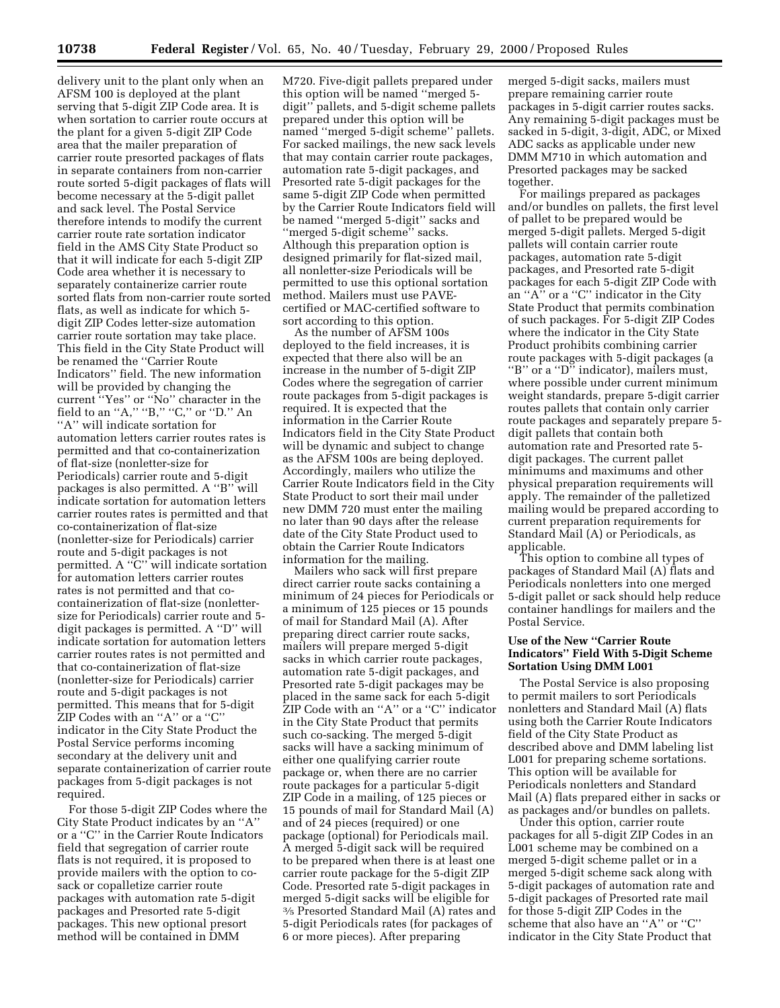delivery unit to the plant only when an AFSM 100 is deployed at the plant serving that 5-digit ZIP Code area. It is when sortation to carrier route occurs at the plant for a given 5-digit ZIP Code area that the mailer preparation of carrier route presorted packages of flats in separate containers from non-carrier route sorted 5-digit packages of flats will become necessary at the 5-digit pallet and sack level. The Postal Service therefore intends to modify the current carrier route rate sortation indicator field in the AMS City State Product so that it will indicate for each 5-digit ZIP Code area whether it is necessary to separately containerize carrier route sorted flats from non-carrier route sorted flats, as well as indicate for which 5 digit ZIP Codes letter-size automation carrier route sortation may take place. This field in the City State Product will be renamed the ''Carrier Route Indicators'' field. The new information will be provided by changing the current ''Yes'' or ''No'' character in the field to an "A," "B," "C," or "D." An ''A'' will indicate sortation for automation letters carrier routes rates is permitted and that co-containerization of flat-size (nonletter-size for Periodicals) carrier route and 5-digit packages is also permitted. A ''B'' will indicate sortation for automation letters carrier routes rates is permitted and that co-containerization of flat-size (nonletter-size for Periodicals) carrier route and 5-digit packages is not permitted. A ''C'' will indicate sortation for automation letters carrier routes rates is not permitted and that cocontainerization of flat-size (nonlettersize for Periodicals) carrier route and 5 digit packages is permitted. A ''D'' will indicate sortation for automation letters carrier routes rates is not permitted and that co-containerization of flat-size (nonletter-size for Periodicals) carrier route and 5-digit packages is not permitted. This means that for 5-digit ZIP Codes with an ''A'' or a ''C'' indicator in the City State Product the Postal Service performs incoming secondary at the delivery unit and separate containerization of carrier route packages from 5-digit packages is not required.

For those 5-digit ZIP Codes where the City State Product indicates by an ''A'' or a ''C'' in the Carrier Route Indicators field that segregation of carrier route flats is not required, it is proposed to provide mailers with the option to cosack or copalletize carrier route packages with automation rate 5-digit packages and Presorted rate 5-digit packages. This new optional presort method will be contained in DMM

M720. Five-digit pallets prepared under this option will be named ''merged 5 digit'' pallets, and 5-digit scheme pallets prepared under this option will be named ''merged 5-digit scheme'' pallets. For sacked mailings, the new sack levels that may contain carrier route packages, automation rate 5-digit packages, and Presorted rate 5-digit packages for the same 5-digit ZIP Code when permitted by the Carrier Route Indicators field will be named ''merged 5-digit'' sacks and ''merged 5-digit scheme'' sacks. Although this preparation option is designed primarily for flat-sized mail, all nonletter-size Periodicals will be permitted to use this optional sortation method. Mailers must use PAVEcertified or MAC-certified software to sort according to this option.

As the number of AFSM 100s deployed to the field increases, it is expected that there also will be an increase in the number of 5-digit ZIP Codes where the segregation of carrier route packages from 5-digit packages is required. It is expected that the information in the Carrier Route Indicators field in the City State Product will be dynamic and subject to change as the AFSM 100s are being deployed. Accordingly, mailers who utilize the Carrier Route Indicators field in the City State Product to sort their mail under new DMM 720 must enter the mailing no later than 90 days after the release date of the City State Product used to obtain the Carrier Route Indicators information for the mailing.

Mailers who sack will first prepare direct carrier route sacks containing a minimum of 24 pieces for Periodicals or a minimum of 125 pieces or 15 pounds of mail for Standard Mail (A). After preparing direct carrier route sacks, mailers will prepare merged 5-digit sacks in which carrier route packages, automation rate 5-digit packages, and Presorted rate 5-digit packages may be placed in the same sack for each 5-digit ZIP Code with an ''A'' or a ''C'' indicator in the City State Product that permits such co-sacking. The merged 5-digit sacks will have a sacking minimum of either one qualifying carrier route package or, when there are no carrier route packages for a particular 5-digit ZIP Code in a mailing, of 125 pieces or 15 pounds of mail for Standard Mail (A) and of 24 pieces (required) or one package (optional) for Periodicals mail. A merged 5-digit sack will be required to be prepared when there is at least one carrier route package for the 5-digit ZIP Code. Presorted rate 5-digit packages in merged 5-digit sacks will be eligible for 3⁄5 Presorted Standard Mail (A) rates and 5-digit Periodicals rates (for packages of 6 or more pieces). After preparing

merged 5-digit sacks, mailers must prepare remaining carrier route packages in 5-digit carrier routes sacks. Any remaining 5-digit packages must be sacked in 5-digit, 3-digit, ADC, or Mixed ADC sacks as applicable under new DMM M710 in which automation and Presorted packages may be sacked together.

For mailings prepared as packages and/or bundles on pallets, the first level of pallet to be prepared would be merged 5-digit pallets. Merged 5-digit pallets will contain carrier route packages, automation rate 5-digit packages, and Presorted rate 5-digit packages for each 5-digit ZIP Code with an ''A'' or a ''C'' indicator in the City State Product that permits combination of such packages. For 5-digit ZIP Codes where the indicator in the City State Product prohibits combining carrier route packages with 5-digit packages (a "B" or a "D<sup>"</sup> indicator), mailers must, where possible under current minimum weight standards, prepare 5-digit carrier routes pallets that contain only carrier route packages and separately prepare 5 digit pallets that contain both automation rate and Presorted rate 5 digit packages. The current pallet minimums and maximums and other physical preparation requirements will apply. The remainder of the palletized mailing would be prepared according to current preparation requirements for Standard Mail (A) or Periodicals, as applicable.

This option to combine all types of packages of Standard Mail (A) flats and Periodicals nonletters into one merged 5-digit pallet or sack should help reduce container handlings for mailers and the Postal Service.

### **Use of the New ''Carrier Route Indicators'' Field With 5-Digit Scheme Sortation Using DMM L001**

The Postal Service is also proposing to permit mailers to sort Periodicals nonletters and Standard Mail (A) flats using both the Carrier Route Indicators field of the City State Product as described above and DMM labeling list L001 for preparing scheme sortations. This option will be available for Periodicals nonletters and Standard Mail (A) flats prepared either in sacks or as packages and/or bundles on pallets.

Under this option, carrier route packages for all 5-digit ZIP Codes in an L001 scheme may be combined on a merged 5-digit scheme pallet or in a merged 5-digit scheme sack along with 5-digit packages of automation rate and 5-digit packages of Presorted rate mail for those 5-digit ZIP Codes in the scheme that also have an ''A'' or ''C'' indicator in the City State Product that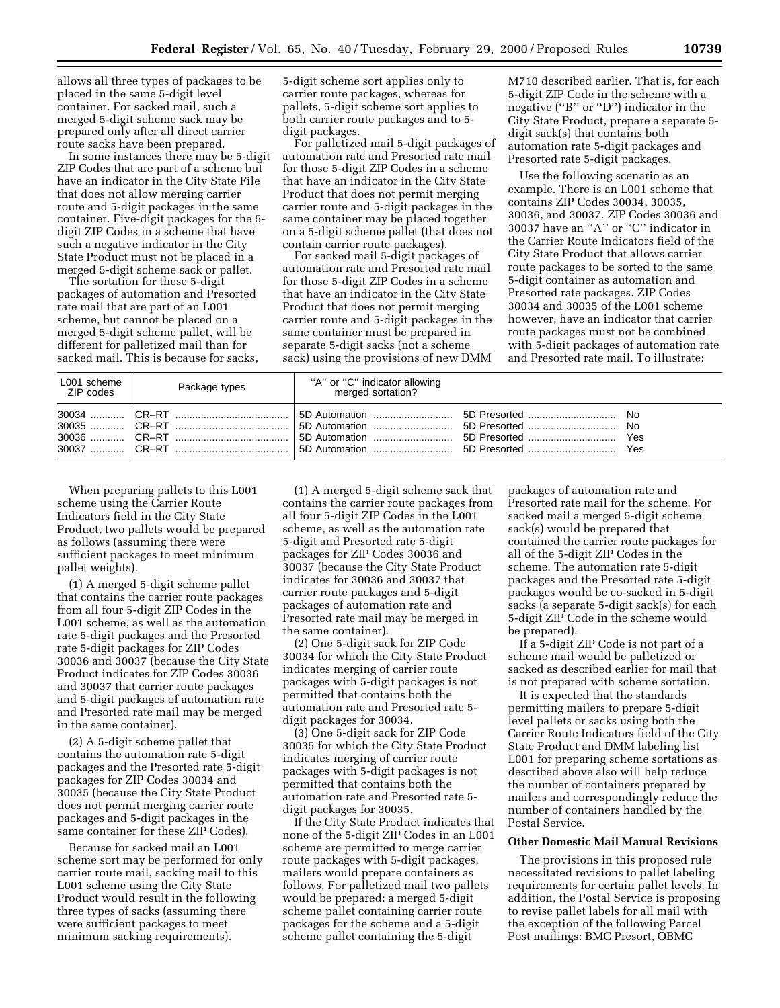allows all three types of packages to be placed in the same 5-digit level container. For sacked mail, such a merged 5-digit scheme sack may be prepared only after all direct carrier route sacks have been prepared.

In some instances there may be 5-digit ZIP Codes that are part of a scheme but have an indicator in the City State File that does not allow merging carrier route and 5-digit packages in the same container. Five-digit packages for the 5 digit ZIP Codes in a scheme that have such a negative indicator in the City State Product must not be placed in a merged 5-digit scheme sack or pallet.

The sortation for these 5-digit packages of automation and Presorted rate mail that are part of an L001 scheme, but cannot be placed on a merged 5-digit scheme pallet, will be different for palletized mail than for sacked mail. This is because for sacks, 5-digit scheme sort applies only to carrier route packages, whereas for pallets, 5-digit scheme sort applies to both carrier route packages and to 5 digit packages.

For palletized mail 5-digit packages of automation rate and Presorted rate mail for those 5-digit ZIP Codes in a scheme that have an indicator in the City State Product that does not permit merging carrier route and 5-digit packages in the same container may be placed together on a 5-digit scheme pallet (that does not contain carrier route packages).

For sacked mail 5-digit packages of automation rate and Presorted rate mail for those 5-digit ZIP Codes in a scheme that have an indicator in the City State Product that does not permit merging carrier route and 5-digit packages in the same container must be prepared in separate 5-digit sacks (not a scheme sack) using the provisions of new DMM M710 described earlier. That is, for each 5-digit ZIP Code in the scheme with a negative (''B'' or ''D'') indicator in the City State Product, prepare a separate 5 digit sack(s) that contains both automation rate 5-digit packages and Presorted rate 5-digit packages.

Use the following scenario as an example. There is an L001 scheme that contains ZIP Codes 30034, 30035, 30036, and 30037. ZIP Codes 30036 and 30037 have an ''A'' or ''C'' indicator in the Carrier Route Indicators field of the City State Product that allows carrier route packages to be sorted to the same 5-digit container as automation and Presorted rate packages. ZIP Codes 30034 and 30035 of the L001 scheme however, have an indicator that carrier route packages must not be combined with 5-digit packages of automation rate and Presorted rate mail. To illustrate:

| L001 scheme<br>ZIP codes | Package types | "A" or "C" indicator allowing<br>merged sortation? |  |
|--------------------------|---------------|----------------------------------------------------|--|
|                          |               |                                                    |  |

When preparing pallets to this L001 scheme using the Carrier Route Indicators field in the City State Product, two pallets would be prepared as follows (assuming there were sufficient packages to meet minimum pallet weights).

(1) A merged 5-digit scheme pallet that contains the carrier route packages from all four 5-digit ZIP Codes in the L001 scheme, as well as the automation rate 5-digit packages and the Presorted rate 5-digit packages for ZIP Codes 30036 and 30037 (because the City State Product indicates for ZIP Codes 30036 and 30037 that carrier route packages and 5-digit packages of automation rate and Presorted rate mail may be merged in the same container).

(2) A 5-digit scheme pallet that contains the automation rate 5-digit packages and the Presorted rate 5-digit packages for ZIP Codes 30034 and 30035 (because the City State Product does not permit merging carrier route packages and 5-digit packages in the same container for these ZIP Codes).

Because for sacked mail an L001 scheme sort may be performed for only carrier route mail, sacking mail to this L001 scheme using the City State Product would result in the following three types of sacks (assuming there were sufficient packages to meet minimum sacking requirements).

(1) A merged 5-digit scheme sack that contains the carrier route packages from all four 5-digit ZIP Codes in the L001 scheme, as well as the automation rate 5-digit and Presorted rate 5-digit packages for ZIP Codes 30036 and 30037 (because the City State Product indicates for 30036 and 30037 that carrier route packages and 5-digit packages of automation rate and Presorted rate mail may be merged in the same container).

(2) One 5-digit sack for ZIP Code 30034 for which the City State Product indicates merging of carrier route packages with 5-digit packages is not permitted that contains both the automation rate and Presorted rate 5 digit packages for 30034.

(3) One 5-digit sack for ZIP Code 30035 for which the City State Product indicates merging of carrier route packages with 5-digit packages is not permitted that contains both the automation rate and Presorted rate 5 digit packages for 30035.

If the City State Product indicates that none of the 5-digit ZIP Codes in an L001 scheme are permitted to merge carrier route packages with 5-digit packages, mailers would prepare containers as follows. For palletized mail two pallets would be prepared: a merged 5-digit scheme pallet containing carrier route packages for the scheme and a 5-digit scheme pallet containing the 5-digit

packages of automation rate and Presorted rate mail for the scheme. For sacked mail a merged 5-digit scheme sack(s) would be prepared that contained the carrier route packages for all of the 5-digit ZIP Codes in the scheme. The automation rate 5-digit packages and the Presorted rate 5-digit packages would be co-sacked in 5-digit sacks (a separate 5-digit sack(s) for each 5-digit ZIP Code in the scheme would be prepared).

If a 5-digit ZIP Code is not part of a scheme mail would be palletized or sacked as described earlier for mail that is not prepared with scheme sortation.

It is expected that the standards permitting mailers to prepare 5-digit level pallets or sacks using both the Carrier Route Indicators field of the City State Product and DMM labeling list L001 for preparing scheme sortations as described above also will help reduce the number of containers prepared by mailers and correspondingly reduce the number of containers handled by the Postal Service.

### **Other Domestic Mail Manual Revisions**

The provisions in this proposed rule necessitated revisions to pallet labeling requirements for certain pallet levels. In addition, the Postal Service is proposing to revise pallet labels for all mail with the exception of the following Parcel Post mailings: BMC Presort, OBMC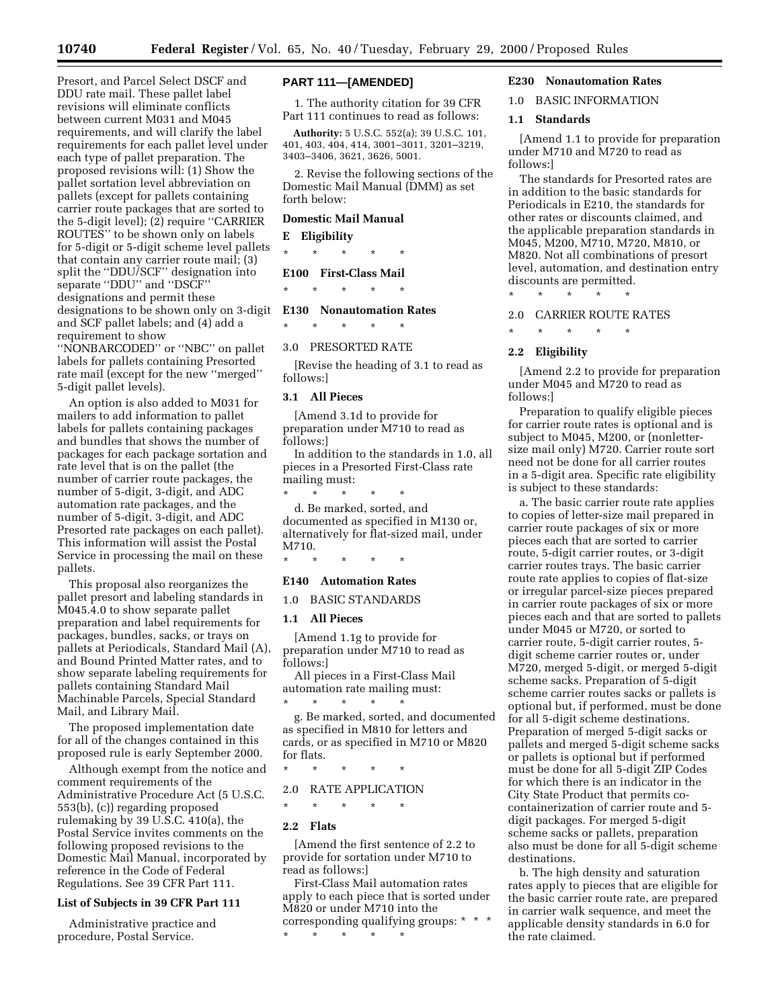Presort, and Parcel Select DSCF and DDU rate mail. These pallet label revisions will eliminate conflicts between current M031 and M045 requirements, and will clarify the label requirements for each pallet level under each type of pallet preparation. The proposed revisions will: (1) Show the pallet sortation level abbreviation on pallets (except for pallets containing carrier route packages that are sorted to the 5-digit level); (2) require ''CARRIER ROUTES'' to be shown only on labels for 5-digit or 5-digit scheme level pallets that contain any carrier route mail; (3) split the ''DDU/SCF'' designation into separate ''DDU'' and ''DSCF'' designations and permit these designations to be shown only on 3-digit and SCF pallet labels; and (4) add a requirement to show

''NONBARCODED'' or ''NBC'' on pallet labels for pallets containing Presorted rate mail (except for the new ''merged'' 5-digit pallet levels).

An option is also added to M031 for mailers to add information to pallet labels for pallets containing packages and bundles that shows the number of packages for each package sortation and rate level that is on the pallet (the number of carrier route packages, the number of 5-digit, 3-digit, and ADC automation rate packages, and the number of 5-digit, 3-digit, and ADC Presorted rate packages on each pallet). This information will assist the Postal Service in processing the mail on these pallets.

This proposal also reorganizes the pallet presort and labeling standards in M045.4.0 to show separate pallet preparation and label requirements for packages, bundles, sacks, or trays on pallets at Periodicals, Standard Mail (A), and Bound Printed Matter rates, and to show separate labeling requirements for pallets containing Standard Mail Machinable Parcels, Special Standard Mail, and Library Mail.

The proposed implementation date for all of the changes contained in this proposed rule is early September 2000.

Although exempt from the notice and comment requirements of the Administrative Procedure Act (5 U.S.C. 553(b), (c)) regarding proposed rulemaking by 39 U.S.C. 410(a), the Postal Service invites comments on the following proposed revisions to the Domestic Mail Manual, incorporated by reference in the Code of Federal Regulations. See 39 CFR Part 111.

#### **List of Subjects in 39 CFR Part 111**

Administrative practice and procedure, Postal Service.

### **PART 111—[AMENDED]**

1. The authority citation for 39 CFR Part 111 continues to read as follows:

**Authority:** 5 U.S.C. 552(a); 39 U.S.C. 101, 401, 403, 404, 414, 3001–3011, 3201–3219, 3403–3406, 3621, 3626, 5001.

2. Revise the following sections of the Domestic Mail Manual (DMM) as set forth below:

### **Domestic Mail Manual**

**E Eligibility**

\* \* \* \* \*

### **E100 First-Class Mail**

\* \* \* \* \* **E130 Nonautomation Rates**

\* \* \* \* \*

3.0 PRESORTED RATE

[Revise the heading of 3.1 to read as follows:]

### **3.1 All Pieces**

[Amend 3.1d to provide for preparation under M710 to read as follows:]

In addition to the standards in 1.0, all pieces in a Presorted First-Class rate mailing must:

\* \* \* \* \* d. Be marked, sorted, and documented as specified in M130 or, alternatively for flat-sized mail, under M710.

# \* \* \* \* \* **E140 Automation Rates**

1.0 BASIC STANDARDS

#### **1.1 All Pieces**

[Amend 1.1g to provide for preparation under M710 to read as follows:]

All pieces in a First-Class Mail automation rate mailing must:

\* \* \* \* \* g. Be marked, sorted, and documented as specified in M810 for letters and cards, or as specified in M710 or M820 for flats.

\* \* \* \* \*

# 2.0 RATE APPLICATION

\* \* \* \* \*

### **2.2 Flats**

[Amend the first sentence of 2.2 to provide for sortation under M710 to read as follows:]

First-Class Mail automation rates apply to each piece that is sorted under M820 or under M710 into the corresponding qualifying groups: \* \* \* \* \* \* \* \*

## **E230 Nonautomation Rates**

1.0 BASIC INFORMATION

#### **1.1 Standards**

[Amend 1.1 to provide for preparation under M710 and M720 to read as follows:]

The standards for Presorted rates are in addition to the basic standards for Periodicals in E210, the standards for other rates or discounts claimed, and the applicable preparation standards in M045, M200, M710, M720, M810, or M820. Not all combinations of presort level, automation, and destination entry discounts are permitted.

#### 2.0 CARRIER ROUTE RATES

\* \* \* \* \*

\* \* \* \* \*

#### **2.2 Eligibility**

[Amend 2.2 to provide for preparation under M045 and M720 to read as follows:]

Preparation to qualify eligible pieces for carrier route rates is optional and is subject to M045, M200, or (nonlettersize mail only) M720. Carrier route sort need not be done for all carrier routes in a 5-digit area. Specific rate eligibility is subject to these standards:

a. The basic carrier route rate applies to copies of letter-size mail prepared in carrier route packages of six or more pieces each that are sorted to carrier route, 5-digit carrier routes, or 3-digit carrier routes trays. The basic carrier route rate applies to copies of flat-size or irregular parcel-size pieces prepared in carrier route packages of six or more pieces each and that are sorted to pallets under M045 or M720, or sorted to carrier route, 5-digit carrier routes, 5 digit scheme carrier routes or, under M720, merged 5-digit, or merged 5-digit scheme sacks. Preparation of 5-digit scheme carrier routes sacks or pallets is optional but, if performed, must be done for all 5-digit scheme destinations. Preparation of merged 5-digit sacks or pallets and merged 5-digit scheme sacks or pallets is optional but if performed must be done for all 5-digit ZIP Codes for which there is an indicator in the City State Product that permits cocontainerization of carrier route and 5 digit packages. For merged 5-digit scheme sacks or pallets, preparation also must be done for all 5-digit scheme destinations.

b. The high density and saturation rates apply to pieces that are eligible for the basic carrier route rate, are prepared in carrier walk sequence, and meet the applicable density standards in 6.0 for the rate claimed.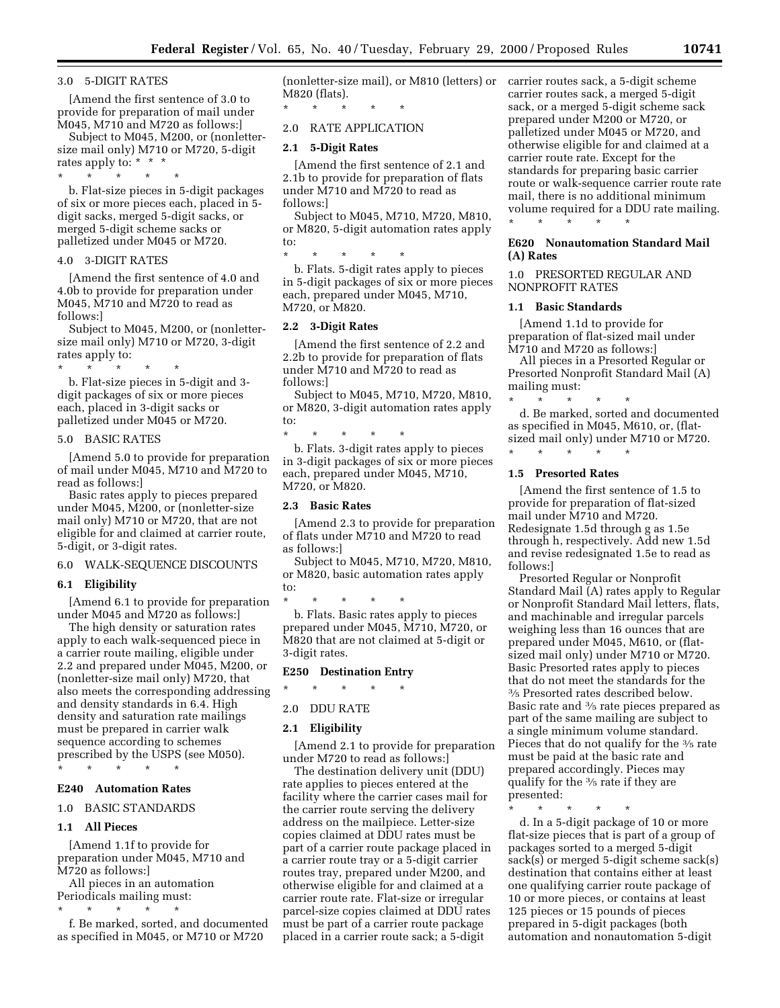#### 3.0 5-DIGIT RATES

[Amend the first sentence of 3.0 to provide for preparation of mail under M045, M710 and M720 as follows:]

Subject to M045, M200, or (nonlettersize mail only) M710 or M720, 5-digit rates apply to: \* \* \*

\* \* \* \* \*

b. Flat-size pieces in 5-digit packages of six or more pieces each, placed in 5 digit sacks, merged 5-digit sacks, or merged 5-digit scheme sacks or palletized under M045 or M720.

### 4.0 3-DIGIT RATES

[Amend the first sentence of 4.0 and 4.0b to provide for preparation under M045, M710 and M720 to read as follows:]

Subject to M045, M200, or (nonlettersize mail only) M710 or M720, 3-digit rates apply to:

\* \* \* \* \*

b. Flat-size pieces in 5-digit and 3 digit packages of six or more pieces each, placed in 3-digit sacks or palletized under M045 or M720.

#### 5.0 BASIC RATES

[Amend 5.0 to provide for preparation of mail under M045, M710 and M720 to read as follows:]

Basic rates apply to pieces prepared under M045, M200, or (nonletter-size mail only) M710 or M720, that are not eligible for and claimed at carrier route, 5-digit, or 3-digit rates.

# 6.0 WALK-SEQUENCE DISCOUNTS

#### **6.1 Eligibility**

[Amend 6.1 to provide for preparation under M045 and M720 as follows:]

The high density or saturation rates apply to each walk-sequenced piece in a carrier route mailing, eligible under 2.2 and prepared under M045, M200, or (nonletter-size mail only) M720, that also meets the corresponding addressing and density standards in 6.4. High density and saturation rate mailings must be prepared in carrier walk sequence according to schemes prescribed by the USPS (see M050). \* \* \* \* \*

### **E240 Automation Rates**

#### 1.0 BASIC STANDARDS

#### **1.1 All Pieces**

[Amend 1.1f to provide for preparation under M045, M710 and M720 as follows:]

All pieces in an automation Periodicals mailing must:

\* \* \* \* \*

f. Be marked, sorted, and documented as specified in M045, or M710 or M720

(nonletter-size mail), or M810 (letters) or carrier routes sack, a 5-digit scheme M820 (flats).

#### 2.0 RATE APPLICATION

\* \* \* \* \*

#### **2.1 5-Digit Rates**

[Amend the first sentence of 2.1 and 2.1b to provide for preparation of flats under M710 and M720 to read as follows:]

Subject to M045, M710, M720, M810, or M820, 5-digit automation rates apply to:

\* \* \* \* \* b. Flats. 5-digit rates apply to pieces in 5-digit packages of six or more pieces each, prepared under M045, M710, M720, or M820.

### **2.2 3-Digit Rates**

[Amend the first sentence of 2.2 and 2.2b to provide for preparation of flats under M710 and M720 to read as follows:]

Subject to M045, M710, M720, M810, or M820, 3-digit automation rates apply to:

\* \* \* \* \* b. Flats. 3-digit rates apply to pieces in 3-digit packages of six or more pieces each, prepared under M045, M710, M720, or M820.

#### **2.3 Basic Rates**

[Amend 2.3 to provide for preparation of flats under M710 and M720 to read as follows:]

Subject to M045, M710, M720, M810, or M820, basic automation rates apply to:

\* \* \* \* \* b. Flats. Basic rates apply to pieces prepared under M045, M710, M720, or M820 that are not claimed at 5-digit or 3-digit rates.

### **E250 Destination Entry**

\* \* \* \* \*

# 2.0 DDU RATE

### **2.1 Eligibility**

[Amend 2.1 to provide for preparation under M720 to read as follows:]

The destination delivery unit (DDU) rate applies to pieces entered at the facility where the carrier cases mail for the carrier route serving the delivery address on the mailpiece. Letter-size copies claimed at DDU rates must be part of a carrier route package placed in a carrier route tray or a 5-digit carrier routes tray, prepared under M200, and otherwise eligible for and claimed at a carrier route rate. Flat-size or irregular parcel-size copies claimed at DDU rates must be part of a carrier route package placed in a carrier route sack; a 5-digit

carrier routes sack, a merged 5-digit sack, or a merged 5-digit scheme sack prepared under M200 or M720, or palletized under M045 or M720, and otherwise eligible for and claimed at a carrier route rate. Except for the standards for preparing basic carrier route or walk-sequence carrier route rate mail, there is no additional minimum volume required for a DDU rate mailing. \* \* \* \* \*

### **E620 Nonautomation Standard Mail (A) Rates**

### 1.0 PRESORTED REGULAR AND NONPROFIT RATES

### **1.1 Basic Standards**

[Amend 1.1d to provide for preparation of flat-sized mail under M710 and M720 as follows:]

All pieces in a Presorted Regular or Presorted Nonprofit Standard Mail (A) mailing must:

\* \* \* \* \* d. Be marked, sorted and documented as specified in M045, M610, or, (flatsized mail only) under M710 or M720.

# \* \* \* \* \* **1.5 Presorted Rates**

[Amend the first sentence of 1.5 to provide for preparation of flat-sized mail under M710 and M720. Redesignate 1.5d through g as 1.5e through h, respectively. Add new 1.5d and revise redesignated 1.5e to read as follows:]

Presorted Regular or Nonprofit Standard Mail (A) rates apply to Regular or Nonprofit Standard Mail letters, flats, and machinable and irregular parcels weighing less than 16 ounces that are prepared under M045, M610, or (flatsized mail only) under M710 or M720. Basic Presorted rates apply to pieces that do not meet the standards for the 3⁄5 Presorted rates described below. Basic rate and 3⁄5 rate pieces prepared as part of the same mailing are subject to a single minimum volume standard. Pieces that do not qualify for the <sup>3</sup>/<sub>5</sub> rate must be paid at the basic rate and prepared accordingly. Pieces may qualify for the 3⁄5 rate if they are presented:

\* \* \* \* \*

d. In a 5-digit package of 10 or more flat-size pieces that is part of a group of packages sorted to a merged 5-digit sack(s) or merged 5-digit scheme sack(s) destination that contains either at least one qualifying carrier route package of 10 or more pieces, or contains at least 125 pieces or 15 pounds of pieces prepared in 5-digit packages (both automation and nonautomation 5-digit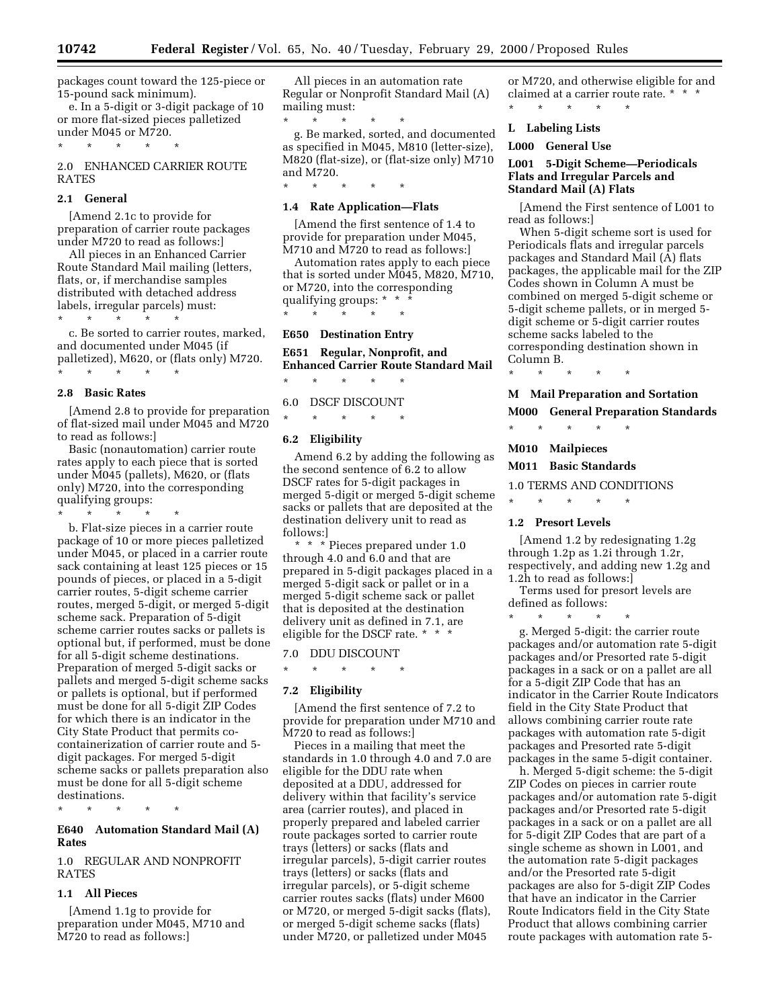packages count toward the 125-piece or 15-pound sack minimum).

e. In a 5-digit or 3-digit package of 10 or more flat-sized pieces palletized under M045 or M720.

\* \* \* \* \*

2.0 ENHANCED CARRIER ROUTE RATES

#### **2.1 General**

[Amend 2.1c to provide for preparation of carrier route packages under M720 to read as follows:]

All pieces in an Enhanced Carrier Route Standard Mail mailing (letters, flats, or, if merchandise samples distributed with detached address labels, irregular parcels) must:

\* \* \* \* \*

c. Be sorted to carrier routes, marked, and documented under M045 (if palletized), M620, or (flats only) M720. \* \* \* \* \*

# **2.8 Basic Rates**

[Amend 2.8 to provide for preparation of flat-sized mail under M045 and M720 to read as follows:]

Basic (nonautomation) carrier route rates apply to each piece that is sorted under M045 (pallets), M620, or (flats only) M720, into the corresponding qualifying groups:

\* \* \* \* \*

b. Flat-size pieces in a carrier route package of 10 or more pieces palletized under M045, or placed in a carrier route sack containing at least 125 pieces or 15 pounds of pieces, or placed in a 5-digit carrier routes, 5-digit scheme carrier routes, merged 5-digit, or merged 5-digit scheme sack. Preparation of 5-digit scheme carrier routes sacks or pallets is optional but, if performed, must be done for all 5-digit scheme destinations. Preparation of merged 5-digit sacks or pallets and merged 5-digit scheme sacks or pallets is optional, but if performed must be done for all 5-digit ZIP Codes for which there is an indicator in the City State Product that permits cocontainerization of carrier route and 5 digit packages. For merged 5-digit scheme sacks or pallets preparation also must be done for all 5-digit scheme destinations.

\* \* \* \* \*

### **E640 Automation Standard Mail (A) Rates**

1.0 REGULAR AND NONPROFIT RATES

### **1.1 All Pieces**

[Amend 1.1g to provide for preparation under M045, M710 and M720 to read as follows:]

All pieces in an automation rate Regular or Nonprofit Standard Mail (A) mailing must:

\* \* \* \* \* g. Be marked, sorted, and documented as specified in M045, M810 (letter-size), M820 (flat-size), or (flat-size only) M710 and M720. \* \* \* \* \*

### **1.4 Rate Application—Flats**

[Amend the first sentence of 1.4 to provide for preparation under M045, M710 and M720 to read as follows:]

Automation rates apply to each piece that is sorted under M045, M820, M710, or M720, into the corresponding qualifying groups: \* \* \* \* \* \* \* \*

#### **E650 Destination Entry**

**E651 Regular, Nonprofit, and Enhanced Carrier Route Standard Mail**

\* \* \* \* \* 6.0 DSCF DISCOUNT

\* \* \* \* \*

### **6.2 Eligibility**

Amend 6.2 by adding the following as the second sentence of 6.2 to allow DSCF rates for 5-digit packages in merged 5-digit or merged 5-digit scheme sacks or pallets that are deposited at the destination delivery unit to read as follows:]

\* \* \* Pieces prepared under 1.0 through 4.0 and 6.0 and that are prepared in 5-digit packages placed in a merged 5-digit sack or pallet or in a merged 5-digit scheme sack or pallet that is deposited at the destination delivery unit as defined in 7.1, are eligible for the DSCF rate. \* \* \*

7.0 DDU DISCOUNT

# \* \* \* \* \*

# **7.2 Eligibility**

[Amend the first sentence of 7.2 to provide for preparation under M710 and M720 to read as follows:]

Pieces in a mailing that meet the standards in 1.0 through 4.0 and 7.0 are eligible for the DDU rate when deposited at a DDU, addressed for delivery within that facility's service area (carrier routes), and placed in properly prepared and labeled carrier route packages sorted to carrier route trays (letters) or sacks (flats and irregular parcels), 5-digit carrier routes trays (letters) or sacks (flats and irregular parcels), or 5-digit scheme carrier routes sacks (flats) under M600 or M720, or merged 5-digit sacks (flats), or merged 5-digit scheme sacks (flats) under M720, or palletized under M045

or M720, and otherwise eligible for and claimed at a carrier route rate. \* \* \* \* \* \* \* \*

### **L Labeling Lists**

**L000 General Use**

### **L001 5-Digit Scheme—Periodicals Flats and Irregular Parcels and Standard Mail (A) Flats**

[Amend the First sentence of L001 to read as follows:]

When 5-digit scheme sort is used for Periodicals flats and irregular parcels packages and Standard Mail (A) flats packages, the applicable mail for the ZIP Codes shown in Column A must be combined on merged 5-digit scheme or 5-digit scheme pallets, or in merged 5 digit scheme or 5-digit carrier routes scheme sacks labeled to the corresponding destination shown in Column B.

\* \* \* \* \*

**M Mail Preparation and Sortation M000 General Preparation Standards**

\* \* \* \* \*

**M010 Mailpieces**

#### **M011 Basic Standards**

\* \* \* \* \*

\* \* \* \* \*

1.0 TERMS AND CONDITIONS

### **1.2 Presort Levels**

[Amend 1.2 by redesignating 1.2g through 1.2p as 1.2i through 1.2r, respectively, and adding new 1.2g and 1.2h to read as follows:]

Terms used for presort levels are defined as follows:

g. Merged 5-digit: the carrier route packages and/or automation rate 5-digit packages and/or Presorted rate 5-digit packages in a sack or on a pallet are all for a 5-digit ZIP Code that has an indicator in the Carrier Route Indicators field in the City State Product that allows combining carrier route rate packages with automation rate 5-digit packages and Presorted rate 5-digit packages in the same 5-digit container.

h. Merged 5-digit scheme: the 5-digit ZIP Codes on pieces in carrier route packages and/or automation rate 5-digit packages and/or Presorted rate 5-digit packages in a sack or on a pallet are all for 5-digit ZIP Codes that are part of a single scheme as shown in L001, and the automation rate 5-digit packages and/or the Presorted rate 5-digit packages are also for 5-digit ZIP Codes that have an indicator in the Carrier Route Indicators field in the City State Product that allows combining carrier route packages with automation rate 5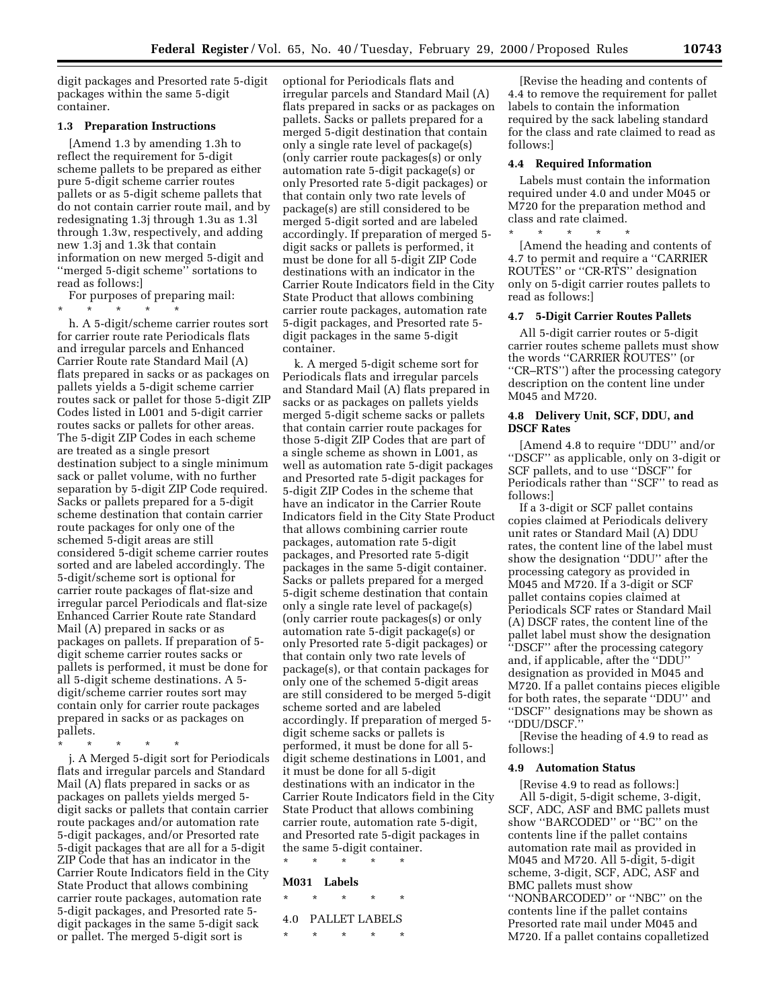digit packages and Presorted rate 5-digit packages within the same 5-digit container.

#### **1.3 Preparation Instructions**

[Amend 1.3 by amending 1.3h to reflect the requirement for 5-digit scheme pallets to be prepared as either pure 5-digit scheme carrier routes pallets or as 5-digit scheme pallets that do not contain carrier route mail, and by redesignating 1.3j through 1.3u as 1.3l through 1.3w, respectively, and adding new 1.3j and 1.3k that contain information on new merged 5-digit and ''merged 5-digit scheme'' sortations to read as follows:]

For purposes of preparing mail:

\* \* \* \* \* h. A 5-digit/scheme carrier routes sort for carrier route rate Periodicals flats and irregular parcels and Enhanced Carrier Route rate Standard Mail (A) flats prepared in sacks or as packages on pallets yields a 5-digit scheme carrier routes sack or pallet for those 5-digit ZIP Codes listed in L001 and 5-digit carrier routes sacks or pallets for other areas. The 5-digit ZIP Codes in each scheme are treated as a single presort destination subject to a single minimum sack or pallet volume, with no further separation by 5-digit ZIP Code required. Sacks or pallets prepared for a 5-digit scheme destination that contain carrier route packages for only one of the schemed 5-digit areas are still considered 5-digit scheme carrier routes sorted and are labeled accordingly. The 5-digit/scheme sort is optional for carrier route packages of flat-size and irregular parcel Periodicals and flat-size Enhanced Carrier Route rate Standard Mail (A) prepared in sacks or as packages on pallets. If preparation of 5 digit scheme carrier routes sacks or pallets is performed, it must be done for all 5-digit scheme destinations. A 5 digit/scheme carrier routes sort may contain only for carrier route packages prepared in sacks or as packages on pallets.

\* \* \* \* \*

j. A Merged 5-digit sort for Periodicals flats and irregular parcels and Standard Mail (A) flats prepared in sacks or as packages on pallets yields merged 5 digit sacks or pallets that contain carrier route packages and/or automation rate 5-digit packages, and/or Presorted rate 5-digit packages that are all for a 5-digit ZIP Code that has an indicator in the Carrier Route Indicators field in the City State Product that allows combining carrier route packages, automation rate 5-digit packages, and Presorted rate 5 digit packages in the same 5-digit sack or pallet. The merged 5-digit sort is

optional for Periodicals flats and irregular parcels and Standard Mail (A) flats prepared in sacks or as packages on pallets. Sacks or pallets prepared for a merged 5-digit destination that contain only a single rate level of package(s) (only carrier route packages(s) or only automation rate 5-digit package(s) or only Presorted rate 5-digit packages) or that contain only two rate levels of package(s) are still considered to be merged 5-digit sorted and are labeled accordingly. If preparation of merged 5 digit sacks or pallets is performed, it must be done for all 5-digit ZIP Code destinations with an indicator in the Carrier Route Indicators field in the City State Product that allows combining carrier route packages, automation rate 5-digit packages, and Presorted rate 5 digit packages in the same 5-digit container.

k. A merged 5-digit scheme sort for Periodicals flats and irregular parcels and Standard Mail (A) flats prepared in sacks or as packages on pallets yields merged 5-digit scheme sacks or pallets that contain carrier route packages for those 5-digit ZIP Codes that are part of a single scheme as shown in L001, as well as automation rate 5-digit packages and Presorted rate 5-digit packages for 5-digit ZIP Codes in the scheme that have an indicator in the Carrier Route Indicators field in the City State Product that allows combining carrier route packages, automation rate 5-digit packages, and Presorted rate 5-digit packages in the same 5-digit container. Sacks or pallets prepared for a merged 5-digit scheme destination that contain only a single rate level of package(s) (only carrier route packages(s) or only automation rate 5-digit package(s) or only Presorted rate 5-digit packages) or that contain only two rate levels of package(s), or that contain packages for only one of the schemed 5-digit areas are still considered to be merged 5-digit scheme sorted and are labeled accordingly. If preparation of merged 5 digit scheme sacks or pallets is performed, it must be done for all 5 digit scheme destinations in L001, and it must be done for all 5-digit destinations with an indicator in the Carrier Route Indicators field in the City State Product that allows combining carrier route, automation rate 5-digit, and Presorted rate 5-digit packages in the same 5-digit container. \* \* \* \* \*

#### **M031 Labels**

- \* \* \* \* \* 4.0 PALLET LABELS
- \* \* \* \* \*

[Revise the heading and contents of 4.4 to remove the requirement for pallet labels to contain the information required by the sack labeling standard for the class and rate claimed to read as follows:]

#### **4.4 Required Information**

Labels must contain the information required under 4.0 and under M045 or M720 for the preparation method and class and rate claimed.

\* \* \* \* \* [Amend the heading and contents of 4.7 to permit and require a ''CARRIER ROUTES'' or ''CR-RTS'' designation only on 5-digit carrier routes pallets to read as follows:]

#### **4.7 5-Digit Carrier Routes Pallets**

All 5-digit carrier routes or 5-digit carrier routes scheme pallets must show the words ''CARRIER ROUTES'' (or ''CR–RTS'') after the processing category description on the content line under M045 and M720.

### **4.8 Delivery Unit, SCF, DDU, and DSCF Rates**

[Amend 4.8 to require ''DDU'' and/or ''DSCF'' as applicable, only on 3-digit or SCF pallets, and to use ''DSCF'' for Periodicals rather than ''SCF'' to read as follows:]

If a 3-digit or SCF pallet contains copies claimed at Periodicals delivery unit rates or Standard Mail (A) DDU rates, the content line of the label must show the designation ''DDU'' after the processing category as provided in M045 and M720. If a 3-digit or SCF pallet contains copies claimed at Periodicals SCF rates or Standard Mail (A) DSCF rates, the content line of the pallet label must show the designation ''DSCF'' after the processing category and, if applicable, after the ''DDU'' designation as provided in M045 and M720. If a pallet contains pieces eligible for both rates, the separate ''DDU'' and ''DSCF'' designations may be shown as ''DDU/DSCF.''

[Revise the heading of 4.9 to read as follows:]

### **4.9 Automation Status**

[Revise 4.9 to read as follows:] All 5-digit, 5-digit scheme, 3-digit, SCF, ADC, ASF and BMC pallets must show ''BARCODED'' or ''BC'' on the contents line if the pallet contains automation rate mail as provided in M045 and M720. All 5-digit, 5-digit scheme, 3-digit, SCF, ADC, ASF and BMC pallets must show ''NONBARCODED'' or ''NBC'' on the contents line if the pallet contains Presorted rate mail under M045 and M720. If a pallet contains copalletized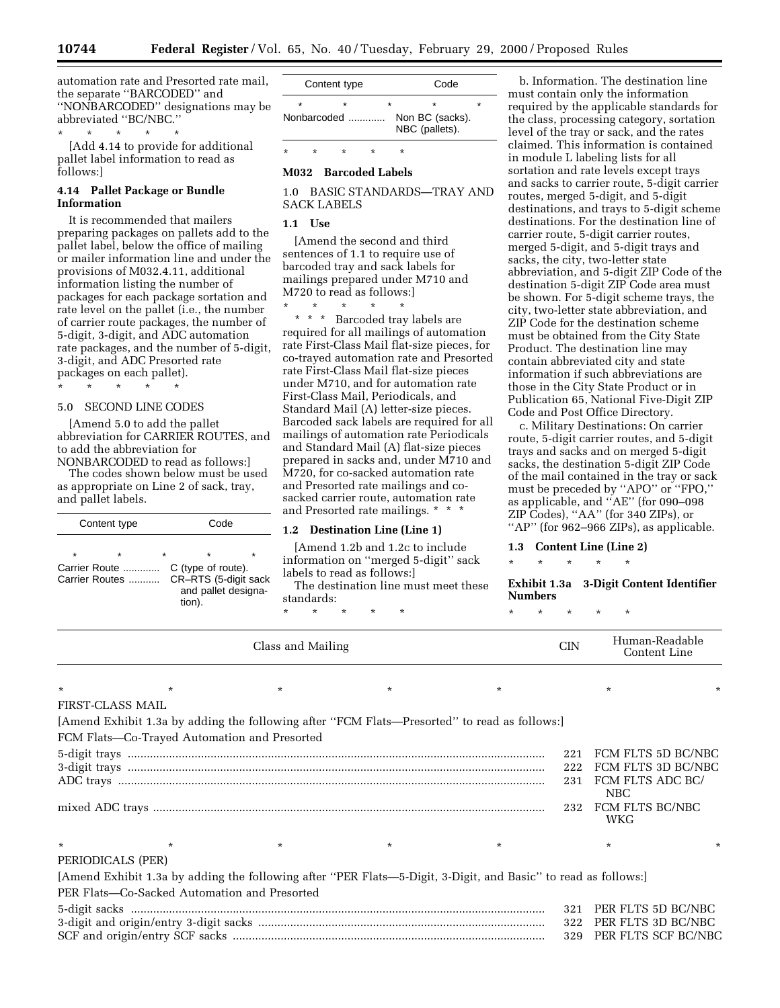automation rate and Presorted rate mail, the separate ''BARCODED'' and ''NONBARCODED'' designations may be abbreviated ''BC/NBC.''

\* \* \* \* \* [Add 4.14 to provide for additional pallet label information to read as follows:]

### **4.14 Pallet Package or Bundle Information**

It is recommended that mailers preparing packages on pallets add to the pallet label, below the office of mailing or mailer information line and under the provisions of M032.4.11, additional information listing the number of packages for each package sortation and rate level on the pallet (i.e., the number of carrier route packages, the number of 5-digit, 3-digit, and ADC automation rate packages, and the number of 5-digit, 3-digit, and ADC Presorted rate packages on each pallet).

\* \* \* \* \*

# 5.0 SECOND LINE CODES

[Amend 5.0 to add the pallet abbreviation for CARRIER ROUTES, and to add the abbreviation for NONBARCODED to read as follows:]

The codes shown below must be used as appropriate on Line 2 of sack, tray, and pallet labels.

| Content type                                          | Code                                                                                                   |  |  |
|-------------------------------------------------------|--------------------------------------------------------------------------------------------------------|--|--|
| $\star$<br>$\star$<br>Carrier Route<br>Carrier Routes | $\star$<br>$\star$<br>÷<br>C (type of route).<br>CR-RTS (5-digit sack<br>and pallet designa-<br>tion). |  |  |

|             | Content type |  | Code                              |  |  |
|-------------|--------------|--|-----------------------------------|--|--|
| $\star$     |              |  |                                   |  |  |
| Nonbarcoded |              |  | Non BC (sacks).<br>NBC (pallets). |  |  |
|             |              |  |                                   |  |  |

# \* \* \* \* \* **M032 Barcoded Labels**

1.0 BASIC STANDARDS—TRAY AND SACK LABELS

### **1.1 Use**

[Amend the second and third sentences of 1.1 to require use of barcoded tray and sack labels for mailings prepared under M710 and M720 to read as follows:]

\* \* \* \* \* \* \* \* Barcoded tray labels are required for all mailings of automation rate First-Class Mail flat-size pieces, for co-trayed automation rate and Presorted rate First-Class Mail flat-size pieces under M710, and for automation rate First-Class Mail, Periodicals, and Standard Mail (A) letter-size pieces. Barcoded sack labels are required for all mailings of automation rate Periodicals and Standard Mail (A) flat-size pieces prepared in sacks and, under M710 and M720, for co-sacked automation rate and Presorted rate mailings and cosacked carrier route, automation rate and Presorted rate mailings. \* \* \*

### **1.2 Destination Line (Line 1)**

[Amend 1.2b and 1.2c to include information on ''merged 5-digit'' sack labels to read as follows:]

The destination line must meet these standards:

\* \* \* \* \*

b. Information. The destination line must contain only the information required by the applicable standards for the class, processing category, sortation level of the tray or sack, and the rates claimed. This information is contained in module L labeling lists for all sortation and rate levels except trays and sacks to carrier route, 5-digit carrier routes, merged 5-digit, and 5-digit destinations, and trays to 5-digit scheme destinations. For the destination line of carrier route, 5-digit carrier routes, merged 5-digit, and 5-digit trays and sacks, the city, two-letter state abbreviation, and 5-digit ZIP Code of the destination 5-digit ZIP Code area must be shown. For 5-digit scheme trays, the city, two-letter state abbreviation, and ZIP Code for the destination scheme must be obtained from the City State Product. The destination line may contain abbreviated city and state information if such abbreviations are those in the City State Product or in Publication 65, National Five-Digit ZIP Code and Post Office Directory.

c. Military Destinations: On carrier route, 5-digit carrier routes, and 5-digit trays and sacks and on merged 5-digit sacks, the destination 5-digit ZIP Code of the mail contained in the tray or sack must be preceded by ''APO'' or ''FPO,'' as applicable, and ''AE'' (for 090–098 ZIP Codes), ''AA'' (for 340 ZIPs), or "AP" (for 962–966 ZIPs), as applicable.

#### **1.3 Content Line (Line 2)**

\* \* \* \* \*

**Exhibit 1.3a 3-Digit Content Identifier Numbers**

\* \* \* \* \*

|         |                                                                                                                                                                                                                                                                                                                                                                                                                                                                                                                                                                      | Class and Mailing |        |         | <b>CIN</b> | Human-Readable<br>Content Line |                    |
|---------|----------------------------------------------------------------------------------------------------------------------------------------------------------------------------------------------------------------------------------------------------------------------------------------------------------------------------------------------------------------------------------------------------------------------------------------------------------------------------------------------------------------------------------------------------------------------|-------------------|--------|---------|------------|--------------------------------|--------------------|
| $\star$ | $\star$                                                                                                                                                                                                                                                                                                                                                                                                                                                                                                                                                              | $\ast$            | $\ast$ | $\star$ |            |                                |                    |
|         | <b>FIRST-CLASS MAIL</b>                                                                                                                                                                                                                                                                                                                                                                                                                                                                                                                                              |                   |        |         |            |                                |                    |
|         |                                                                                                                                                                                                                                                                                                                                                                                                                                                                                                                                                                      |                   |        |         |            |                                |                    |
|         | [Amend Exhibit 1.3a by adding the following after "FCM Flats—Presorted" to read as follows:]                                                                                                                                                                                                                                                                                                                                                                                                                                                                         |                   |        |         |            |                                |                    |
|         | FCM Flats-Co-Trayed Automation and Presorted                                                                                                                                                                                                                                                                                                                                                                                                                                                                                                                         |                   |        |         |            |                                |                    |
|         |                                                                                                                                                                                                                                                                                                                                                                                                                                                                                                                                                                      |                   |        |         | 221        |                                | FCM FLTS 5D BC/NBC |
|         | $\begin{minipage}{0.9\linewidth} 5-digit traps  \end{minipage} \begin{minipage}{0.9\linewidth} 5-digit traps  \end{minipage} \begin{minipage}{0.9\linewidth} 5-digit traps  \end{minipage} \begin{minipage}{0.9\linewidth} 5-digit traps  \end{minipage} \begin{minipage}{0.9\linewidth} 5-digit traps  \end{minipage} \begin{minipage}{0.9\linewidth} 5-digit traps  \end{minipage} \begin{minipage}{0.9\linewidth} 5-digit traps  \end{minipage} \begin{minipage}{0.9\linewidth} 5-weightedspace} \begin{minipage}{0.9\linewidth} 5-weightedspace} \end{minipage}$ |                   |        |         |            | 222 FCM FLTS 3D BC/NBC         |                    |
|         |                                                                                                                                                                                                                                                                                                                                                                                                                                                                                                                                                                      |                   |        |         | 231        | FCM FLTS ADC BC/               |                    |
|         |                                                                                                                                                                                                                                                                                                                                                                                                                                                                                                                                                                      |                   |        |         |            | NBC                            |                    |
|         |                                                                                                                                                                                                                                                                                                                                                                                                                                                                                                                                                                      |                   |        |         |            | 232 FCM FLTS BC/NBC            |                    |
|         |                                                                                                                                                                                                                                                                                                                                                                                                                                                                                                                                                                      |                   |        |         |            | WKG                            |                    |
| $\star$ | $\star$                                                                                                                                                                                                                                                                                                                                                                                                                                                                                                                                                              | $\star$           | $\ast$ | $\star$ |            | $\star$                        |                    |
|         | PERIODICALS (PER)                                                                                                                                                                                                                                                                                                                                                                                                                                                                                                                                                    |                   |        |         |            |                                |                    |
|         | [Amend Exhibit 1.3a by adding the following after "PER Flats—5-Digit, 3-Digit, and Basic" to read as follows:]                                                                                                                                                                                                                                                                                                                                                                                                                                                       |                   |        |         |            |                                |                    |
|         | PER Flats-Co-Sacked Automation and Presorted                                                                                                                                                                                                                                                                                                                                                                                                                                                                                                                         |                   |        |         |            |                                |                    |
|         |                                                                                                                                                                                                                                                                                                                                                                                                                                                                                                                                                                      |                   |        |         |            | 321 PER FLTS 5D BC/NBC         |                    |
|         |                                                                                                                                                                                                                                                                                                                                                                                                                                                                                                                                                                      |                   |        |         |            | 322 PER FLTS 3D BC/NBC         |                    |
|         |                                                                                                                                                                                                                                                                                                                                                                                                                                                                                                                                                                      |                   |        |         |            | 329 PER FLTS SCF BC/NBC        |                    |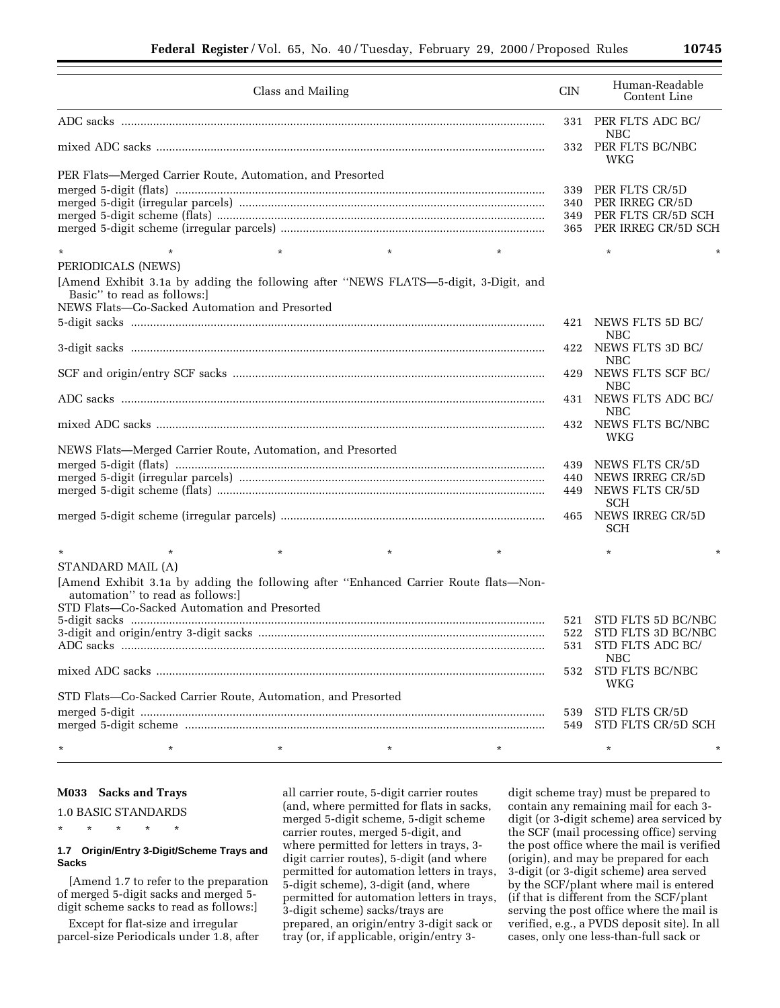| Class and Mailing                                                                                                 | <b>CIN</b> | Human-Readable<br>Content Line            |
|-------------------------------------------------------------------------------------------------------------------|------------|-------------------------------------------|
|                                                                                                                   | 331        | PER FLTS ADC BC/<br>NBC                   |
|                                                                                                                   | 332        | PER FLTS BC/NBC<br>WKG                    |
| PER Flats—Merged Carrier Route, Automation, and Presorted                                                         |            |                                           |
|                                                                                                                   | 339        | PER FLTS CR/5D                            |
|                                                                                                                   | 340        | PER IRREG CR/5D                           |
|                                                                                                                   | 349        | PER FLTS CR/5D SCH<br>PER IRREG CR/5D SCH |
|                                                                                                                   | 365        |                                           |
| $\star$<br>$\star$<br>$\star$                                                                                     |            | $\star$                                   |
| PERIODICALS (NEWS)                                                                                                |            |                                           |
| [Amend Exhibit 3.1a by adding the following after "NEWS FLATS-5-digit, 3-Digit, and<br>Basic" to read as follows: |            |                                           |
| NEWS Flats-Co-Sacked Automation and Presorted                                                                     |            |                                           |
|                                                                                                                   | 421        | NEWS FLTS 5D BC/<br>NBC                   |
|                                                                                                                   | 422        | NEWS FLTS 3D BC/<br><b>NBC</b>            |
|                                                                                                                   | 429        | NEWS FLTS SCF BC/<br><b>NBC</b>           |
|                                                                                                                   | 431        | NEWS FLTS ADC BC/<br>NBC                  |
|                                                                                                                   | 432        | NEWS FLTS BC/NBC<br>WKG                   |
| NEWS Flats-Merged Carrier Route, Automation, and Presorted                                                        |            |                                           |
|                                                                                                                   | 439        | NEWS FLTS CR/5D                           |
|                                                                                                                   | 440        | NEWS IRREG CR/5D                          |
|                                                                                                                   | 449        | NEWS FLTS CR/5D                           |
|                                                                                                                   | 465        | SCH<br>NEWS IRREG CR/5D                   |
|                                                                                                                   |            | <b>SCH</b>                                |
| $\star$<br>$\star$<br>$\star$                                                                                     |            | $^\star$                                  |
| STANDARD MAIL (A)                                                                                                 |            |                                           |
| [Amend Exhibit 3.1a by adding the following after "Enhanced Carrier Route flats-Non-                              |            |                                           |
| automation" to read as follows:<br>STD Flats-Co-Sacked Automation and Presorted                                   |            |                                           |
|                                                                                                                   | 521        | STD FLTS 5D BC/NBC                        |
|                                                                                                                   | 522        | STD FLTS 3D BC/NBC                        |
|                                                                                                                   | 531        | STD FLTS ADC BC/                          |
|                                                                                                                   | 532        | <b>NBC</b><br>STD FLTS BC/NBC             |
| STD Flats-Co-Sacked Carrier Route, Automation, and Presorted                                                      |            | WKG                                       |
|                                                                                                                   | 539        | STD FLTS CR/5D                            |
|                                                                                                                   | 549        | STD FLTS CR/5D SCH                        |
| $\star$<br>*<br>$^\star$<br>$^\star$<br>$^\star$                                                                  |            | $^\star$                                  |

#### **M033 Sacks and Trays**

1.0 BASIC STANDARDS

\* \* \* \* \*

### **1.7 Origin/Entry 3-Digit/Scheme Trays and Sacks**

[Amend 1.7 to refer to the preparation of merged 5-digit sacks and merged 5 digit scheme sacks to read as follows:]

Except for flat-size and irregular parcel-size Periodicals under 1.8, after all carrier route, 5-digit carrier routes (and, where permitted for flats in sacks, merged 5-digit scheme, 5-digit scheme carrier routes, merged 5-digit, and where permitted for letters in trays, 3 digit carrier routes), 5-digit (and where permitted for automation letters in trays, 5-digit scheme), 3-digit (and, where permitted for automation letters in trays, 3-digit scheme) sacks/trays are prepared, an origin/entry 3-digit sack or tray (or, if applicable, origin/entry 3-

digit scheme tray) must be prepared to contain any remaining mail for each 3 digit (or 3-digit scheme) area serviced by the SCF (mail processing office) serving the post office where the mail is verified (origin), and may be prepared for each 3-digit (or 3-digit scheme) area served by the SCF/plant where mail is entered (if that is different from the SCF/plant serving the post office where the mail is verified, e.g., a PVDS deposit site). In all cases, only one less-than-full sack or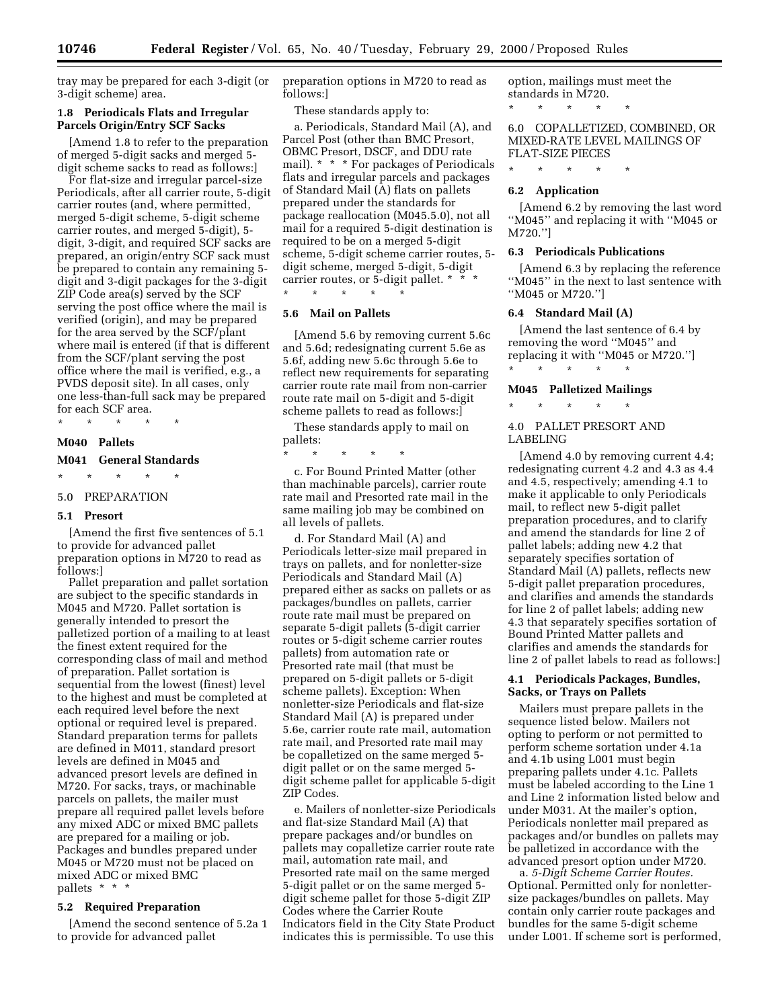tray may be prepared for each 3-digit (or 3-digit scheme) area.

### **1.8 Periodicals Flats and Irregular Parcels Origin/Entry SCF Sacks**

[Amend 1.8 to refer to the preparation of merged 5-digit sacks and merged 5 digit scheme sacks to read as follows:]

For flat-size and irregular parcel-size Periodicals, after all carrier route, 5-digit carrier routes (and, where permitted, merged 5-digit scheme, 5-digit scheme carrier routes, and merged 5-digit), 5 digit, 3-digit, and required SCF sacks are prepared, an origin/entry SCF sack must be prepared to contain any remaining 5 digit and 3-digit packages for the 3-digit ZIP Code area(s) served by the SCF serving the post office where the mail is verified (origin), and may be prepared for the area served by the SCF/plant where mail is entered (if that is different from the SCF/plant serving the post office where the mail is verified, e.g., a PVDS deposit site). In all cases, only one less-than-full sack may be prepared for each SCF area.

\* \* \* \* \*

### **M040 Pallets**

### **M041 General Standards**

\* \* \* \* \*

# 5.0 PREPARATION

### **5.1 Presort**

[Amend the first five sentences of 5.1 to provide for advanced pallet preparation options in M720 to read as follows:]

Pallet preparation and pallet sortation are subject to the specific standards in M045 and M720. Pallet sortation is generally intended to presort the palletized portion of a mailing to at least the finest extent required for the corresponding class of mail and method of preparation. Pallet sortation is sequential from the lowest (finest) level to the highest and must be completed at each required level before the next optional or required level is prepared. Standard preparation terms for pallets are defined in M011, standard presort levels are defined in M045 and advanced presort levels are defined in M720. For sacks, trays, or machinable parcels on pallets, the mailer must prepare all required pallet levels before any mixed ADC or mixed BMC pallets are prepared for a mailing or job. Packages and bundles prepared under M045 or M720 must not be placed on mixed ADC or mixed BMC pallets \* \* \*

#### **5.2 Required Preparation**

[Amend the second sentence of 5.2a 1 to provide for advanced pallet

preparation options in M720 to read as follows:]

These standards apply to:

a. Periodicals, Standard Mail (A), and Parcel Post (other than BMC Presort, OBMC Presort, DSCF, and DDU rate mail). \* \* \* For packages of Periodicals flats and irregular parcels and packages of Standard Mail (A) flats on pallets prepared under the standards for package reallocation (M045.5.0), not all mail for a required 5-digit destination is required to be on a merged 5-digit scheme, 5-digit scheme carrier routes, 5 digit scheme, merged 5-digit, 5-digit carrier routes, or 5-digit pallet. \* \* \* \* \* \* \* \*

### **5.6 Mail on Pallets**

[Amend 5.6 by removing current 5.6c and 5.6d; redesignating current 5.6e as 5.6f, adding new 5.6c through 5.6e to reflect new requirements for separating carrier route rate mail from non-carrier route rate mail on 5-digit and 5-digit scheme pallets to read as follows:]

These standards apply to mail on pallets:

\* \* \* \* \*

c. For Bound Printed Matter (other than machinable parcels), carrier route rate mail and Presorted rate mail in the same mailing job may be combined on all levels of pallets.

d. For Standard Mail (A) and Periodicals letter-size mail prepared in trays on pallets, and for nonletter-size Periodicals and Standard Mail (A) prepared either as sacks on pallets or as packages/bundles on pallets, carrier route rate mail must be prepared on separate 5-digit pallets (5-digit carrier routes or 5-digit scheme carrier routes pallets) from automation rate or Presorted rate mail (that must be prepared on 5-digit pallets or 5-digit scheme pallets). Exception: When nonletter-size Periodicals and flat-size Standard Mail (A) is prepared under 5.6e, carrier route rate mail, automation rate mail, and Presorted rate mail may be copalletized on the same merged 5 digit pallet or on the same merged 5 digit scheme pallet for applicable 5-digit ZIP Codes.

e. Mailers of nonletter-size Periodicals and flat-size Standard Mail (A) that prepare packages and/or bundles on pallets may copalletize carrier route rate mail, automation rate mail, and Presorted rate mail on the same merged 5-digit pallet or on the same merged 5 digit scheme pallet for those 5-digit ZIP Codes where the Carrier Route Indicators field in the City State Product indicates this is permissible. To use this

option, mailings must meet the standards in M720. \* \* \* \* \*

6.0 COPALLETIZED, COMBINED, OR MIXED-RATE LEVEL MAILINGS OF FLAT-SIZE PIECES

\* \* \* \* \*

#### **6.2 Application**

[Amend 6.2 by removing the last word ''M045'' and replacing it with ''M045 or M720.'']

### **6.3 Periodicals Publications**

[Amend 6.3 by replacing the reference ''M045'' in the next to last sentence with ''M045 or M720.'']

#### **6.4 Standard Mail (A)**

[Amend the last sentence of 6.4 by removing the word ''M045'' and replacing it with ''M045 or M720.''] \* \* \* \* \*

### **M045 Palletized Mailings**

\* \* \* \* \*

### 4.0 PALLET PRESORT AND LABELING

[Amend 4.0 by removing current 4.4; redesignating current 4.2 and 4.3 as 4.4 and 4.5, respectively; amending 4.1 to make it applicable to only Periodicals mail, to reflect new 5-digit pallet preparation procedures, and to clarify and amend the standards for line 2 of pallet labels; adding new 4.2 that separately specifies sortation of Standard Mail (A) pallets, reflects new 5-digit pallet preparation procedures, and clarifies and amends the standards for line 2 of pallet labels; adding new 4.3 that separately specifies sortation of Bound Printed Matter pallets and clarifies and amends the standards for line 2 of pallet labels to read as follows:]

### **4.1 Periodicals Packages, Bundles, Sacks, or Trays on Pallets**

Mailers must prepare pallets in the sequence listed below. Mailers not opting to perform or not permitted to perform scheme sortation under 4.1a and 4.1b using L001 must begin preparing pallets under 4.1c. Pallets must be labeled according to the Line 1 and Line 2 information listed below and under M031. At the mailer's option, Periodicals nonletter mail prepared as packages and/or bundles on pallets may be palletized in accordance with the advanced presort option under M720.

a. *5-Digit Scheme Carrier Routes.* Optional. Permitted only for nonlettersize packages/bundles on pallets. May contain only carrier route packages and bundles for the same 5-digit scheme under L001. If scheme sort is performed,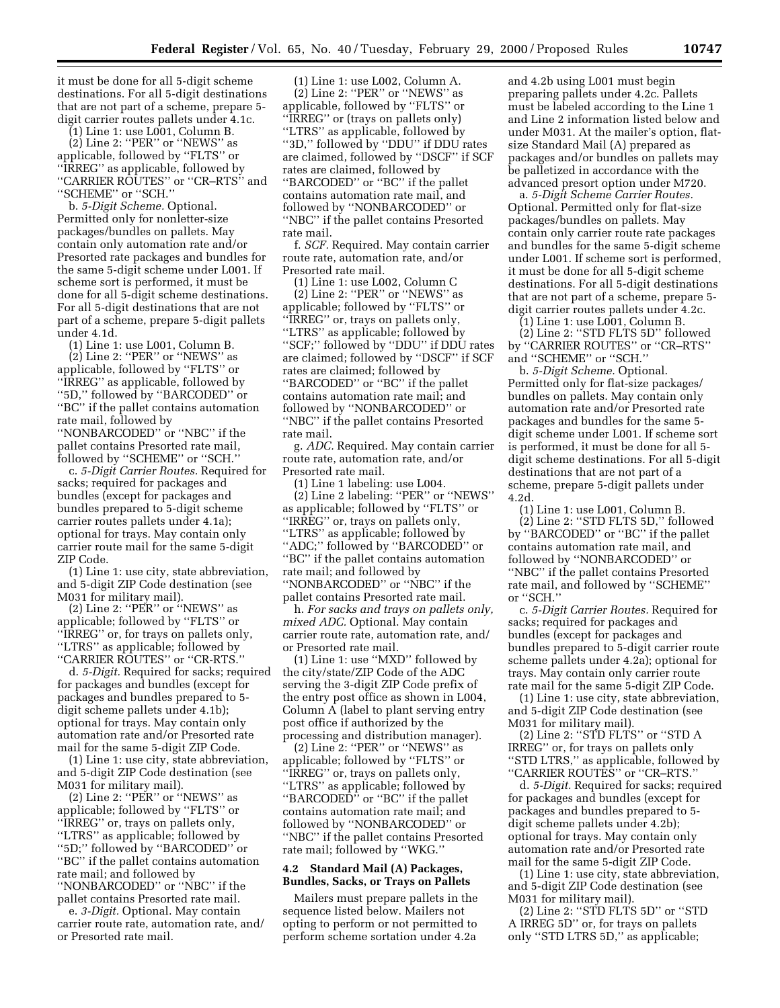it must be done for all 5-digit scheme destinations. For all 5-digit destinations that are not part of a scheme, prepare 5 digit carrier routes pallets under 4.1c.

(1) Line 1: use L001, Column B.

(2) Line 2: ''PER'' or ''NEWS'' as applicable, followed by ''FLTS'' or ''IRREG'' as applicable, followed by "CARRIER ROUTES" or "CR–RTS" and ''SCHEME'' or ''SCH.''

b. *5-Digit Scheme.* Optional. Permitted only for nonletter-size packages/bundles on pallets. May contain only automation rate and/or Presorted rate packages and bundles for the same 5-digit scheme under L001. If scheme sort is performed, it must be done for all 5-digit scheme destinations. For all 5-digit destinations that are not part of a scheme, prepare 5-digit pallets under 4.1d.

(1) Line 1: use L001, Column B. (2) Line 2: ''PER'' or ''NEWS'' as applicable, followed by ''FLTS'' or ''IRREG'' as applicable, followed by ''5D,'' followed by ''BARCODED'' or ''BC'' if the pallet contains automation

rate mail, followed by ''NONBARCODED'' or ''NBC'' if the pallet contains Presorted rate mail, followed by ''SCHEME'' or ''SCH.''

c. *5-Digit Carrier Routes.* Required for sacks; required for packages and bundles (except for packages and bundles prepared to 5-digit scheme carrier routes pallets under 4.1a); optional for trays. May contain only carrier route mail for the same 5-digit ZIP Code.

(1) Line 1: use city, state abbreviation, and 5-digit ZIP Code destination (see M031 for military mail).

 $(2)$  Line 2: "PER" or "NEWS" as applicable; followed by ''FLTS'' or ''IRREG'' or, for trays on pallets only, ''LTRS'' as applicable; followed by ''CARRIER ROUTES'' or ''CR-RTS.''

d. *5-Digit.* Required for sacks; required for packages and bundles (except for packages and bundles prepared to 5 digit scheme pallets under 4.1b); optional for trays. May contain only automation rate and/or Presorted rate mail for the same 5-digit ZIP Code.

(1) Line 1: use city, state abbreviation, and 5-digit ZIP Code destination (see M031 for military mail).

(2) Line 2: " $PER$ " or "NEWS" as applicable; followed by ''FLTS'' or ''IRREG'' or, trays on pallets only, ''LTRS'' as applicable; followed by ''5D;'' followed by ''BARCODED'' or ''BC'' if the pallet contains automation rate mail; and followed by ''NONBARCODED'' or ''NBC'' if the pallet contains Presorted rate mail.

e. *3-Digit.* Optional. May contain carrier route rate, automation rate, and/ or Presorted rate mail.

(1) Line 1: use L002, Column A. (2) Line 2: ''PER'' or ''NEWS'' as applicable, followed by ''FLTS'' or ''IRREG'' or (trays on pallets only) ''LTRS'' as applicable, followed by ''3D,'' followed by ''DDU'' if DDU rates are claimed, followed by ''DSCF'' if SCF rates are claimed, followed by ''BARCODED'' or ''BC'' if the pallet contains automation rate mail, and followed by ''NONBARCODED'' or ''NBC'' if the pallet contains Presorted rate mail.

f. *SCF.* Required. May contain carrier route rate, automation rate, and/or Presorted rate mail.

(1) Line 1: use L002, Column C (2) Line 2: ''PER'' or ''NEWS'' as applicable; followed by ''FLTS'' or ''IRREG'' or, trays on pallets only, ''LTRS'' as applicable; followed by ''SCF;'' followed by ''DDU'' if DDU rates are claimed; followed by ''DSCF'' if SCF rates are claimed; followed by ''BARCODED'' or ''BC'' if the pallet contains automation rate mail; and followed by ''NONBARCODED'' or ''NBC'' if the pallet contains Presorted rate mail.

g. *ADC.* Required. May contain carrier route rate, automation rate, and/or Presorted rate mail.

(1) Line 1 labeling: use L004. (2) Line 2 labeling: ''PER'' or ''NEWS'' as applicable; followed by ''FLTS'' or ''IRREG'' or, trays on pallets only, ''LTRS'' as applicable; followed by ''ADC;'' followed by ''BARCODED'' or ''BC'' if the pallet contains automation rate mail; and followed by

''NONBARCODED'' or ''NBC'' if the pallet contains Presorted rate mail.

h. *For sacks and trays on pallets only, mixed ADC.* Optional. May contain carrier route rate, automation rate, and/ or Presorted rate mail.

(1) Line 1: use ''MXD'' followed by the city/state/ZIP Code of the ADC serving the 3-digit ZIP Code prefix of the entry post office as shown in L004, Column A (label to plant serving entry post office if authorized by the processing and distribution manager).

 $(2)$  Line 2: "PER" or "NEWS" as applicable; followed by ''FLTS'' or ''IRREG'' or, trays on pallets only, ''LTRS'' as applicable; followed by ''BARCODED'' or ''BC'' if the pallet contains automation rate mail; and followed by ''NONBARCODED'' or ''NBC'' if the pallet contains Presorted rate mail; followed by ''WKG.''

### **4.2 Standard Mail (A) Packages, Bundles, Sacks, or Trays on Pallets**

Mailers must prepare pallets in the sequence listed below. Mailers not opting to perform or not permitted to perform scheme sortation under 4.2a

and 4.2b using L001 must begin preparing pallets under 4.2c. Pallets must be labeled according to the Line 1 and Line 2 information listed below and under M031. At the mailer's option, flatsize Standard Mail (A) prepared as packages and/or bundles on pallets may be palletized in accordance with the advanced presort option under M720.

a. *5-Digit Scheme Carrier Routes.* Optional. Permitted only for flat-size packages/bundles on pallets. May contain only carrier route rate packages and bundles for the same 5-digit scheme under L001. If scheme sort is performed, it must be done for all 5-digit scheme destinations. For all 5-digit destinations that are not part of a scheme, prepare 5 digit carrier routes pallets under 4.2c.

(1) Line 1: use L001, Column B.

(2) Line 2: ''STD FLTS 5D'' followed by ''CARRIER ROUTES'' or ''CR–RTS'' and ''SCHEME'' or ''SCH.''

b. *5-Digit Scheme.* Optional. Permitted only for flat-size packages/ bundles on pallets. May contain only automation rate and/or Presorted rate packages and bundles for the same 5 digit scheme under L001. If scheme sort is performed, it must be done for all 5 digit scheme destinations. For all 5-digit destinations that are not part of a scheme, prepare 5-digit pallets under 4.2d.

(1) Line 1: use L001, Column B.

(2) Line 2: ''STD FLTS 5D,'' followed by ''BARCODED'' or ''BC'' if the pallet contains automation rate mail, and followed by ''NONBARCODED'' or ''NBC'' if the pallet contains Presorted rate mail, and followed by ''SCHEME'' or ''SCH.''

c. *5-Digit Carrier Routes.* Required for sacks; required for packages and bundles (except for packages and bundles prepared to 5-digit carrier route scheme pallets under 4.2a); optional for trays. May contain only carrier route rate mail for the same 5-digit ZIP Code.

(1) Line 1: use city, state abbreviation, and 5-digit ZIP Code destination (see M031 for military mail).

(2) Line 2: ''STD FLTS'' or ''STD A IRREG'' or, for trays on pallets only ''STD LTRS,'' as applicable, followed by ''CARRIER ROUTES'' or ''CR–RTS.''

d. *5-Digit.* Required for sacks; required for packages and bundles (except for packages and bundles prepared to 5 digit scheme pallets under 4.2b); optional for trays. May contain only automation rate and/or Presorted rate mail for the same 5-digit ZIP Code.

(1) Line 1: use city, state abbreviation, and 5-digit ZIP Code destination (see M031 for military mail).

(2) Line 2: ''STD FLTS 5D'' or ''STD A IRREG 5D'' or, for trays on pallets only ''STD LTRS 5D,'' as applicable;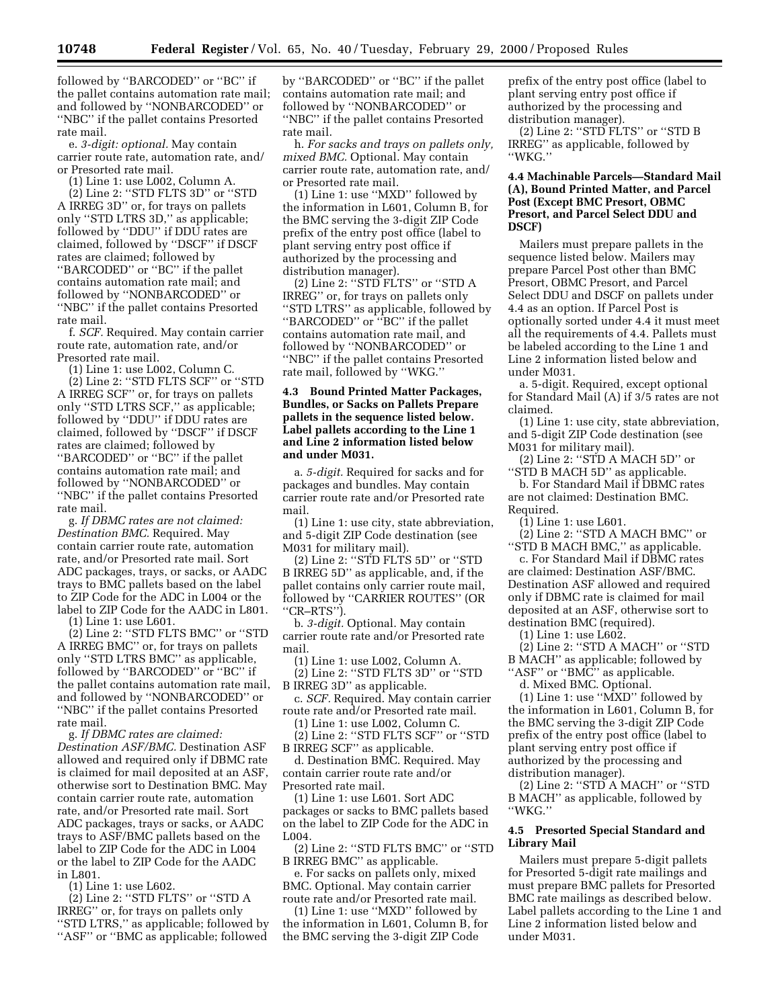followed by ''BARCODED'' or ''BC'' if the pallet contains automation rate mail; and followed by ''NONBARCODED'' or ''NBC'' if the pallet contains Presorted rate mail.

e. *3-digit: optional.* May contain carrier route rate, automation rate, and/ or Presorted rate mail.

(1) Line 1: use L002, Column A.

(2) Line 2: ''STD FLTS 3D'' or ''STD A IRREG 3D'' or, for trays on pallets only ''STD LTRS 3D,'' as applicable; followed by ''DDU'' if DDU rates are claimed, followed by ''DSCF'' if DSCF rates are claimed; followed by ''BARCODED'' or ''BC'' if the pallet contains automation rate mail; and followed by ''NONBARCODED'' or ''NBC'' if the pallet contains Presorted rate mail.

f. *SCF.* Required. May contain carrier route rate, automation rate, and/or Presorted rate mail.

(1) Line 1: use L002, Column C.

(2) Line 2: ''STD FLTS SCF'' or ''STD A IRREG SCF'' or, for trays on pallets only ''STD LTRS SCF,'' as applicable; followed by ''DDU'' if DDU rates are claimed, followed by ''DSCF'' if DSCF rates are claimed; followed by ''BARCODED'' or ''BC'' if the pallet contains automation rate mail; and followed by ''NONBARCODED'' or ''NBC'' if the pallet contains Presorted rate mail.

g. *If DBMC rates are not claimed: Destination BMC.* Required. May contain carrier route rate, automation rate, and/or Presorted rate mail. Sort ADC packages, trays, or sacks, or AADC trays to BMC pallets based on the label to ZIP Code for the ADC in L004 or the label to ZIP Code for the AADC in L801. (1) Line 1: use L601.

(2) Line 2: ''STD FLTS BMC'' or ''STD A IRREG BMC'' or, for trays on pallets only ''STD LTRS BMC'' as applicable, followed by ''BARCODED'' or ''BC'' if the pallet contains automation rate mail, and followed by ''NONBARCODED'' or ''NBC'' if the pallet contains Presorted rate mail.

g. *If DBMC rates are claimed: Destination ASF/BMC.* Destination ASF allowed and required only if DBMC rate is claimed for mail deposited at an ASF, otherwise sort to Destination BMC. May contain carrier route rate, automation rate, and/or Presorted rate mail. Sort ADC packages, trays or sacks, or AADC trays to ASF/BMC pallets based on the label to ZIP Code for the ADC in L004 or the label to ZIP Code for the AADC in L801.

(1) Line 1: use L602.

(2) Line 2: ''STD FLTS'' or ''STD A IRREG'' or, for trays on pallets only ''STD LTRS,'' as applicable; followed by "ASF" or "BMC as applicable; followed

by ''BARCODED'' or ''BC'' if the pallet contains automation rate mail; and followed by ''NONBARCODED'' or ''NBC'' if the pallet contains Presorted rate mail.

h. *For sacks and trays on pallets only, mixed BMC.* Optional. May contain carrier route rate, automation rate, and/ or Presorted rate mail.

(1) Line 1: use ''MXD'' followed by the information in L601, Column B, for the BMC serving the 3-digit ZIP Code prefix of the entry post office (label to plant serving entry post office if authorized by the processing and distribution manager).

(2) Line 2: ''STD FLTS'' or ''STD A IRREG'' or, for trays on pallets only ''STD LTRS'' as applicable, followed by ''BARCODED'' or ''BC'' if the pallet contains automation rate mail, and followed by ''NONBARCODED'' or ''NBC'' if the pallet contains Presorted rate mail, followed by ''WKG.''

### **4.3 Bound Printed Matter Packages, Bundles, or Sacks on Pallets Prepare pallets in the sequence listed below. Label pallets according to the Line 1 and Line 2 information listed below and under M031.**

a. *5-digit.* Required for sacks and for packages and bundles. May contain carrier route rate and/or Presorted rate mail.

(1) Line 1: use city, state abbreviation, and 5-digit ZIP Code destination (see M031 for military mail).

(2) Line 2: ''STD FLTS 5D'' or ''STD B IRREG 5D'' as applicable, and, if the pallet contains only carrier route mail, followed by ''CARRIER ROUTES'' (OR ''CR–RTS'').

b. *3-digit.* Optional. May contain carrier route rate and/or Presorted rate mail.

(1) Line 1: use L002, Column A.

(2) Line 2: ''STD FLTS 3D'' or ''STD B IRREG 3D'' as applicable.

c. *SCF.* Required. May contain carrier route rate and/or Presorted rate mail.

(1) Line 1: use L002, Column C. (2) Line 2: ''STD FLTS SCF'' or ''STD

B IRREG SCF'' as applicable.

d. Destination BMC. Required. May contain carrier route rate and/or Presorted rate mail.

(1) Line 1: use L601. Sort ADC packages or sacks to BMC pallets based on the label to ZIP Code for the ADC in L004.

(2) Line 2: ''STD FLTS BMC'' or ''STD B IRREG BMC'' as applicable.

e. For sacks on pallets only, mixed BMC. Optional. May contain carrier route rate and/or Presorted rate mail.

(1) Line 1: use ''MXD'' followed by the information in L601, Column B, for the BMC serving the 3-digit ZIP Code

prefix of the entry post office (label to plant serving entry post office if authorized by the processing and distribution manager).

(2) Line 2: ''STD FLTS'' or ''STD B IRREG'' as applicable, followed by ''WKG.''

### **4.4 Machinable Parcels—Standard Mail (A), Bound Printed Matter, and Parcel Post (Except BMC Presort, OBMC Presort, and Parcel Select DDU and DSCF)**

Mailers must prepare pallets in the sequence listed below. Mailers may prepare Parcel Post other than BMC Presort, OBMC Presort, and Parcel Select DDU and DSCF on pallets under 4.4 as an option. If Parcel Post is optionally sorted under 4.4 it must meet all the requirements of 4.4. Pallets must be labeled according to the Line 1 and Line 2 information listed below and under M031.

a. 5-digit. Required, except optional for Standard Mail (A) if 3/5 rates are not claimed.

(1) Line 1: use city, state abbreviation, and 5-digit ZIP Code destination (see M031 for military mail).

(2) Line 2: ''STD A MACH 5D'' or ''STD B MACH 5D'' as applicable.

b. For Standard Mail if DBMC rates are not claimed: Destination BMC. Required.

(1) Line 1: use L601.

(2) Line 2: ''STD A MACH BMC'' or ''STD B MACH BMC,'' as applicable.

c. For Standard Mail if DBMC rates are claimed: Destination ASF/BMC. Destination ASF allowed and required only if DBMC rate is claimed for mail deposited at an ASF, otherwise sort to destination BMC (required).

(1) Line 1: use L602.

(2) Line 2: ''STD A MACH'' or ''STD B MACH'' as applicable; followed by ''ASF'' or ''BMC'' as applicable.

d. Mixed BMC. Optional.

(1) Line 1: use ''MXD'' followed by the information in L601, Column B, for the BMC serving the 3-digit ZIP Code prefix of the entry post office (label to plant serving entry post office if authorized by the processing and distribution manager).

(2) Line 2: ''STD A MACH'' or ''STD B MACH'' as applicable, followed by ''WKG.''

### **4.5 Presorted Special Standard and Library Mail**

Mailers must prepare 5-digit pallets for Presorted 5-digit rate mailings and must prepare BMC pallets for Presorted BMC rate mailings as described below. Label pallets according to the Line 1 and Line 2 information listed below and under M031.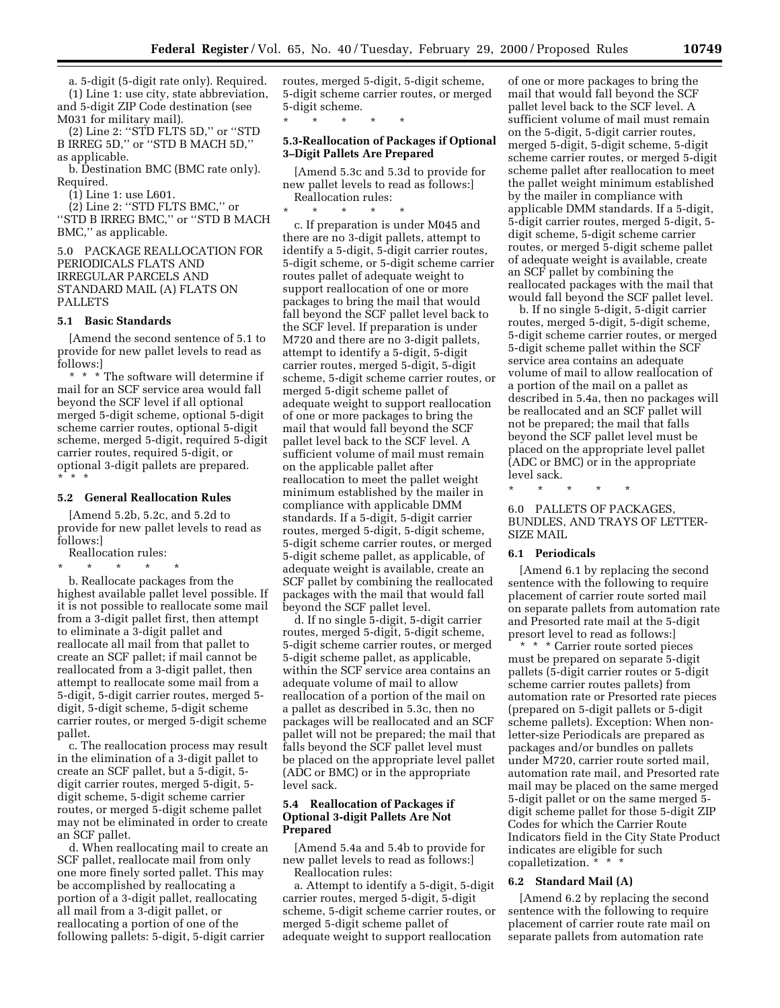a. 5-digit (5-digit rate only). Required. (1) Line 1: use city, state abbreviation, and 5-digit ZIP Code destination (see M031 for military mail).

(2) Line 2: ''STD FLTS 5D,'' or ''STD B IRREG 5D,'' or ''STD B MACH 5D,'' as applicable.

b. Destination BMC (BMC rate only). Required.

(1) Line 1: use L601.

(2) Line 2: ''STD FLTS BMC,'' or ''STD B IRREG BMC,'' or ''STD B MACH BMC,'' as applicable.

5.0 PACKAGE REALLOCATION FOR PERIODICALS FLATS AND IRREGULAR PARCELS AND STANDARD MAIL (A) FLATS ON PALLETS

#### **5.1 Basic Standards**

[Amend the second sentence of 5.1 to provide for new pallet levels to read as follows:]

\* \* \* The software will determine if mail for an SCF service area would fall beyond the SCF level if all optional merged 5-digit scheme, optional 5-digit scheme carrier routes, optional 5-digit scheme, merged 5-digit, required 5-digit carrier routes, required 5-digit, or optional 3-digit pallets are prepared. \*\*\*

### **5.2 General Reallocation Rules**

[Amend 5.2b, 5.2c, and 5.2d to provide for new pallet levels to read as follows:]

Reallocation rules:

\* \* \* \* \*

b. Reallocate packages from the highest available pallet level possible. If it is not possible to reallocate some mail from a 3-digit pallet first, then attempt to eliminate a 3-digit pallet and reallocate all mail from that pallet to create an SCF pallet; if mail cannot be reallocated from a 3-digit pallet, then attempt to reallocate some mail from a 5-digit, 5-digit carrier routes, merged 5 digit, 5-digit scheme, 5-digit scheme carrier routes, or merged 5-digit scheme pallet.

c. The reallocation process may result in the elimination of a 3-digit pallet to create an SCF pallet, but a 5-digit, 5 digit carrier routes, merged 5-digit, 5 digit scheme, 5-digit scheme carrier routes, or merged 5-digit scheme pallet may not be eliminated in order to create an SCF pallet.

d. When reallocating mail to create an SCF pallet, reallocate mail from only one more finely sorted pallet. This may be accomplished by reallocating a portion of a 3-digit pallet, reallocating all mail from a 3-digit pallet, or reallocating a portion of one of the following pallets: 5-digit, 5-digit carrier

routes, merged 5-digit, 5-digit scheme, 5-digit scheme carrier routes, or merged 5-digit scheme.

### **5.3-Reallocation of Packages if Optional 3–Digit Pallets Are Prepared**

\* \* \* \* \*

[Amend 5.3c and 5.3d to provide for new pallet levels to read as follows:] Reallocation rules:

\* \* \* \* \* c. If preparation is under M045 and there are no 3-digit pallets, attempt to identify a 5-digit, 5-digit carrier routes, 5-digit scheme, or 5-digit scheme carrier routes pallet of adequate weight to support reallocation of one or more packages to bring the mail that would fall beyond the SCF pallet level back to the SCF level. If preparation is under M720 and there are no 3-digit pallets, attempt to identify a 5-digit, 5-digit carrier routes, merged 5-digit, 5-digit scheme, 5-digit scheme carrier routes, or merged 5-digit scheme pallet of adequate weight to support reallocation of one or more packages to bring the mail that would fall beyond the SCF pallet level back to the SCF level. A sufficient volume of mail must remain on the applicable pallet after reallocation to meet the pallet weight minimum established by the mailer in compliance with applicable DMM standards. If a 5-digit, 5-digit carrier routes, merged 5-digit, 5-digit scheme, 5-digit scheme carrier routes, or merged 5-digit scheme pallet, as applicable, of adequate weight is available, create an SCF pallet by combining the reallocated packages with the mail that would fall beyond the SCF pallet level.

d. If no single 5-digit, 5-digit carrier routes, merged 5-digit, 5-digit scheme, 5-digit scheme carrier routes, or merged 5-digit scheme pallet, as applicable, within the SCF service area contains an adequate volume of mail to allow reallocation of a portion of the mail on a pallet as described in 5.3c, then no packages will be reallocated and an SCF pallet will not be prepared; the mail that falls beyond the SCF pallet level must be placed on the appropriate level pallet (ADC or BMC) or in the appropriate level sack.

### **5.4 Reallocation of Packages if Optional 3-digit Pallets Are Not Prepared**

[Amend 5.4a and 5.4b to provide for new pallet levels to read as follows:] Reallocation rules:

a. Attempt to identify a 5-digit, 5-digit carrier routes, merged 5-digit, 5-digit scheme, 5-digit scheme carrier routes, or merged 5-digit scheme pallet of adequate weight to support reallocation

of one or more packages to bring the mail that would fall beyond the SCF pallet level back to the SCF level. A sufficient volume of mail must remain on the 5-digit, 5-digit carrier routes, merged 5-digit, 5-digit scheme, 5-digit scheme carrier routes, or merged 5-digit scheme pallet after reallocation to meet the pallet weight minimum established by the mailer in compliance with applicable DMM standards. If a 5-digit, 5-digit carrier routes, merged 5-digit, 5 digit scheme, 5-digit scheme carrier routes, or merged 5-digit scheme pallet of adequate weight is available, create an SCF pallet by combining the reallocated packages with the mail that would fall beyond the SCF pallet level.

b. If no single 5-digit, 5-digit carrier routes, merged 5-digit, 5-digit scheme, 5-digit scheme carrier routes, or merged 5-digit scheme pallet within the SCF service area contains an adequate volume of mail to allow reallocation of a portion of the mail on a pallet as described in 5.4a, then no packages will be reallocated and an SCF pallet will not be prepared; the mail that falls beyond the SCF pallet level must be placed on the appropriate level pallet (ADC or BMC) or in the appropriate level sack.

\* \* \* \* \*

6.0 PALLETS OF PACKAGES, BUNDLES, AND TRAYS OF LETTER-SIZE MAIL

### **6.1 Periodicals**

[Amend 6.1 by replacing the second sentence with the following to require placement of carrier route sorted mail on separate pallets from automation rate and Presorted rate mail at the 5-digit presort level to read as follows:]

\* \* \* Carrier route sorted pieces must be prepared on separate 5-digit pallets (5-digit carrier routes or 5-digit scheme carrier routes pallets) from automation rate or Presorted rate pieces (prepared on 5-digit pallets or 5-digit scheme pallets). Exception: When nonletter-size Periodicals are prepared as packages and/or bundles on pallets under M720, carrier route sorted mail, automation rate mail, and Presorted rate mail may be placed on the same merged 5-digit pallet or on the same merged 5 digit scheme pallet for those 5-digit ZIP Codes for which the Carrier Route Indicators field in the City State Product indicates are eligible for such copalletization. \* \* \*

#### **6.2 Standard Mail (A)**

[Amend 6.2 by replacing the second sentence with the following to require placement of carrier route rate mail on separate pallets from automation rate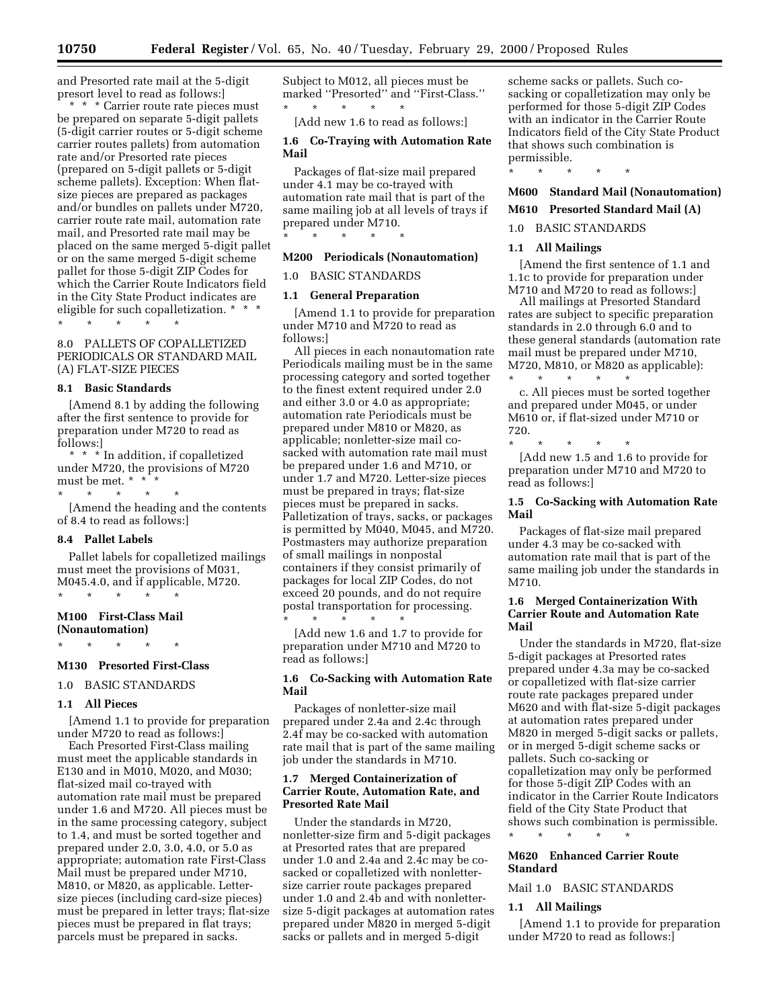and Presorted rate mail at the 5-digit presort level to read as follows:]

\* \* \* Carrier route rate pieces must be prepared on separate 5-digit pallets (5-digit carrier routes or 5-digit scheme carrier routes pallets) from automation rate and/or Presorted rate pieces (prepared on 5-digit pallets or 5-digit scheme pallets). Exception: When flatsize pieces are prepared as packages and/or bundles on pallets under M720, carrier route rate mail, automation rate mail, and Presorted rate mail may be placed on the same merged 5-digit pallet or on the same merged 5-digit scheme pallet for those 5-digit ZIP Codes for which the Carrier Route Indicators field in the City State Product indicates are eligible for such copalletization. \* \* \*

\* \* \* \* \*

8.0 PALLETS OF COPALLETIZED PERIODICALS OR STANDARD MAIL (A) FLAT-SIZE PIECES

#### **8.1 Basic Standards**

[Amend 8.1 by adding the following after the first sentence to provide for preparation under M720 to read as follows:]

\* \* \* In addition, if copalletized under M720, the provisions of M720 must be met. \* \* \*  $\star$   $\qquad$   $\star$   $\qquad$   $\star$ 

[Amend the heading and the contents of 8.4 to read as follows:]

#### **8.4 Pallet Labels**

Pallet labels for copalletized mailings must meet the provisions of M031, M045.4.0, and if applicable, M720. \* \* \* \* \*

### **M100 First-Class Mail (Nonautomation)**

\* \* \* \* \*

#### **M130 Presorted First-Class**

### 1.0 BASIC STANDARDS

### **1.1 All Pieces**

[Amend 1.1 to provide for preparation under M720 to read as follows:]

Each Presorted First-Class mailing must meet the applicable standards in E130 and in M010, M020, and M030; flat-sized mail co-trayed with automation rate mail must be prepared under 1.6 and M720. All pieces must be in the same processing category, subject to 1.4, and must be sorted together and prepared under 2.0, 3.0, 4.0, or 5.0 as appropriate; automation rate First-Class Mail must be prepared under M710, M810, or M820, as applicable. Lettersize pieces (including card-size pieces) must be prepared in letter trays; flat-size pieces must be prepared in flat trays; parcels must be prepared in sacks.

Subject to M012, all pieces must be marked ''Presorted'' and ''First-Class.'' \* \* \* \* \*

[Add new 1.6 to read as follows:]

### **1.6 Co-Traying with Automation Rate Mail**

Packages of flat-size mail prepared under 4.1 may be co-trayed with automation rate mail that is part of the same mailing job at all levels of trays if prepared under M710.

\* \* \* \* \*

#### **M200 Periodicals (Nonautomation)**

#### 1.0 BASIC STANDARDS

### **1.1 General Preparation**

[Amend 1.1 to provide for preparation under M710 and M720 to read as follows:]

All pieces in each nonautomation rate Periodicals mailing must be in the same processing category and sorted together to the finest extent required under 2.0 and either 3.0 or 4.0 as appropriate; automation rate Periodicals must be prepared under M810 or M820, as applicable; nonletter-size mail cosacked with automation rate mail must be prepared under 1.6 and M710, or under 1.7 and M720. Letter-size pieces must be prepared in trays; flat-size pieces must be prepared in sacks. Palletization of trays, sacks, or packages is permitted by M040, M045, and M720. Postmasters may authorize preparation of small mailings in nonpostal containers if they consist primarily of packages for local ZIP Codes, do not exceed 20 pounds, and do not require postal transportation for processing. \* \* \* \* \*

[Add new 1.6 and 1.7 to provide for preparation under M710 and M720 to read as follows:]

#### **1.6 Co-Sacking with Automation Rate Mail**

Packages of nonletter-size mail prepared under 2.4a and 2.4c through 2.4f may be co-sacked with automation rate mail that is part of the same mailing job under the standards in M710.

### **1.7 Merged Containerization of Carrier Route, Automation Rate, and Presorted Rate Mail**

Under the standards in M720, nonletter-size firm and 5-digit packages at Presorted rates that are prepared under 1.0 and 2.4a and 2.4c may be cosacked or copalletized with nonlettersize carrier route packages prepared under 1.0 and 2.4b and with nonlettersize 5-digit packages at automation rates prepared under M820 in merged 5-digit sacks or pallets and in merged 5-digit

scheme sacks or pallets. Such cosacking or copalletization may only be performed for those 5-digit ZIP Codes with an indicator in the Carrier Route Indicators field of the City State Product that shows such combination is permissible.

\* \* \* \* \*

### **M600 Standard Mail (Nonautomation)**

**M610 Presorted Standard Mail (A)**

1.0 BASIC STANDARDS

#### **1.1 All Mailings**

[Amend the first sentence of 1.1 and 1.1c to provide for preparation under M710 and M720 to read as follows:]

All mailings at Presorted Standard rates are subject to specific preparation standards in 2.0 through 6.0 and to these general standards (automation rate mail must be prepared under M710, M720, M810, or M820 as applicable): \* \* \* \* \*

c. All pieces must be sorted together and prepared under M045, or under M610 or, if flat-sized under M710 or 720.

\* \* \* \* \* [Add new 1.5 and 1.6 to provide for preparation under M710 and M720 to read as follows:]

### **1.5 Co-Sacking with Automation Rate Mail**

Packages of flat-size mail prepared under 4.3 may be co-sacked with automation rate mail that is part of the same mailing job under the standards in M710.

### **1.6 Merged Containerization With Carrier Route and Automation Rate Mail**

Under the standards in M720, flat-size 5-digit packages at Presorted rates prepared under 4.3a may be co-sacked or copalletized with flat-size carrier route rate packages prepared under M620 and with flat-size 5-digit packages at automation rates prepared under M820 in merged 5-digit sacks or pallets, or in merged 5-digit scheme sacks or pallets. Such co-sacking or copalletization may only be performed for those 5-digit ZIP Codes with an indicator in the Carrier Route Indicators field of the City State Product that shows such combination is permissible.

\* \* \* \* \*

### **M620 Enhanced Carrier Route Standard**

### Mail 1.0 BASIC STANDARDS

### **1.1 All Mailings**

[Amend 1.1 to provide for preparation under M720 to read as follows:]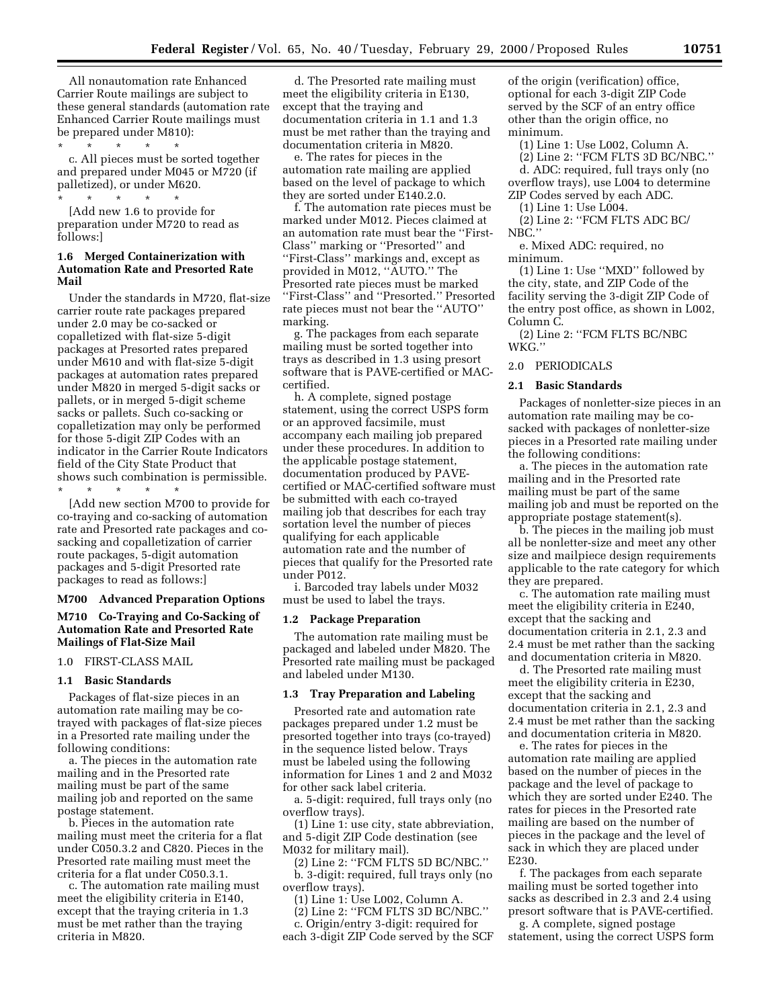All nonautomation rate Enhanced Carrier Route mailings are subject to these general standards (automation rate Enhanced Carrier Route mailings must be prepared under M810):

\* \* \* \* \* c. All pieces must be sorted together and prepared under M045 or M720 (if palletized), or under M620. \* \* \* \* \*

[Add new 1.6 to provide for preparation under M720 to read as follows:]

### **1.6 Merged Containerization with Automation Rate and Presorted Rate Mail**

Under the standards in M720, flat-size carrier route rate packages prepared under 2.0 may be co-sacked or copalletized with flat-size 5-digit packages at Presorted rates prepared under M610 and with flat-size 5-digit packages at automation rates prepared under M820 in merged 5-digit sacks or pallets, or in merged 5-digit scheme sacks or pallets. Such co-sacking or copalletization may only be performed for those 5-digit ZIP Codes with an indicator in the Carrier Route Indicators field of the City State Product that shows such combination is permissible.

\* \* \* \* \*

[Add new section M700 to provide for co-traying and co-sacking of automation rate and Presorted rate packages and cosacking and copalletization of carrier route packages, 5-digit automation packages and 5-digit Presorted rate packages to read as follows:]

# **M700 Advanced Preparation Options M710 Co-Traying and Co-Sacking of**

# **Automation Rate and Presorted Rate Mailings of Flat-Size Mail**

# 1.0 FIRST-CLASS MAIL

#### **1.1 Basic Standards**

Packages of flat-size pieces in an automation rate mailing may be cotrayed with packages of flat-size pieces in a Presorted rate mailing under the following conditions:

a. The pieces in the automation rate mailing and in the Presorted rate mailing must be part of the same mailing job and reported on the same postage statement.

b. Pieces in the automation rate mailing must meet the criteria for a flat under C050.3.2 and C820. Pieces in the Presorted rate mailing must meet the criteria for a flat under C050.3.1.

c. The automation rate mailing must meet the eligibility criteria in E140, except that the traying criteria in 1.3 must be met rather than the traying criteria in M820.

d. The Presorted rate mailing must meet the eligibility criteria in E130, except that the traying and documentation criteria in 1.1 and 1.3 must be met rather than the traying and documentation criteria in M820.

e. The rates for pieces in the automation rate mailing are applied based on the level of package to which they are sorted under E140.2.0.

f. The automation rate pieces must be marked under M012. Pieces claimed at an automation rate must bear the ''First-Class'' marking or ''Presorted'' and ''First-Class'' markings and, except as provided in M012, ''AUTO.'' The Presorted rate pieces must be marked ''First-Class'' and ''Presorted.'' Presorted rate pieces must not bear the ''AUTO'' marking.

g. The packages from each separate mailing must be sorted together into trays as described in 1.3 using presort software that is PAVE-certified or MACcertified.

h. A complete, signed postage statement, using the correct USPS form or an approved facsimile, must accompany each mailing job prepared under these procedures. In addition to the applicable postage statement, documentation produced by PAVEcertified or MAC-certified software must be submitted with each co-trayed mailing job that describes for each tray sortation level the number of pieces qualifying for each applicable automation rate and the number of pieces that qualify for the Presorted rate under P012.

i. Barcoded tray labels under M032 must be used to label the trays.

#### **1.2 Package Preparation**

The automation rate mailing must be packaged and labeled under M820. The Presorted rate mailing must be packaged and labeled under M130.

#### **1.3 Tray Preparation and Labeling**

Presorted rate and automation rate packages prepared under 1.2 must be presorted together into trays (co-trayed) in the sequence listed below. Trays must be labeled using the following information for Lines 1 and 2 and M032 for other sack label criteria.

a. 5-digit: required, full trays only (no overflow trays).

(1) Line 1: use city, state abbreviation, and 5-digit ZIP Code destination (see M032 for military mail).

(2) Line 2: ''FCM FLTS 5D BC/NBC.'' b. 3-digit: required, full trays only (no overflow trays).

(1) Line 1: Use L002, Column A.

(2) Line 2: ''FCM FLTS 3D BC/NBC.''

c. Origin/entry 3-digit: required for each 3-digit ZIP Code served by the SCF

of the origin (verification) office, optional for each 3-digit ZIP Code served by the SCF of an entry office other than the origin office, no minimum.

(1) Line 1: Use L002, Column A.

(2) Line 2: ''FCM FLTS 3D BC/NBC.''

d. ADC: required, full trays only (no overflow trays), use L004 to determine ZIP Codes served by each ADC.

(1) Line 1: Use L004.

(2) Line 2: ''FCM FLTS ADC BC/ NBC.''

e. Mixed ADC: required, no minimum.

(1) Line 1: Use ''MXD'' followed by the city, state, and ZIP Code of the facility serving the 3-digit ZIP Code of the entry post office, as shown in L002, Column C.

(2) Line 2: ''FCM FLTS BC/NBC WKG.''

#### 2.0 PERIODICALS

#### **2.1 Basic Standards**

Packages of nonletter-size pieces in an automation rate mailing may be cosacked with packages of nonletter-size pieces in a Presorted rate mailing under the following conditions:

a. The pieces in the automation rate mailing and in the Presorted rate mailing must be part of the same mailing job and must be reported on the appropriate postage statement(s).

b. The pieces in the mailing job must all be nonletter-size and meet any other size and mailpiece design requirements applicable to the rate category for which they are prepared.

c. The automation rate mailing must meet the eligibility criteria in E240, except that the sacking and documentation criteria in 2.1, 2.3 and 2.4 must be met rather than the sacking and documentation criteria in M820.

d. The Presorted rate mailing must meet the eligibility criteria in E230, except that the sacking and documentation criteria in 2.1, 2.3 and 2.4 must be met rather than the sacking and documentation criteria in M820.

e. The rates for pieces in the automation rate mailing are applied based on the number of pieces in the package and the level of package to which they are sorted under E240. The rates for pieces in the Presorted rate mailing are based on the number of pieces in the package and the level of sack in which they are placed under E230.

f. The packages from each separate mailing must be sorted together into sacks as described in 2.3 and 2.4 using presort software that is PAVE-certified.

g. A complete, signed postage statement, using the correct USPS form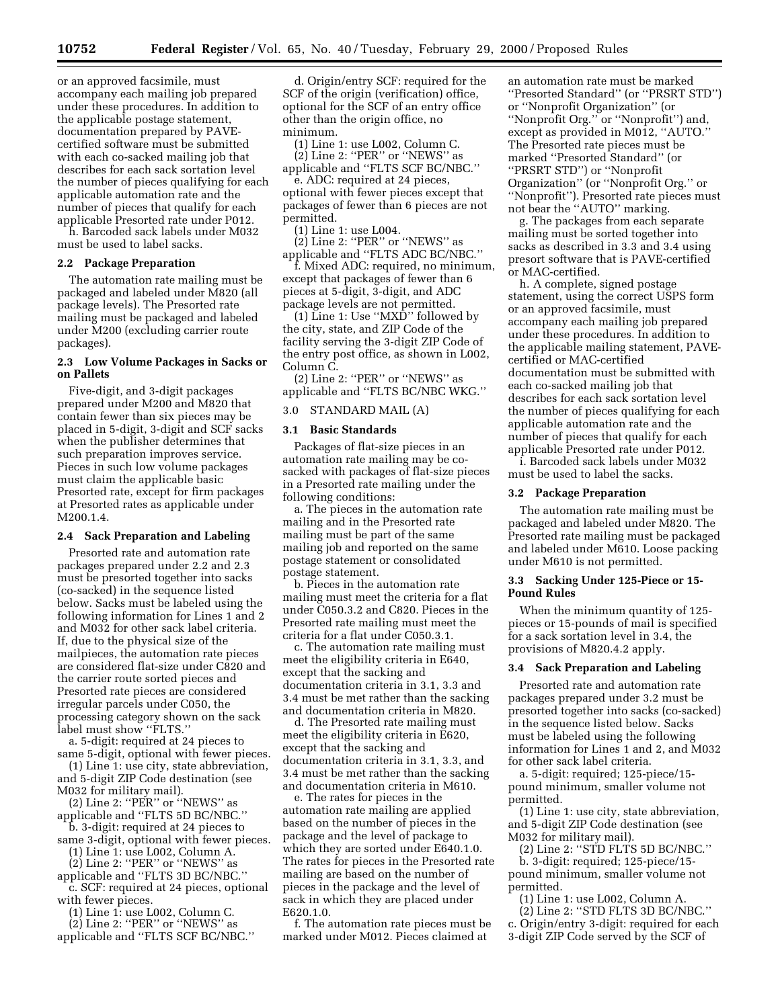or an approved facsimile, must accompany each mailing job prepared under these procedures. In addition to the applicable postage statement, documentation prepared by PAVEcertified software must be submitted with each co-sacked mailing job that describes for each sack sortation level the number of pieces qualifying for each applicable automation rate and the number of pieces that qualify for each applicable Presorted rate under P012.

h. Barcoded sack labels under M032 must be used to label sacks.

### **2.2 Package Preparation**

The automation rate mailing must be packaged and labeled under M820 (all package levels). The Presorted rate mailing must be packaged and labeled under M200 (excluding carrier route packages).

### **2.3 Low Volume Packages in Sacks or on Pallets**

Five-digit, and 3-digit packages prepared under M200 and M820 that contain fewer than six pieces may be placed in 5-digit, 3-digit and SCF sacks when the publisher determines that such preparation improves service. Pieces in such low volume packages must claim the applicable basic Presorted rate, except for firm packages at Presorted rates as applicable under M200.1.4.

### **2.4 Sack Preparation and Labeling**

Presorted rate and automation rate packages prepared under 2.2 and 2.3 must be presorted together into sacks (co-sacked) in the sequence listed below. Sacks must be labeled using the following information for Lines 1 and 2 and M032 for other sack label criteria. If, due to the physical size of the mailpieces, the automation rate pieces are considered flat-size under C820 and the carrier route sorted pieces and Presorted rate pieces are considered irregular parcels under C050, the processing category shown on the sack label must show ''FLTS.''

a. 5-digit: required at 24 pieces to same 5-digit, optional with fewer pieces.

(1) Line 1: use city, state abbreviation, and 5-digit ZIP Code destination (see M032 for military mail).

 $(2)$  Line 2: "PER" or "NEWS" as applicable and ''FLTS 5D BC/NBC.''

b. 3-digit: required at 24 pieces to same 3-digit, optional with fewer pieces.

(1) Line 1: use L002, Column A.

 $(2)$  Line 2: "PER" or "NEWS" as

applicable and ''FLTS 3D BC/NBC.''

c. SCF: required at 24 pieces, optional with fewer pieces.

(1) Line 1: use L002, Column C.

(2) Line 2: ''PER'' or ''NEWS'' as applicable and ''FLTS SCF BC/NBC.''

d. Origin/entry SCF: required for the SCF of the origin (verification) office, optional for the SCF of an entry office other than the origin office, no minimum.

(1) Line 1: use L002, Column C.

(2) Line 2: ''PER'' or ''NEWS'' as applicable and ''FLTS SCF BC/NBC.''

e. ADC: required at 24 pieces, optional with fewer pieces except that packages of fewer than 6 pieces are not permitted.

(1) Line 1: use L004.

(2) Line 2: ''PER'' or ''NEWS'' as applicable and ''FLTS ADC BC/NBC.''

f. Mixed ADC: required, no minimum, except that packages of fewer than 6 pieces at 5-digit, 3-digit, and ADC package levels are not permitted.

(1) Line 1: Use ''MXD'' followed by the city, state, and ZIP Code of the facility serving the 3-digit ZIP Code of the entry post office, as shown in L002, Column C.

(2) Line 2: ''PER'' or ''NEWS'' as applicable and ''FLTS BC/NBC WKG.''

### 3.0 STANDARD MAIL (A)

### **3.1 Basic Standards**

Packages of flat-size pieces in an automation rate mailing may be cosacked with packages of flat-size pieces in a Presorted rate mailing under the following conditions:

a. The pieces in the automation rate mailing and in the Presorted rate mailing must be part of the same mailing job and reported on the same postage statement or consolidated postage statement.

b. Pieces in the automation rate mailing must meet the criteria for a flat under C050.3.2 and C820. Pieces in the Presorted rate mailing must meet the criteria for a flat under C050.3.1.

c. The automation rate mailing must meet the eligibility criteria in E640, except that the sacking and documentation criteria in 3.1, 3.3 and 3.4 must be met rather than the sacking and documentation criteria in M820.

d. The Presorted rate mailing must meet the eligibility criteria in E620, except that the sacking and documentation criteria in 3.1, 3.3, and 3.4 must be met rather than the sacking and documentation criteria in M610.

e. The rates for pieces in the automation rate mailing are applied based on the number of pieces in the package and the level of package to which they are sorted under E640.1.0. The rates for pieces in the Presorted rate mailing are based on the number of pieces in the package and the level of sack in which they are placed under E620.1.0.

f. The automation rate pieces must be marked under M012. Pieces claimed at

an automation rate must be marked ''Presorted Standard'' (or ''PRSRT STD'') or ''Nonprofit Organization'' (or ''Nonprofit Org.'' or ''Nonprofit'') and, except as provided in M012, ''AUTO.'' The Presorted rate pieces must be marked ''Presorted Standard'' (or ''PRSRT STD'') or ''Nonprofit Organization'' (or ''Nonprofit Org.'' or ''Nonprofit''). Presorted rate pieces must not bear the ''AUTO'' marking.

g. The packages from each separate mailing must be sorted together into sacks as described in 3.3 and 3.4 using presort software that is PAVE-certified or MAC-certified.

h. A complete, signed postage statement, using the correct USPS form or an approved facsimile, must accompany each mailing job prepared under these procedures. In addition to the applicable mailing statement, PAVEcertified or MAC-certified documentation must be submitted with each co-sacked mailing job that describes for each sack sortation level the number of pieces qualifying for each applicable automation rate and the number of pieces that qualify for each applicable Presorted rate under P012.

i. Barcoded sack labels under M032 must be used to label the sacks.

#### **3.2 Package Preparation**

The automation rate mailing must be packaged and labeled under M820. The Presorted rate mailing must be packaged and labeled under M610. Loose packing under M610 is not permitted.

### **3.3 Sacking Under 125-Piece or 15- Pound Rules**

When the minimum quantity of 125 pieces or 15-pounds of mail is specified for a sack sortation level in 3.4, the provisions of M820.4.2 apply.

#### **3.4 Sack Preparation and Labeling**

Presorted rate and automation rate packages prepared under 3.2 must be presorted together into sacks (co-sacked) in the sequence listed below. Sacks must be labeled using the following information for Lines 1 and 2, and M032 for other sack label criteria.

a. 5-digit: required; 125-piece/15 pound minimum, smaller volume not permitted.

(1) Line 1: use city, state abbreviation, and 5-digit ZIP Code destination (see M032 for military mail).

(2) Line 2: ''STD FLTS 5D BC/NBC.'' b. 3-digit: required; 125-piece/15 pound minimum, smaller volume not permitted.

(1) Line 1: use L002, Column A.

(2) Line 2: ''STD FLTS 3D BC/NBC.'' c. Origin/entry 3-digit: required for each 3-digit ZIP Code served by the SCF of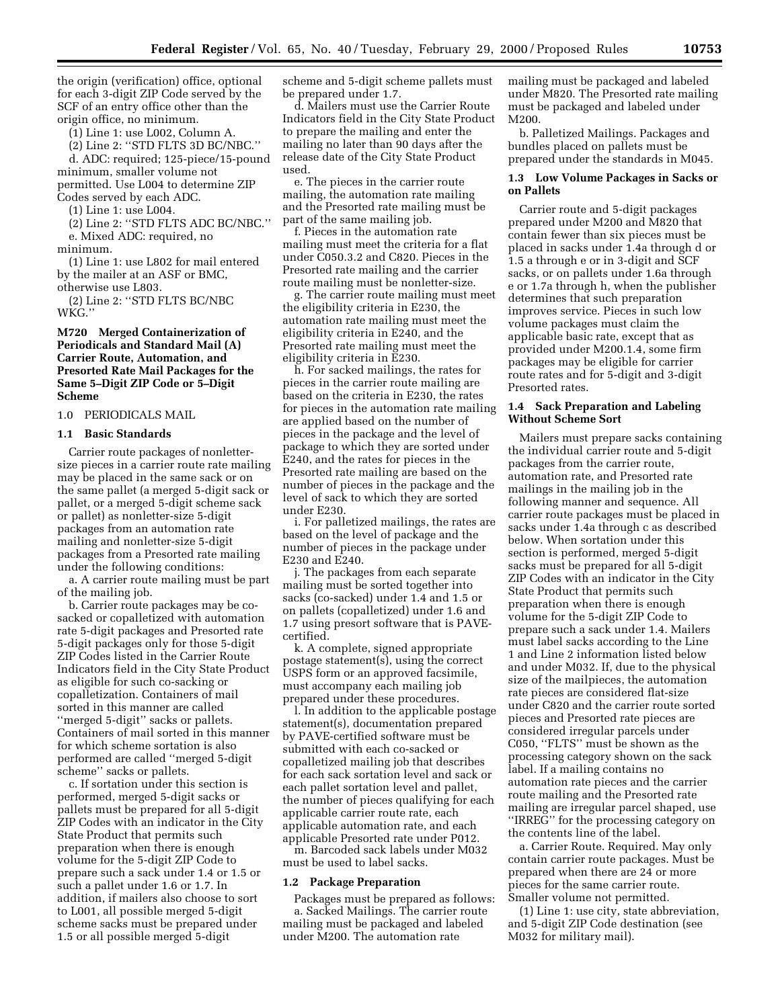the origin (verification) office, optional for each 3-digit ZIP Code served by the SCF of an entry office other than the origin office, no minimum.

(1) Line 1: use L002, Column A.

(2) Line 2: ''STD FLTS 3D BC/NBC.'' d. ADC: required; 125-piece/15-pound minimum, smaller volume not permitted. Use L004 to determine ZIP Codes served by each ADC.

(1) Line 1: use L004.

(2) Line 2: ''STD FLTS ADC BC/NBC.'' e. Mixed ADC: required, no

minimum.

(1) Line 1: use L802 for mail entered by the mailer at an ASF or BMC, otherwise use L803.

(2) Line 2: ''STD FLTS BC/NBC WKG.''

### **M720 Merged Containerization of Periodicals and Standard Mail (A) Carrier Route, Automation, and Presorted Rate Mail Packages for the Same 5–Digit ZIP Code or 5–Digit Scheme**

1.0 PERIODICALS MAIL

#### **1.1 Basic Standards**

Carrier route packages of nonlettersize pieces in a carrier route rate mailing may be placed in the same sack or on the same pallet (a merged 5-digit sack or pallet, or a merged 5-digit scheme sack or pallet) as nonletter-size 5-digit packages from an automation rate mailing and nonletter-size 5-digit packages from a Presorted rate mailing under the following conditions:

a. A carrier route mailing must be part of the mailing job.

b. Carrier route packages may be cosacked or copalletized with automation rate 5-digit packages and Presorted rate 5-digit packages only for those 5-digit ZIP Codes listed in the Carrier Route Indicators field in the City State Product as eligible for such co-sacking or copalletization. Containers of mail sorted in this manner are called ''merged 5-digit'' sacks or pallets. Containers of mail sorted in this manner for which scheme sortation is also performed are called ''merged 5-digit scheme'' sacks or pallets.

c. If sortation under this section is performed, merged 5-digit sacks or pallets must be prepared for all 5-digit ZIP Codes with an indicator in the City State Product that permits such preparation when there is enough volume for the 5-digit ZIP Code to prepare such a sack under 1.4 or 1.5 or such a pallet under 1.6 or 1.7. In addition, if mailers also choose to sort to L001, all possible merged 5-digit scheme sacks must be prepared under 1.5 or all possible merged 5-digit

scheme and 5-digit scheme pallets must be prepared under 1.7.

d. Mailers must use the Carrier Route Indicators field in the City State Product to prepare the mailing and enter the mailing no later than 90 days after the release date of the City State Product used.

e. The pieces in the carrier route mailing, the automation rate mailing and the Presorted rate mailing must be part of the same mailing job.

f. Pieces in the automation rate mailing must meet the criteria for a flat under C050.3.2 and C820. Pieces in the Presorted rate mailing and the carrier route mailing must be nonletter-size.

g. The carrier route mailing must meet the eligibility criteria in E230, the automation rate mailing must meet the eligibility criteria in E240, and the Presorted rate mailing must meet the eligibility criteria in E230.

h. For sacked mailings, the rates for pieces in the carrier route mailing are based on the criteria in E230, the rates for pieces in the automation rate mailing are applied based on the number of pieces in the package and the level of package to which they are sorted under E240, and the rates for pieces in the Presorted rate mailing are based on the number of pieces in the package and the level of sack to which they are sorted under E230.

i. For palletized mailings, the rates are based on the level of package and the number of pieces in the package under E230 and E240.

j. The packages from each separate mailing must be sorted together into sacks (co-sacked) under 1.4 and 1.5 or on pallets (copalletized) under 1.6 and 1.7 using presort software that is PAVEcertified.

k. A complete, signed appropriate postage statement(s), using the correct USPS form or an approved facsimile, must accompany each mailing job prepared under these procedures.

l. In addition to the applicable postage statement(s), documentation prepared by PAVE-certified software must be submitted with each co-sacked or copalletized mailing job that describes for each sack sortation level and sack or each pallet sortation level and pallet, the number of pieces qualifying for each applicable carrier route rate, each applicable automation rate, and each applicable Presorted rate under P012.

m. Barcoded sack labels under M032 must be used to label sacks.

#### **1.2 Package Preparation**

Packages must be prepared as follows: a. Sacked Mailings. The carrier route mailing must be packaged and labeled under M200. The automation rate

mailing must be packaged and labeled under M820. The Presorted rate mailing must be packaged and labeled under M200.

b. Palletized Mailings. Packages and bundles placed on pallets must be prepared under the standards in M045.

### **1.3 Low Volume Packages in Sacks or on Pallets**

Carrier route and 5-digit packages prepared under M200 and M820 that contain fewer than six pieces must be placed in sacks under 1.4a through d or 1.5 a through e or in 3-digit and SCF sacks, or on pallets under 1.6a through e or 1.7a through h, when the publisher determines that such preparation improves service. Pieces in such low volume packages must claim the applicable basic rate, except that as provided under M200.1.4, some firm packages may be eligible for carrier route rates and for 5-digit and 3-digit Presorted rates.

### **1.4 Sack Preparation and Labeling Without Scheme Sort**

Mailers must prepare sacks containing the individual carrier route and 5-digit packages from the carrier route, automation rate, and Presorted rate mailings in the mailing job in the following manner and sequence. All carrier route packages must be placed in sacks under 1.4a through c as described below. When sortation under this section is performed, merged 5-digit sacks must be prepared for all 5-digit ZIP Codes with an indicator in the City State Product that permits such preparation when there is enough volume for the 5-digit ZIP Code to prepare such a sack under 1.4. Mailers must label sacks according to the Line 1 and Line 2 information listed below and under M032. If, due to the physical size of the mailpieces, the automation rate pieces are considered flat-size under C820 and the carrier route sorted pieces and Presorted rate pieces are considered irregular parcels under C050, ''FLTS'' must be shown as the processing category shown on the sack label. If a mailing contains no automation rate pieces and the carrier route mailing and the Presorted rate mailing are irregular parcel shaped, use ''IRREG'' for the processing category on the contents line of the label.

a. Carrier Route. Required. May only contain carrier route packages. Must be prepared when there are 24 or more pieces for the same carrier route. Smaller volume not permitted.

(1) Line 1: use city, state abbreviation, and 5-digit ZIP Code destination (see M032 for military mail).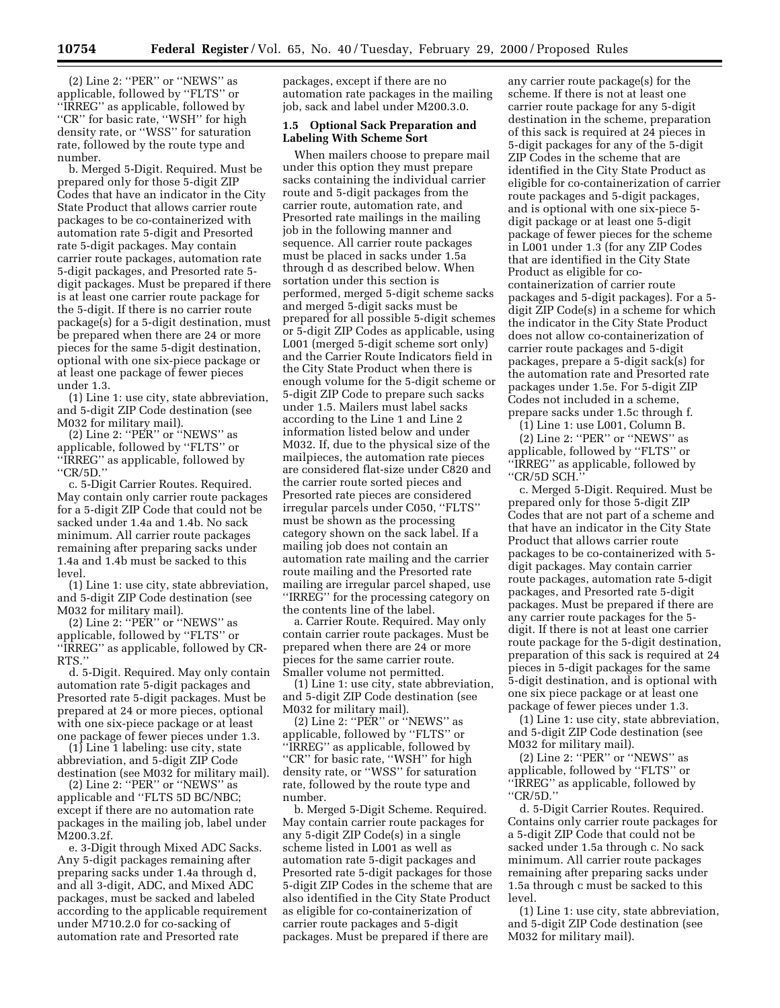(2) Line 2: ''PER'' or ''NEWS'' as applicable, followed by ''FLTS'' or ''IRREG'' as applicable, followed by "CR" for basic rate, "WSH" for high density rate, or ''WSS'' for saturation rate, followed by the route type and number.

b. Merged 5-Digit. Required. Must be prepared only for those 5-digit ZIP Codes that have an indicator in the City State Product that allows carrier route packages to be co-containerized with automation rate 5-digit and Presorted rate 5-digit packages. May contain carrier route packages, automation rate 5-digit packages, and Presorted rate 5 digit packages. Must be prepared if there is at least one carrier route package for the 5-digit. If there is no carrier route package(s) for a 5-digit destination, must be prepared when there are 24 or more pieces for the same 5-digit destination, optional with one six-piece package or at least one package of fewer pieces under 1.3.

(1) Line 1: use city, state abbreviation, and 5-digit ZIP Code destination (see M032 for military mail).

(2) Line 2: ''PER'' or ''NEWS'' as applicable, followed by ''FLTS'' or ''IRREG'' as applicable, followed by ''CR/5D.''

c. 5-Digit Carrier Routes. Required. May contain only carrier route packages for a 5-digit ZIP Code that could not be sacked under 1.4a and 1.4b. No sack minimum. All carrier route packages remaining after preparing sacks under 1.4a and 1.4b must be sacked to this level.

(1) Line 1: use city, state abbreviation, and 5-digit ZIP Code destination (see M032 for military mail).

(2) Line 2: " $PER$ " or "NEWS" as applicable, followed by ''FLTS'' or ''IRREG'' as applicable, followed by CR-RTS.''

d. 5-Digit. Required. May only contain automation rate 5-digit packages and Presorted rate 5-digit packages. Must be prepared at 24 or more pieces, optional with one six-piece package or at least one package of fewer pieces under 1.3.

(1) Line 1 labeling: use city, state abbreviation, and 5-digit ZIP Code destination (see M032 for military mail).

(2) Line 2: ''PER'' or ''NEWS'' as applicable and ''FLTS 5D BC/NBC; except if there are no automation rate packages in the mailing job, label under M200.3.2f.

e. 3-Digit through Mixed ADC Sacks. Any 5-digit packages remaining after preparing sacks under 1.4a through d, and all 3-digit, ADC, and Mixed ADC packages, must be sacked and labeled according to the applicable requirement under M710.2.0 for co-sacking of automation rate and Presorted rate

packages, except if there are no automation rate packages in the mailing job, sack and label under M200.3.0.

### **1.5 Optional Sack Preparation and Labeling With Scheme Sort**

When mailers choose to prepare mail under this option they must prepare sacks containing the individual carrier route and 5-digit packages from the carrier route, automation rate, and Presorted rate mailings in the mailing job in the following manner and sequence. All carrier route packages must be placed in sacks under 1.5a through d as described below. When sortation under this section is performed, merged 5-digit scheme sacks and merged 5-digit sacks must be prepared for all possible 5-digit schemes or 5-digit ZIP Codes as applicable, using L001 (merged 5-digit scheme sort only) and the Carrier Route Indicators field in the City State Product when there is enough volume for the 5-digit scheme or 5-digit ZIP Code to prepare such sacks under 1.5. Mailers must label sacks according to the Line 1 and Line 2 information listed below and under M032. If, due to the physical size of the mailpieces, the automation rate pieces are considered flat-size under C820 and the carrier route sorted pieces and Presorted rate pieces are considered irregular parcels under C050, ''FLTS'' must be shown as the processing category shown on the sack label. If a mailing job does not contain an automation rate mailing and the carrier route mailing and the Presorted rate mailing are irregular parcel shaped, use ''IRREG'' for the processing category on the contents line of the label.

a. Carrier Route. Required. May only contain carrier route packages. Must be prepared when there are 24 or more pieces for the same carrier route. Smaller volume not permitted.

(1) Line 1: use city, state abbreviation, and 5-digit ZIP Code destination (see M032 for military mail).

(2) Line 2: " $PER$ " or " $NEWS$ " as applicable, followed by ''FLTS'' or ''IRREG'' as applicable, followed by "CR" for basic rate, "WSH" for high density rate, or ''WSS'' for saturation rate, followed by the route type and number.

b. Merged 5-Digit Scheme. Required. May contain carrier route packages for any 5-digit ZIP Code(s) in a single scheme listed in L001 as well as automation rate 5-digit packages and Presorted rate 5-digit packages for those 5-digit ZIP Codes in the scheme that are also identified in the City State Product as eligible for co-containerization of carrier route packages and 5-digit packages. Must be prepared if there are

any carrier route package(s) for the scheme. If there is not at least one carrier route package for any 5-digit destination in the scheme, preparation of this sack is required at 24 pieces in 5-digit packages for any of the 5-digit ZIP Codes in the scheme that are identified in the City State Product as eligible for co-containerization of carrier route packages and 5-digit packages, and is optional with one six-piece 5 digit package or at least one 5-digit package of fewer pieces for the scheme in L001 under 1.3 (for any ZIP Codes that are identified in the City State Product as eligible for cocontainerization of carrier route packages and 5-digit packages). For a 5 digit ZIP Code(s) in a scheme for which the indicator in the City State Product does not allow co-containerization of carrier route packages and 5-digit packages, prepare a 5-digit sack(s) for the automation rate and Presorted rate packages under 1.5e. For 5-digit ZIP Codes not included in a scheme, prepare sacks under 1.5c through f.

(1) Line 1: use L001, Column B.

(2) Line 2: ''PER'' or ''NEWS'' as applicable, followed by ''FLTS'' or ''IRREG'' as applicable, followed by ''CR/5D SCH.''

c. Merged 5-Digit. Required. Must be prepared only for those 5-digit ZIP Codes that are not part of a scheme and that have an indicator in the City State Product that allows carrier route packages to be co-containerized with 5 digit packages. May contain carrier route packages, automation rate 5-digit packages, and Presorted rate 5-digit packages. Must be prepared if there are any carrier route packages for the 5 digit. If there is not at least one carrier route package for the 5-digit destination, preparation of this sack is required at 24 pieces in 5-digit packages for the same 5-digit destination, and is optional with one six piece package or at least one package of fewer pieces under 1.3.

(1) Line 1: use city, state abbreviation, and 5-digit ZIP Code destination (see M032 for military mail).

(2) Line 2: ''PER'' or ''NEWS'' as applicable, followed by ''FLTS'' or ''IRREG'' as applicable, followed by ''CR/5D.''

d. 5-Digit Carrier Routes. Required. Contains only carrier route packages for a 5-digit ZIP Code that could not be sacked under 1.5a through c. No sack minimum. All carrier route packages remaining after preparing sacks under 1.5a through c must be sacked to this level.

(1) Line 1: use city, state abbreviation, and 5-digit ZIP Code destination (see M032 for military mail).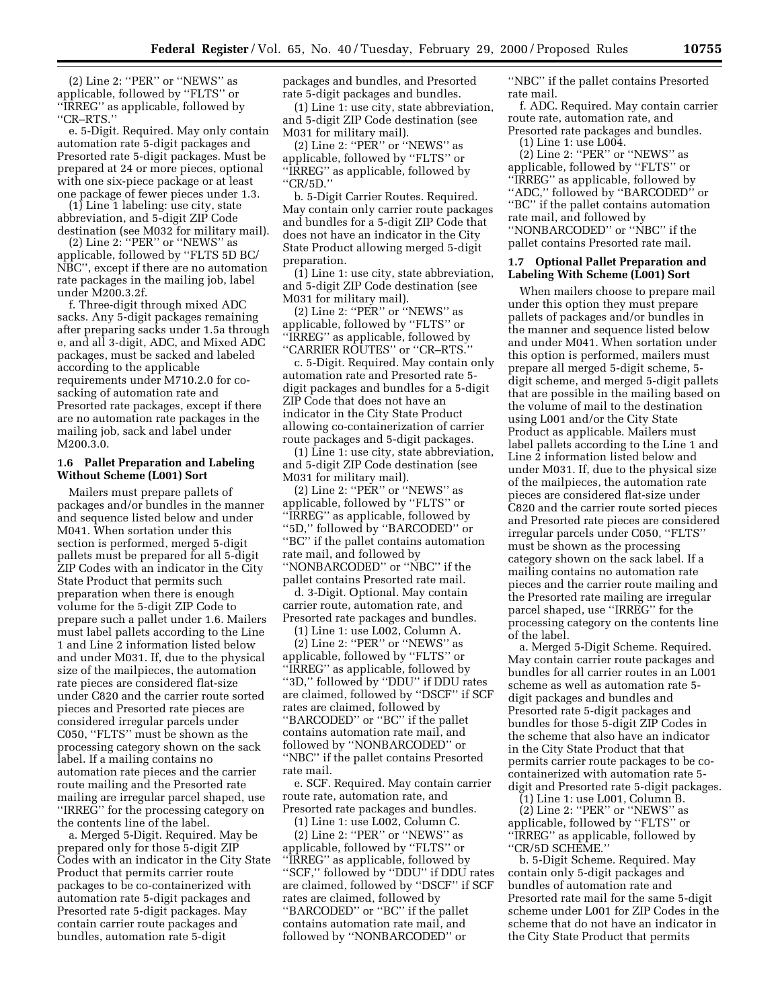(2) Line 2: ''PER'' or ''NEWS'' as applicable, followed by ''FLTS'' or ''IRREG'' as applicable, followed by ''CR–RTS.''

e. 5-Digit. Required. May only contain automation rate 5-digit packages and Presorted rate 5-digit packages. Must be prepared at 24 or more pieces, optional with one six-piece package or at least one package of fewer pieces under 1.3.

(1) Line 1 labeling: use city, state abbreviation, and 5-digit ZIP Code destination (see M032 for military mail).

(2) Line 2: ''PER'' or ''NEWS'' as applicable, followed by ''FLTS 5D BC/ NBC'', except if there are no automation rate packages in the mailing job, label under M200.3.2f.

f. Three-digit through mixed ADC sacks. Any 5-digit packages remaining after preparing sacks under 1.5a through e, and all 3-digit, ADC, and Mixed ADC packages, must be sacked and labeled according to the applicable requirements under M710.2.0 for cosacking of automation rate and Presorted rate packages, except if there are no automation rate packages in the mailing job, sack and label under M200.3.0.

### **1.6 Pallet Preparation and Labeling Without Scheme (L001) Sort**

Mailers must prepare pallets of packages and/or bundles in the manner and sequence listed below and under M041. When sortation under this section is performed, merged 5-digit pallets must be prepared for all 5-digit ZIP Codes with an indicator in the City State Product that permits such preparation when there is enough volume for the 5-digit ZIP Code to prepare such a pallet under 1.6. Mailers must label pallets according to the Line 1 and Line 2 information listed below and under M031. If, due to the physical size of the mailpieces, the automation rate pieces are considered flat-size under C820 and the carrier route sorted pieces and Presorted rate pieces are considered irregular parcels under C050, ''FLTS'' must be shown as the processing category shown on the sack label. If a mailing contains no automation rate pieces and the carrier route mailing and the Presorted rate mailing are irregular parcel shaped, use ''IRREG'' for the processing category on the contents line of the label.

a. Merged 5-Digit. Required. May be prepared only for those 5-digit ZIP Codes with an indicator in the City State Product that permits carrier route packages to be co-containerized with automation rate 5-digit packages and Presorted rate 5-digit packages. May contain carrier route packages and bundles, automation rate 5-digit

packages and bundles, and Presorted rate 5-digit packages and bundles.

(1) Line 1: use city, state abbreviation, and 5-digit ZIP Code destination (see M031 for military mail).

(2) Line 2: ''PER'' or ''NEWS'' as applicable, followed by ''FLTS'' or ''IRREG'' as applicable, followed by ''CR/5D.''

b. 5-Digit Carrier Routes. Required. May contain only carrier route packages and bundles for a 5-digit ZIP Code that does not have an indicator in the City State Product allowing merged 5-digit preparation.

(1) Line 1: use city, state abbreviation, and 5-digit ZIP Code destination (see M031 for military mail).

(2) Line 2: ''PER'' or ''NEWS'' as applicable, followed by ''FLTS'' or "IRREG" as applicable, followed by ''CARRIER ROUTES'' or ''CR–RTS.''

c. 5-Digit. Required. May contain only automation rate and Presorted rate 5 digit packages and bundles for a 5-digit ZIP Code that does not have an indicator in the City State Product allowing co-containerization of carrier route packages and 5-digit packages.

(1) Line 1: use city, state abbreviation, and 5-digit ZIP Code destination (see M031 for military mail).

(2) Line 2: ''PER'' or ''NEWS'' as applicable, followed by ''FLTS'' or "IRREG" as applicable, followed by ''5D,'' followed by ''BARCODED'' or ''BC'' if the pallet contains automation rate mail, and followed by ''NONBARCODED'' or ''NBC'' if the pallet contains Presorted rate mail.

d. 3-Digit. Optional. May contain carrier route, automation rate, and Presorted rate packages and bundles.

(1) Line 1: use L002, Column A.

(2) Line 2: ''PER'' or ''NEWS'' as applicable, followed by ''FLTS'' or ''IRREG'' as applicable, followed by ''3D,'' followed by ''DDU'' if DDU rates are claimed, followed by ''DSCF'' if SCF rates are claimed, followed by ''BARCODED'' or ''BC'' if the pallet contains automation rate mail, and followed by ''NONBARCODED'' or ''NBC'' if the pallet contains Presorted rate mail.

e. SCF. Required. May contain carrier route rate, automation rate, and Presorted rate packages and bundles.

(1) Line 1: use L002, Column C.

(2) Line 2: ''PER'' or ''NEWS'' as applicable, followed by ''FLTS'' or ''IRREG'' as applicable, followed by ''SCF,'' followed by ''DDU'' if DDU rates are claimed, followed by ''DSCF'' if SCF rates are claimed, followed by ''BARCODED'' or ''BC'' if the pallet contains automation rate mail, and followed by ''NONBARCODED'' or

''NBC'' if the pallet contains Presorted rate mail.

f. ADC. Required. May contain carrier route rate, automation rate, and Presorted rate packages and bundles.

(1) Line 1: use L004.

(2) Line 2: ''PER'' or ''NEWS'' as applicable, followed by ''FLTS'' or ''IRREG'' as applicable, followed by ''ADC,'' followed by ''BARCODED'' or ''BC'' if the pallet contains automation rate mail, and followed by ''NONBARCODED'' or ''NBC'' if the pallet contains Presorted rate mail.

#### **1.7 Optional Pallet Preparation and Labeling With Scheme (L001) Sort**

When mailers choose to prepare mail under this option they must prepare pallets of packages and/or bundles in the manner and sequence listed below and under M041. When sortation under this option is performed, mailers must prepare all merged 5-digit scheme, 5 digit scheme, and merged 5-digit pallets that are possible in the mailing based on the volume of mail to the destination using L001 and/or the City State Product as applicable. Mailers must label pallets according to the Line 1 and Line 2 information listed below and under M031. If, due to the physical size of the mailpieces, the automation rate pieces are considered flat-size under C820 and the carrier route sorted pieces and Presorted rate pieces are considered irregular parcels under C050, ''FLTS'' must be shown as the processing category shown on the sack label. If a mailing contains no automation rate pieces and the carrier route mailing and the Presorted rate mailing are irregular parcel shaped, use ''IRREG'' for the processing category on the contents line of the label.

a. Merged 5-Digit Scheme. Required. May contain carrier route packages and bundles for all carrier routes in an L001 scheme as well as automation rate 5 digit packages and bundles and Presorted rate 5-digit packages and bundles for those 5-digit ZIP Codes in the scheme that also have an indicator in the City State Product that that permits carrier route packages to be cocontainerized with automation rate 5 digit and Presorted rate 5-digit packages.

(1) Line 1: use L001, Column B.

 $(2)$  Line 2: "PER" or "NEWS" as applicable, followed by ''FLTS'' or ''IRREG'' as applicable, followed by ''CR/5D SCHEME.''

b. 5-Digit Scheme. Required. May contain only 5-digit packages and bundles of automation rate and Presorted rate mail for the same 5-digit scheme under L001 for ZIP Codes in the scheme that do not have an indicator in the City State Product that permits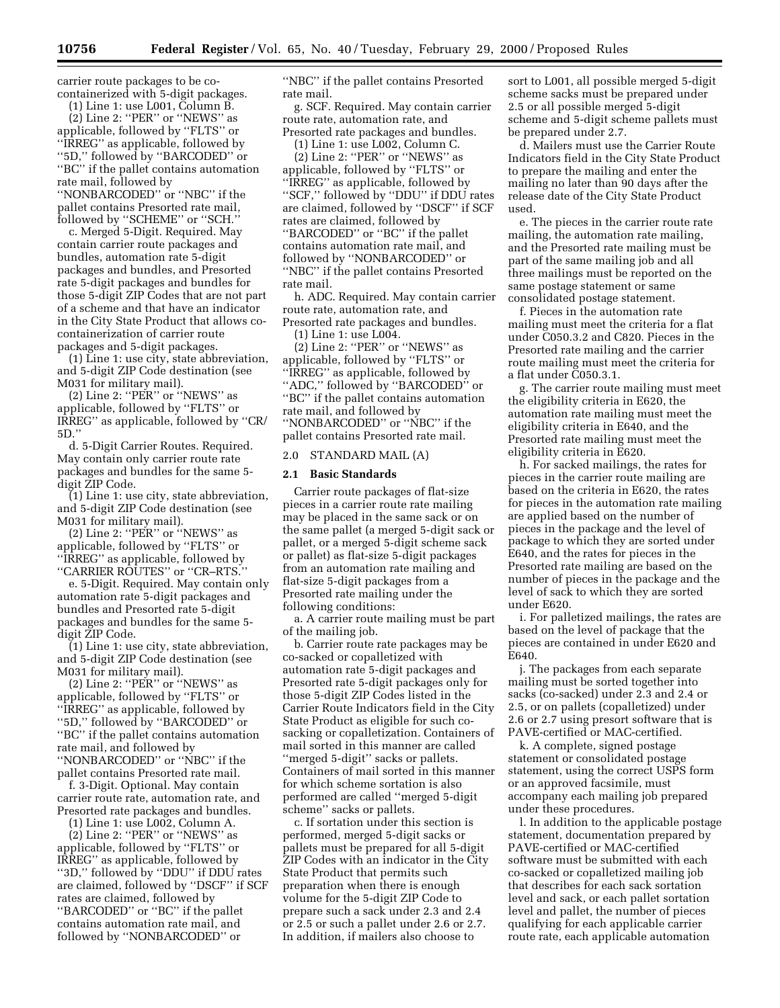carrier route packages to be cocontainerized with 5-digit packages.

(1) Line 1: use L001, Column B.

(2) Line 2: ''PER'' or ''NEWS'' as applicable, followed by ''FLTS'' or ''IRREG'' as applicable, followed by ''5D,'' followed by ''BARCODED'' or ''BC'' if the pallet contains automation rate mail, followed by ''NONBARCODED'' or ''NBC'' if the pallet contains Presorted rate mail, followed by ''SCHEME'' or ''SCH.''

c. Merged 5-Digit. Required. May contain carrier route packages and bundles, automation rate 5-digit packages and bundles, and Presorted rate 5-digit packages and bundles for those 5-digit ZIP Codes that are not part of a scheme and that have an indicator in the City State Product that allows cocontainerization of carrier route packages and 5-digit packages.

(1) Line 1: use city, state abbreviation, and 5-digit ZIP Code destination (see M031 for military mail).

(2) Line 2: ''PER'' or ''NEWS'' as applicable, followed by ''FLTS'' or IRREG'' as applicable, followed by ''CR/ 5D.''

d. 5-Digit Carrier Routes. Required. May contain only carrier route rate packages and bundles for the same 5 digit ZIP Code.

(1) Line 1: use city, state abbreviation, and 5-digit ZIP Code destination (see M031 for military mail).

 $(2)$  Line 2: "PER" or "NEWS" as applicable, followed by ''FLTS'' or ''IRREG'' as applicable, followed by ''CARRIER ROUTES'' or ''CR–RTS.''

e. 5-Digit. Required. May contain only automation rate 5-digit packages and bundles and Presorted rate 5-digit packages and bundles for the same 5 digit ZIP Code.

(1) Line 1: use city, state abbreviation, and 5-digit ZIP Code destination (see M031 for military mail).

 $(2)$  Line 2: "PER" or "NEWS" as applicable, followed by ''FLTS'' or ''IRREG'' as applicable, followed by ''5D,'' followed by ''BARCODED'' or ''BC'' if the pallet contains automation rate mail, and followed by ''NONBARCODED'' or ''NBC'' if the pallet contains Presorted rate mail.

f. 3-Digit. Optional. May contain carrier route rate, automation rate, and Presorted rate packages and bundles.

(1) Line 1: use L002, Column A.

(2) Line 2: ''PER'' or ''NEWS'' as applicable, followed by ''FLTS'' or IRREG'' as applicable, followed by ''3D,'' followed by ''DDU'' if DDU rates are claimed, followed by ''DSCF'' if SCF rates are claimed, followed by ''BARCODED'' or ''BC'' if the pallet contains automation rate mail, and followed by ''NONBARCODED'' or

''NBC'' if the pallet contains Presorted rate mail.

g. SCF. Required. May contain carrier route rate, automation rate, and Presorted rate packages and bundles.

(1) Line 1: use L002, Column C.

(2) Line 2: ''PER'' or ''NEWS'' as applicable, followed by ''FLTS'' or "IRREG" as applicable, followed by ''SCF,'' followed by ''DDU'' if DDU rates are claimed, followed by ''DSCF'' if SCF rates are claimed, followed by ''BARCODED'' or ''BC'' if the pallet contains automation rate mail, and followed by ''NONBARCODED'' or ''NBC'' if the pallet contains Presorted rate mail.

h. ADC. Required. May contain carrier route rate, automation rate, and Presorted rate packages and bundles.

(1) Line 1: use L004.

(2) Line 2: ''PER'' or ''NEWS'' as applicable, followed by ''FLTS'' or ''IRREG'' as applicable, followed by ''ADC,'' followed by ''BARCODED'' or ''BC'' if the pallet contains automation rate mail, and followed by ''NONBARCODED'' or ''NBC'' if the pallet contains Presorted rate mail.

#### 2.0 STANDARD MAIL (A)

#### **2.1 Basic Standards**

Carrier route packages of flat-size pieces in a carrier route rate mailing may be placed in the same sack or on the same pallet (a merged 5-digit sack or pallet, or a merged 5-digit scheme sack or pallet) as flat-size 5-digit packages from an automation rate mailing and flat-size 5-digit packages from a Presorted rate mailing under the following conditions:

a. A carrier route mailing must be part of the mailing job.

b. Carrier route rate packages may be co-sacked or copalletized with automation rate 5-digit packages and Presorted rate 5-digit packages only for those 5-digit ZIP Codes listed in the Carrier Route Indicators field in the City State Product as eligible for such cosacking or copalletization. Containers of mail sorted in this manner are called ''merged 5-digit'' sacks or pallets. Containers of mail sorted in this manner for which scheme sortation is also performed are called ''merged 5-digit scheme'' sacks or pallets.

c. If sortation under this section is performed, merged 5-digit sacks or pallets must be prepared for all 5-digit ZIP Codes with an indicator in the City State Product that permits such preparation when there is enough volume for the 5-digit ZIP Code to prepare such a sack under 2.3 and 2.4 or 2.5 or such a pallet under 2.6 or 2.7. In addition, if mailers also choose to

sort to L001, all possible merged 5-digit scheme sacks must be prepared under 2.5 or all possible merged 5-digit scheme and 5-digit scheme pallets must be prepared under 2.7.

d. Mailers must use the Carrier Route Indicators field in the City State Product to prepare the mailing and enter the mailing no later than 90 days after the release date of the City State Product used.

e. The pieces in the carrier route rate mailing, the automation rate mailing, and the Presorted rate mailing must be part of the same mailing job and all three mailings must be reported on the same postage statement or same consolidated postage statement.

f. Pieces in the automation rate mailing must meet the criteria for a flat under C050.3.2 and C820. Pieces in the Presorted rate mailing and the carrier route mailing must meet the criteria for a flat under C050.3.1.

g. The carrier route mailing must meet the eligibility criteria in E620, the automation rate mailing must meet the eligibility criteria in E640, and the Presorted rate mailing must meet the eligibility criteria in E620.

h. For sacked mailings, the rates for pieces in the carrier route mailing are based on the criteria in E620, the rates for pieces in the automation rate mailing are applied based on the number of pieces in the package and the level of package to which they are sorted under E640, and the rates for pieces in the Presorted rate mailing are based on the number of pieces in the package and the level of sack to which they are sorted under E620.

i. For palletized mailings, the rates are based on the level of package that the pieces are contained in under E620 and E640.

j. The packages from each separate mailing must be sorted together into sacks (co-sacked) under 2.3 and 2.4 or 2.5, or on pallets (copalletized) under 2.6 or 2.7 using presort software that is PAVE-certified or MAC-certified.

k. A complete, signed postage statement or consolidated postage statement, using the correct USPS form or an approved facsimile, must accompany each mailing job prepared under these procedures.

l. In addition to the applicable postage statement, documentation prepared by PAVE-certified or MAC-certified software must be submitted with each co-sacked or copalletized mailing job that describes for each sack sortation level and sack, or each pallet sortation level and pallet, the number of pieces qualifying for each applicable carrier route rate, each applicable automation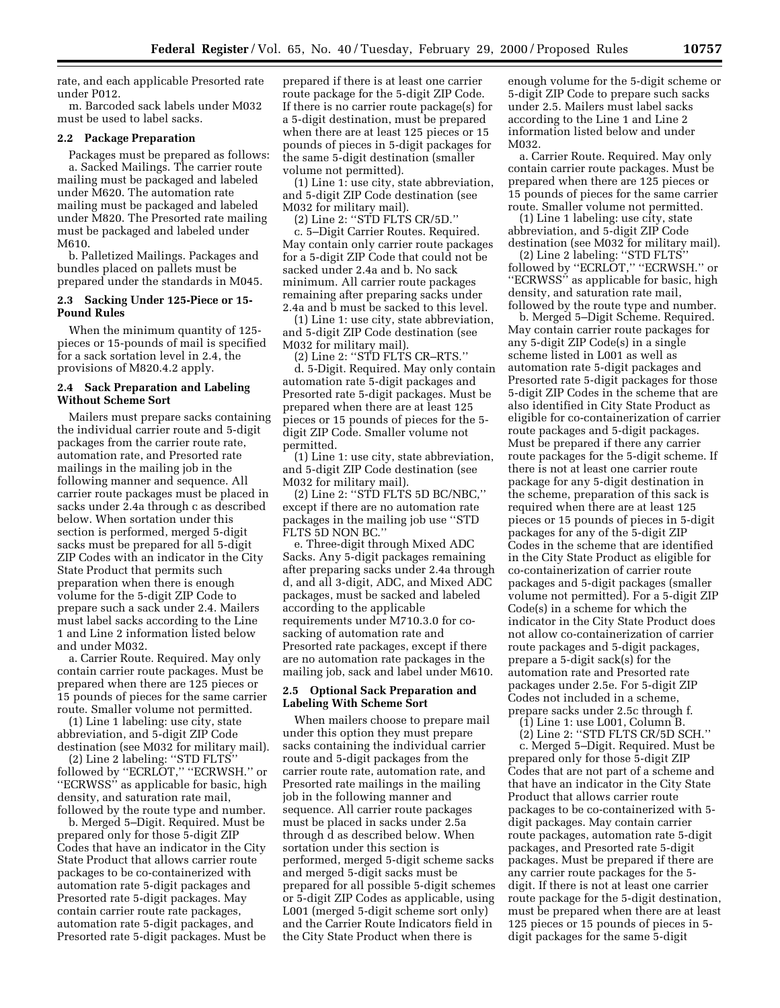rate, and each applicable Presorted rate under P012.

m. Barcoded sack labels under M032 must be used to label sacks.

#### **2.2 Package Preparation**

Packages must be prepared as follows: a. Sacked Mailings. The carrier route

mailing must be packaged and labeled under M620. The automation rate mailing must be packaged and labeled under M820. The Presorted rate mailing must be packaged and labeled under M610.

b. Palletized Mailings. Packages and bundles placed on pallets must be prepared under the standards in M045.

### **2.3 Sacking Under 125-Piece or 15- Pound Rules**

When the minimum quantity of 125 pieces or 15-pounds of mail is specified for a sack sortation level in 2.4, the provisions of M820.4.2 apply.

#### **2.4 Sack Preparation and Labeling Without Scheme Sort**

Mailers must prepare sacks containing the individual carrier route and 5-digit packages from the carrier route rate, automation rate, and Presorted rate mailings in the mailing job in the following manner and sequence. All carrier route packages must be placed in sacks under 2.4a through c as described below. When sortation under this section is performed, merged 5-digit sacks must be prepared for all 5-digit ZIP Codes with an indicator in the City State Product that permits such preparation when there is enough volume for the 5-digit ZIP Code to prepare such a sack under 2.4. Mailers must label sacks according to the Line 1 and Line 2 information listed below and under M032.

a. Carrier Route. Required. May only contain carrier route packages. Must be prepared when there are 125 pieces or 15 pounds of pieces for the same carrier route. Smaller volume not permitted.

(1) Line 1 labeling: use city, state abbreviation, and 5-digit ZIP Code destination (see M032 for military mail).

(2) Line 2 labeling: ''STD FLTS'' followed by "ECRLOT," "ECRWSH." or ''ECRWSS'' as applicable for basic, high density, and saturation rate mail, followed by the route type and number.

b. Merged 5–Digit. Required. Must be prepared only for those 5-digit ZIP Codes that have an indicator in the City State Product that allows carrier route packages to be co-containerized with automation rate 5-digit packages and Presorted rate 5-digit packages. May contain carrier route rate packages, automation rate 5-digit packages, and Presorted rate 5-digit packages. Must be

prepared if there is at least one carrier route package for the 5-digit ZIP Code. If there is no carrier route package(s) for a 5-digit destination, must be prepared when there are at least 125 pieces or 15 pounds of pieces in 5-digit packages for the same 5-digit destination (smaller volume not permitted).

(1) Line 1: use city, state abbreviation, and 5-digit ZIP Code destination (see M032 for military mail).

(2) Line 2: ''STD FLTS CR/5D.''

c. 5–Digit Carrier Routes. Required. May contain only carrier route packages for a 5-digit ZIP Code that could not be sacked under 2.4a and b. No sack minimum. All carrier route packages remaining after preparing sacks under 2.4a and b must be sacked to this level.

(1) Line 1: use city, state abbreviation, and 5-digit ZIP Code destination (see M032 for military mail).

(2) Line 2: ''STD FLTS CR–RTS.'' d. 5-Digit. Required. May only contain

automation rate 5-digit packages and Presorted rate 5-digit packages. Must be prepared when there are at least 125 pieces or 15 pounds of pieces for the 5 digit ZIP Code. Smaller volume not permitted.

(1) Line 1: use city, state abbreviation, and 5-digit ZIP Code destination (see M032 for military mail).

(2) Line 2: ''STD FLTS 5D BC/NBC,'' except if there are no automation rate packages in the mailing job use ''STD FLTS 5D NON BC.''

e. Three-digit through Mixed ADC Sacks. Any 5-digit packages remaining after preparing sacks under 2.4a through d, and all 3-digit, ADC, and Mixed ADC packages, must be sacked and labeled according to the applicable requirements under M710.3.0 for cosacking of automation rate and Presorted rate packages, except if there are no automation rate packages in the mailing job, sack and label under M610.

### **2.5 Optional Sack Preparation and Labeling With Scheme Sort**

When mailers choose to prepare mail under this option they must prepare sacks containing the individual carrier route and 5-digit packages from the carrier route rate, automation rate, and Presorted rate mailings in the mailing job in the following manner and sequence. All carrier route packages must be placed in sacks under 2.5a through d as described below. When sortation under this section is performed, merged 5-digit scheme sacks and merged 5-digit sacks must be prepared for all possible 5-digit schemes or 5-digit ZIP Codes as applicable, using L001 (merged 5-digit scheme sort only) and the Carrier Route Indicators field in the City State Product when there is

enough volume for the 5-digit scheme or 5-digit ZIP Code to prepare such sacks under 2.5. Mailers must label sacks according to the Line 1 and Line 2 information listed below and under M032.

a. Carrier Route. Required. May only contain carrier route packages. Must be prepared when there are 125 pieces or 15 pounds of pieces for the same carrier route. Smaller volume not permitted.

(1) Line 1 labeling: use city, state abbreviation, and 5-digit ZIP Code destination (see M032 for military mail).

(2) Line 2 labeling: ''STD FLTS'' followed by ''ECRLOT,'' ''ECRWSH.'' or "ECRWSS" as applicable for basic, high density, and saturation rate mail, followed by the route type and number.

b. Merged 5–Digit Scheme. Required. May contain carrier route packages for any 5-digit ZIP Code(s) in a single scheme listed in L001 as well as automation rate 5-digit packages and Presorted rate 5-digit packages for those 5-digit ZIP Codes in the scheme that are also identified in City State Product as eligible for co-containerization of carrier route packages and 5-digit packages. Must be prepared if there any carrier route packages for the 5-digit scheme. If there is not at least one carrier route package for any 5-digit destination in the scheme, preparation of this sack is required when there are at least 125 pieces or 15 pounds of pieces in 5-digit packages for any of the 5-digit ZIP Codes in the scheme that are identified in the City State Product as eligible for co-containerization of carrier route packages and 5-digit packages (smaller volume not permitted). For a 5-digit ZIP Code(s) in a scheme for which the indicator in the City State Product does not allow co-containerization of carrier route packages and 5-digit packages, prepare a 5-digit sack(s) for the automation rate and Presorted rate packages under 2.5e. For 5-digit ZIP Codes not included in a scheme, prepare sacks under 2.5c through f.

(1) Line 1: use L001, Column B.

(2) Line 2: ''STD FLTS CR/5D SCH.'' c. Merged 5–Digit. Required. Must be prepared only for those 5-digit ZIP Codes that are not part of a scheme and that have an indicator in the City State Product that allows carrier route packages to be co-containerized with 5 digit packages. May contain carrier route packages, automation rate 5-digit packages, and Presorted rate 5-digit packages. Must be prepared if there are any carrier route packages for the 5 digit. If there is not at least one carrier route package for the 5-digit destination, must be prepared when there are at least 125 pieces or 15 pounds of pieces in 5 digit packages for the same 5-digit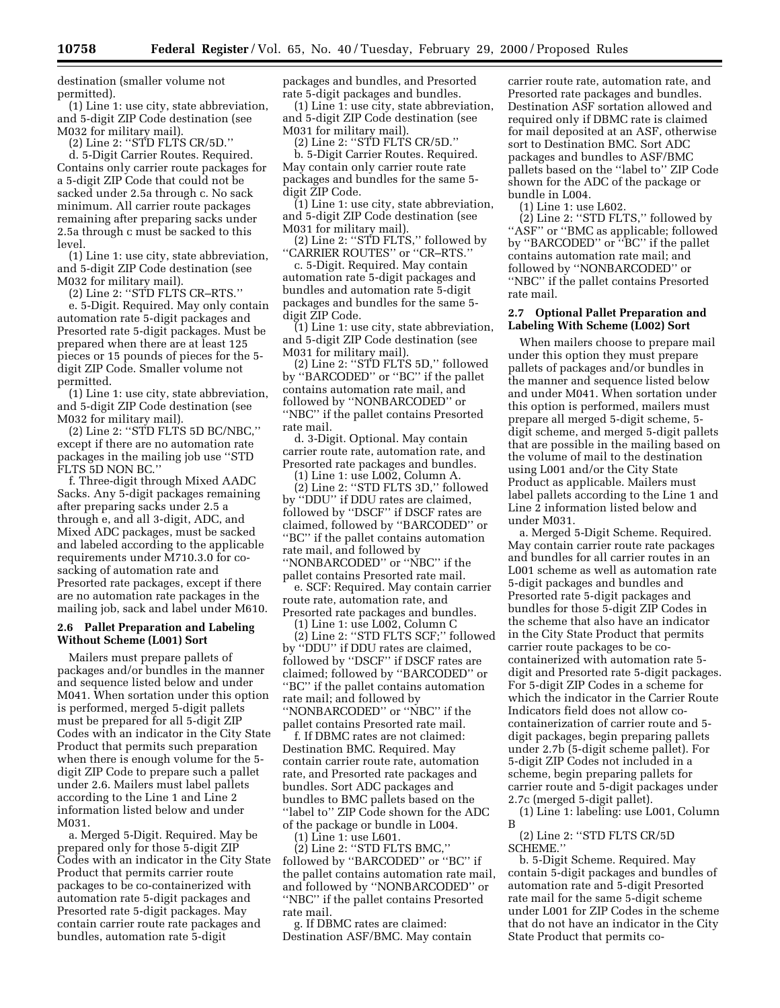destination (smaller volume not permitted).

(1) Line 1: use city, state abbreviation, and 5-digit ZIP Code destination (see M032 for military mail).

(2) Line 2: ''STD FLTS CR/5D.''

d. 5-Digit Carrier Routes. Required. Contains only carrier route packages for a 5-digit ZIP Code that could not be sacked under 2.5a through c. No sack minimum. All carrier route packages remaining after preparing sacks under 2.5a through c must be sacked to this level.

(1) Line 1: use city, state abbreviation, and 5-digit ZIP Code destination (see M032 for military mail).

(2) Line 2: ''STD FLTS CR–RTS.''

e. 5-Digit. Required. May only contain automation rate 5-digit packages and Presorted rate 5-digit packages. Must be prepared when there are at least 125 pieces or 15 pounds of pieces for the 5 digit ZIP Code. Smaller volume not permitted.

(1) Line 1: use city, state abbreviation, and 5-digit ZIP Code destination (see M032 for military mail).

(2) Line 2: ''STD FLTS 5D BC/NBC,'' except if there are no automation rate packages in the mailing job use ''STD FLTS 5D NON BC.''

f. Three-digit through Mixed AADC Sacks. Any 5-digit packages remaining after preparing sacks under 2.5 a through e, and all 3-digit, ADC, and Mixed ADC packages, must be sacked and labeled according to the applicable requirements under M710.3.0 for cosacking of automation rate and Presorted rate packages, except if there are no automation rate packages in the mailing job, sack and label under M610.

### **2.6 Pallet Preparation and Labeling Without Scheme (L001) Sort**

Mailers must prepare pallets of packages and/or bundles in the manner and sequence listed below and under M041. When sortation under this option is performed, merged 5-digit pallets must be prepared for all 5-digit ZIP Codes with an indicator in the City State Product that permits such preparation when there is enough volume for the 5 digit ZIP Code to prepare such a pallet under 2.6. Mailers must label pallets according to the Line 1 and Line 2 information listed below and under M031.

a. Merged 5-Digit. Required. May be prepared only for those 5-digit ZIP Codes with an indicator in the City State Product that permits carrier route packages to be co-containerized with automation rate 5-digit packages and Presorted rate 5-digit packages. May contain carrier route rate packages and bundles, automation rate 5-digit

packages and bundles, and Presorted rate 5-digit packages and bundles.

(1) Line 1: use city, state abbreviation, and 5-digit ZIP Code destination (see M031 for military mail).

(2) Line 2: ''STD FLTS CR/5D.''

b. 5-Digit Carrier Routes. Required. May contain only carrier route rate packages and bundles for the same 5 digit ZIP Code.

(1) Line 1: use city, state abbreviation, and 5-digit ZIP Code destination (see M031 for military mail).

(2) Line 2: ''STD FLTS,'' followed by ''CARRIER ROUTES'' or ''CR–RTS.''

c. 5-Digit. Required. May contain automation rate 5-digit packages and bundles and automation rate 5-digit packages and bundles for the same 5 digit ZIP Code.

(1) Line 1: use city, state abbreviation, and 5-digit ZIP Code destination (see M031 for military mail).

(2) Line 2: ''STD FLTS 5D,'' followed by ''BARCODED'' or ''BC'' if the pallet contains automation rate mail, and followed by ''NONBARCODED'' or ''NBC'' if the pallet contains Presorted rate mail.

d. 3-Digit. Optional. May contain carrier route rate, automation rate, and Presorted rate packages and bundles.

(1) Line 1: use L002, Column A. (2) Line 2: ''STD FLTS 3D,'' followed by ''DDU'' if DDU rates are claimed, followed by ''DSCF'' if DSCF rates are claimed, followed by ''BARCODED'' or ''BC'' if the pallet contains automation rate mail, and followed by ''NONBARCODED'' or ''NBC'' if the pallet contains Presorted rate mail.

e. SCF: Required. May contain carrier route rate, automation rate, and Presorted rate packages and bundles.

(1) Line 1: use L002, Column C

(2) Line 2: ''STD FLTS SCF;'' followed by ''DDU'' if DDU rates are claimed, followed by ''DSCF'' if DSCF rates are claimed; followed by ''BARCODED'' or ''BC'' if the pallet contains automation rate mail; and followed by ''NONBARCODED'' or ''NBC'' if the pallet contains Presorted rate mail.

f. If DBMC rates are not claimed: Destination BMC. Required. May contain carrier route rate, automation rate, and Presorted rate packages and bundles. Sort ADC packages and bundles to BMC pallets based on the "label to" ZIP Code shown for the ADC of the package or bundle in L004.

(1) Line 1: use L601.

(2) Line 2: ''STD FLTS BMC,'' followed by ''BARCODED'' or ''BC'' if the pallet contains automation rate mail, and followed by ''NONBARCODED'' or ''NBC'' if the pallet contains Presorted rate mail.

g. If DBMC rates are claimed: Destination ASF/BMC. May contain

carrier route rate, automation rate, and Presorted rate packages and bundles. Destination ASF sortation allowed and required only if DBMC rate is claimed for mail deposited at an ASF, otherwise sort to Destination BMC. Sort ADC packages and bundles to ASF/BMC pallets based on the ''label to'' ZIP Code shown for the ADC of the package or bundle in L004.

(1) Line 1: use L602.

(2) Line 2: ''STD FLTS,'' followed by "ASF" or "BMC as applicable; followed by ''BARCODED'' or ''BC'' if the pallet contains automation rate mail; and followed by ''NONBARCODED'' or ''NBC'' if the pallet contains Presorted rate mail.

### **2.7 Optional Pallet Preparation and Labeling With Scheme (L002) Sort**

When mailers choose to prepare mail under this option they must prepare pallets of packages and/or bundles in the manner and sequence listed below and under M041. When sortation under this option is performed, mailers must prepare all merged 5-digit scheme, 5 digit scheme, and merged 5-digit pallets that are possible in the mailing based on the volume of mail to the destination using L001 and/or the City State Product as applicable. Mailers must label pallets according to the Line 1 and Line 2 information listed below and under M031.

a. Merged 5-Digit Scheme. Required. May contain carrier route rate packages and bundles for all carrier routes in an L001 scheme as well as automation rate 5-digit packages and bundles and Presorted rate 5-digit packages and bundles for those 5-digit ZIP Codes in the scheme that also have an indicator in the City State Product that permits carrier route packages to be cocontainerized with automation rate 5 digit and Presorted rate 5-digit packages. For 5-digit ZIP Codes in a scheme for which the indicator in the Carrier Route Indicators field does not allow cocontainerization of carrier route and 5 digit packages, begin preparing pallets under 2.7b (5-digit scheme pallet). For 5-digit ZIP Codes not included in a scheme, begin preparing pallets for carrier route and 5-digit packages under 2.7c (merged 5-digit pallet).

(1) Line 1: labeling: use L001, Column B

(2) Line 2: ''STD FLTS CR/5D SCHEME.''

b. 5-Digit Scheme. Required. May contain 5-digit packages and bundles of automation rate and 5-digit Presorted rate mail for the same 5-digit scheme under L001 for ZIP Codes in the scheme that do not have an indicator in the City State Product that permits co-